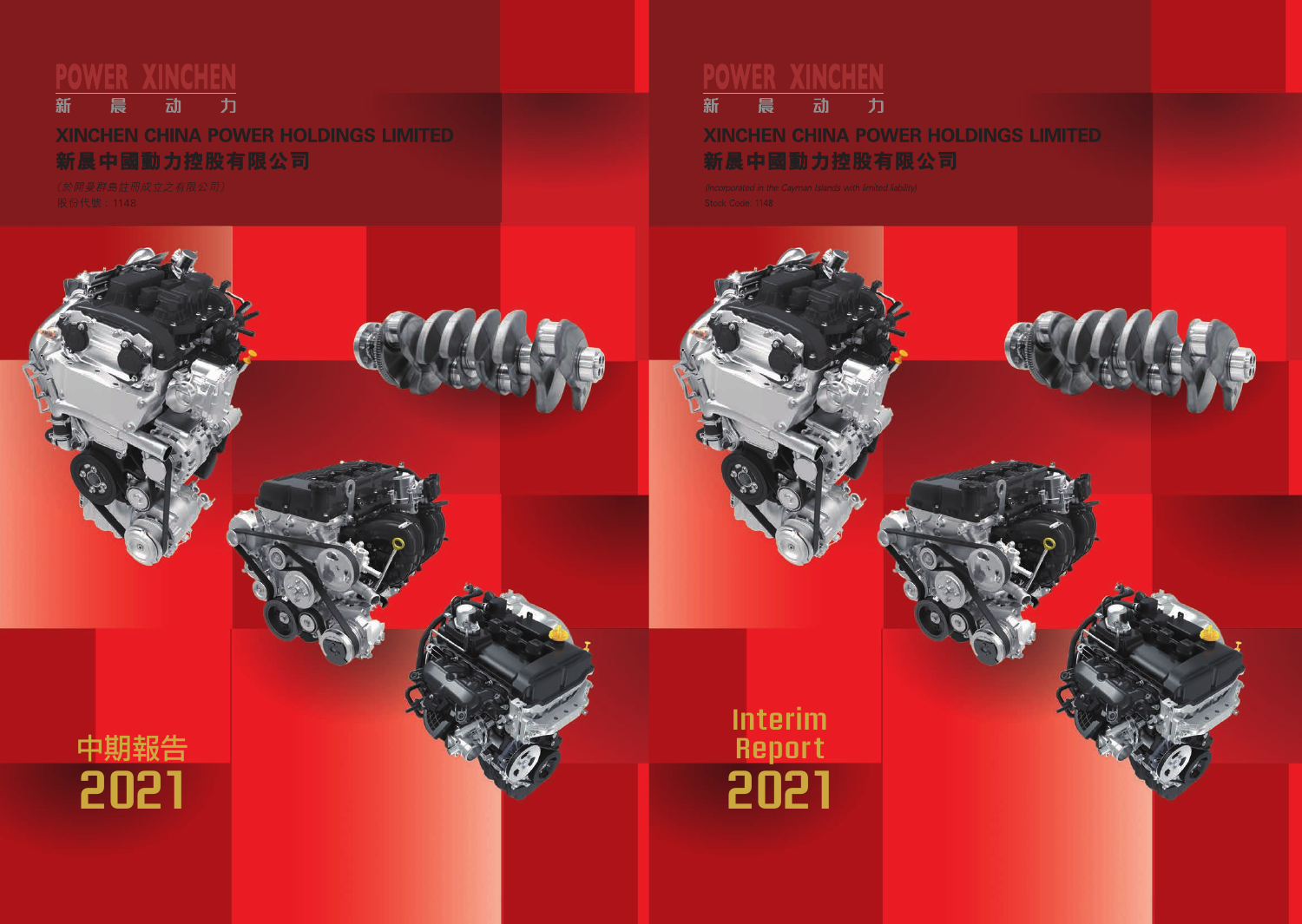亍 新 冨 动

# **XINCHEN CHINA POWER HOLDINGS LIMITED** 新晨中國動力控股有限公司



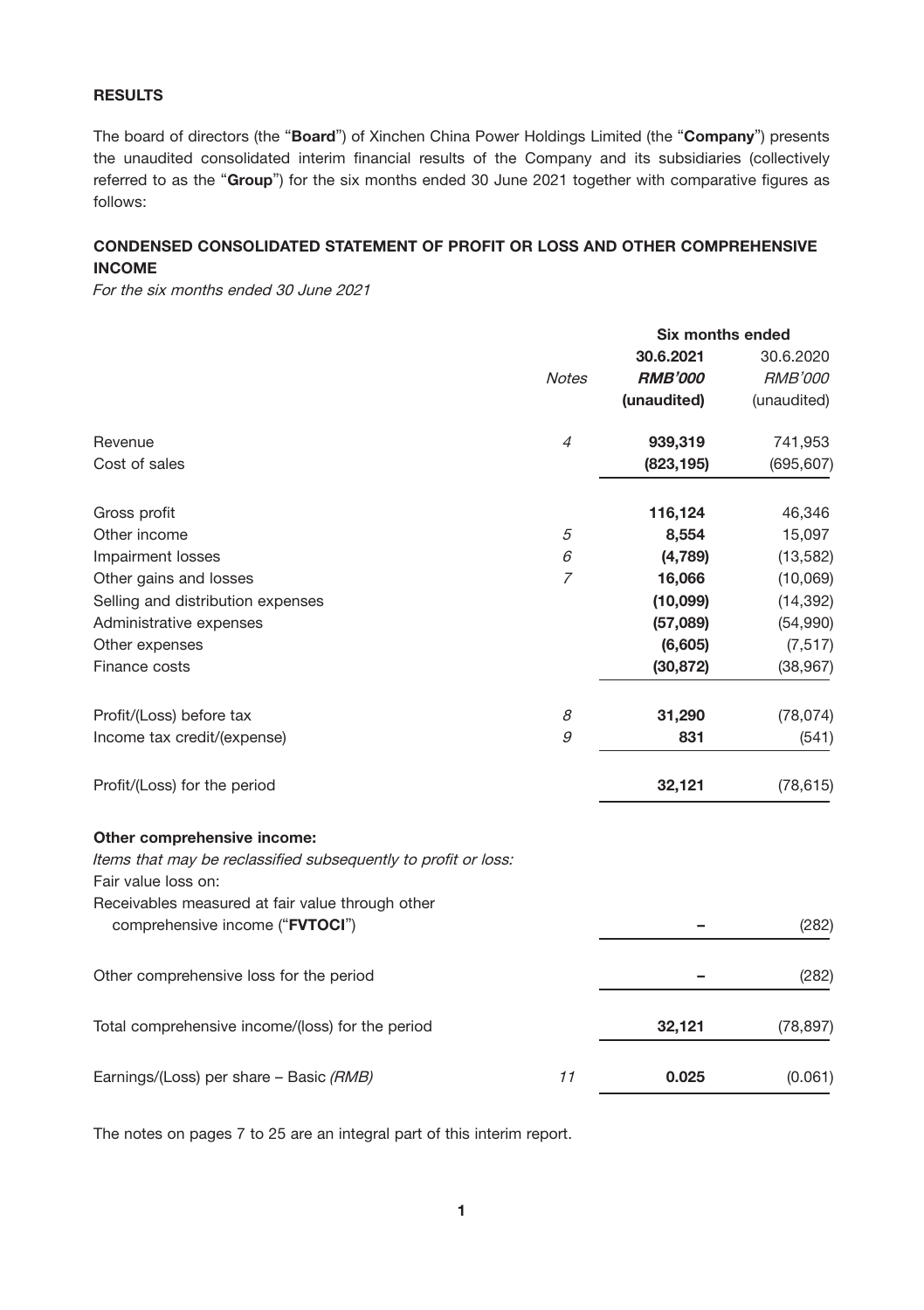# RESULTS

The board of directors (the "Board") of Xinchen China Power Holdings Limited (the "Company") presents the unaudited consolidated interim financial results of the Company and its subsidiaries (collectively referred to as the "Group") for the six months ended 30 June 2021 together with comparative figures as follows:

# CONDENSED CONSOLIDATED STATEMENT OF PROFIT OR LOSS AND OTHER COMPREHENSIVE INCOME

For the six months ended 30 June 2021

|                                                                                       | Six months ended |                |                |
|---------------------------------------------------------------------------------------|------------------|----------------|----------------|
|                                                                                       |                  | 30.6.2021      | 30.6.2020      |
|                                                                                       | <b>Notes</b>     | <b>RMB'000</b> | <b>RMB'000</b> |
|                                                                                       |                  | (unaudited)    | (unaudited)    |
| Revenue                                                                               | $\overline{4}$   | 939,319        | 741,953        |
| Cost of sales                                                                         |                  | (823, 195)     | (695, 607)     |
| Gross profit                                                                          |                  | 116,124        | 46,346         |
| Other income                                                                          | 5                | 8,554          | 15,097         |
| Impairment losses                                                                     | 6                | (4,789)        | (13, 582)      |
| Other gains and losses                                                                | 7                | 16,066         | (10,069)       |
| Selling and distribution expenses                                                     |                  | (10,099)       | (14, 392)      |
| Administrative expenses                                                               |                  | (57,089)       | (54,990)       |
| Other expenses                                                                        |                  | (6,605)        | (7, 517)       |
| Finance costs                                                                         |                  | (30, 872)      | (38, 967)      |
| Profit/(Loss) before tax                                                              | 8                | 31,290         | (78, 074)      |
| Income tax credit/(expense)                                                           | 9                | 831            | (541)          |
| Profit/(Loss) for the period                                                          |                  | 32,121         | (78, 615)      |
| Other comprehensive income:                                                           |                  |                |                |
| Items that may be reclassified subsequently to profit or loss:<br>Fair value loss on: |                  |                |                |
| Receivables measured at fair value through other<br>comprehensive income ("FVTOCI")   |                  |                | (282)          |
| Other comprehensive loss for the period                                               |                  |                | (282)          |
| Total comprehensive income/(loss) for the period                                      |                  | 32,121         | (78, 897)      |
| Earnings/(Loss) per share - Basic (RMB)                                               | 11               | 0.025          | (0.061)        |
|                                                                                       |                  |                |                |

The notes on pages 7 to 25 are an integral part of this interim report.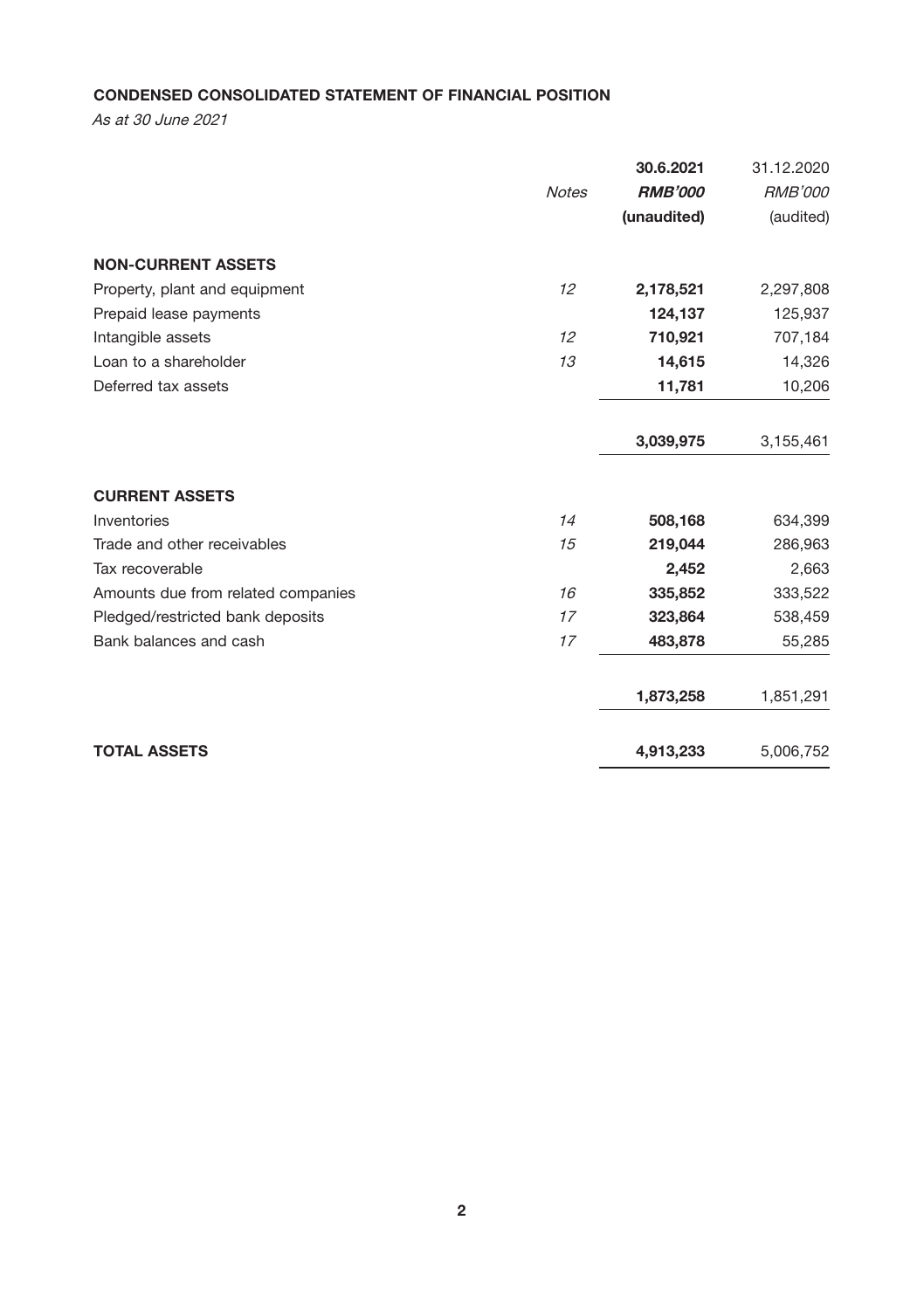# CONDENSED CONSOLIDATED STATEMENT OF FINANCIAL POSITION

As at 30 June 2021

|                                    |              | 30.6.2021      | 31.12.2020     |
|------------------------------------|--------------|----------------|----------------|
|                                    | <b>Notes</b> | <b>RMB'000</b> | <b>RMB'000</b> |
|                                    |              | (unaudited)    | (audited)      |
| <b>NON-CURRENT ASSETS</b>          |              |                |                |
| Property, plant and equipment      | 12           | 2,178,521      | 2,297,808      |
| Prepaid lease payments             |              | 124,137        | 125,937        |
| Intangible assets                  | 12           | 710,921        | 707,184        |
| Loan to a shareholder              | 13           | 14,615         | 14,326         |
| Deferred tax assets                |              | 11,781         | 10,206         |
|                                    |              | 3,039,975      | 3,155,461      |
| <b>CURRENT ASSETS</b>              |              |                |                |
| Inventories                        | 14           | 508,168        | 634,399        |
| Trade and other receivables        | 15           | 219,044        | 286,963        |
| Tax recoverable                    |              | 2,452          | 2,663          |
| Amounts due from related companies | 16           | 335,852        | 333,522        |
| Pledged/restricted bank deposits   | 17           | 323,864        | 538,459        |
| Bank balances and cash             | 17           | 483,878        | 55,285         |
|                                    |              | 1,873,258      | 1,851,291      |
|                                    |              |                |                |
| <b>TOTAL ASSETS</b>                |              | 4,913,233      | 5,006,752      |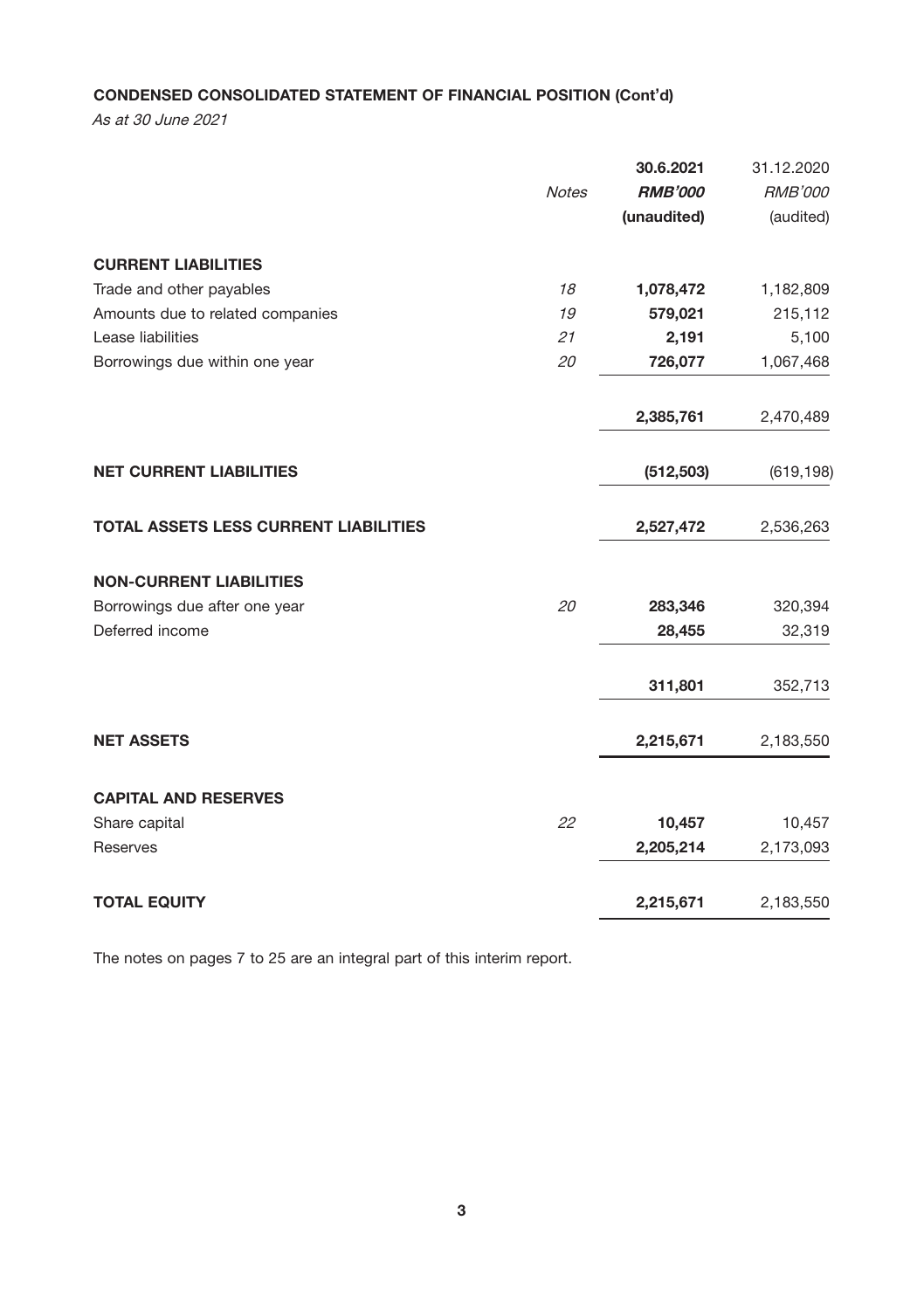# CONDENSED CONSOLIDATED STATEMENT OF FINANCIAL POSITION (Cont'd)

As at 30 June 2021

|                                              |              | 30.6.2021      | 31.12.2020     |
|----------------------------------------------|--------------|----------------|----------------|
|                                              | <b>Notes</b> | <b>RMB'000</b> | <b>RMB'000</b> |
|                                              |              | (unaudited)    | (audited)      |
| <b>CURRENT LIABILITIES</b>                   |              |                |                |
| Trade and other payables                     | 18           | 1,078,472      | 1,182,809      |
| Amounts due to related companies             | 19           | 579,021        | 215,112        |
| Lease liabilities                            | 21           | 2,191          | 5,100          |
| Borrowings due within one year               | 20           | 726,077        | 1,067,468      |
|                                              |              | 2,385,761      | 2,470,489      |
| <b>NET CURRENT LIABILITIES</b>               |              | (512, 503)     | (619, 198)     |
| <b>TOTAL ASSETS LESS CURRENT LIABILITIES</b> |              | 2,527,472      | 2,536,263      |
| <b>NON-CURRENT LIABILITIES</b>               |              |                |                |
| Borrowings due after one year                | 20           | 283,346        | 320,394        |
| Deferred income                              |              | 28,455         | 32,319         |
|                                              |              | 311,801        | 352,713        |
| <b>NET ASSETS</b>                            |              | 2,215,671      | 2,183,550      |
| <b>CAPITAL AND RESERVES</b>                  |              |                |                |
| Share capital                                | 22           | 10,457         | 10,457         |
| Reserves                                     |              | 2,205,214      | 2,173,093      |
| <b>TOTAL EQUITY</b>                          |              | 2,215,671      | 2,183,550      |

The notes on pages 7 to 25 are an integral part of this interim report.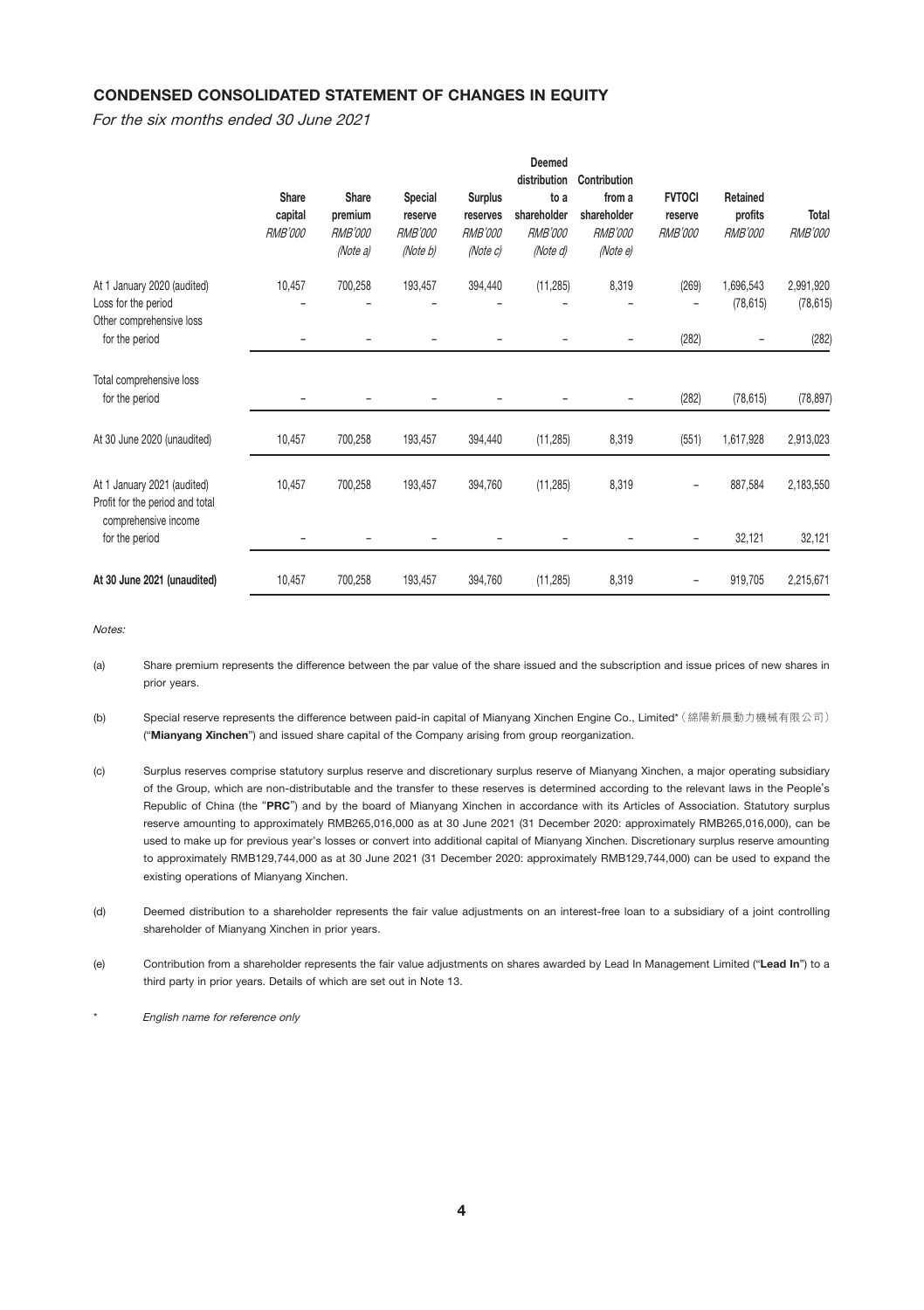# CONDENSED CONSOLIDATED STATEMENT OF CHANGES IN EQUITY

For the six months ended 30 June 2021

|                                                                                        | Share<br>capital<br><b>RMB'000</b> | Share<br>premium<br><b>RMB'000</b><br>(Note a) | Special<br>reserve<br><b>RMB'000</b><br>(Note b) | <b>Surplus</b><br>reserves<br><b>RMB'000</b><br>(Note c) | Deemed<br>distribution<br>to a<br>shareholder<br><b>RMB'000</b><br>(Note d) | Contribution<br>from a<br>shareholder<br><b>RMB'000</b><br>(Note e) | <b>FVTOCI</b><br>reserve<br><b>RMB'000</b> | Retained<br>profits<br><b>RMB'000</b> | Total<br><b>RMB'000</b> |
|----------------------------------------------------------------------------------------|------------------------------------|------------------------------------------------|--------------------------------------------------|----------------------------------------------------------|-----------------------------------------------------------------------------|---------------------------------------------------------------------|--------------------------------------------|---------------------------------------|-------------------------|
| At 1 January 2020 (audited)<br>Loss for the period<br>Other comprehensive loss         | 10,457                             | 700,258                                        | 193,457                                          | 394,440                                                  | (11, 285)                                                                   | 8,319                                                               | (269)                                      | 1,696,543<br>(78, 615)                | 2,991,920<br>(78, 615)  |
| for the period                                                                         |                                    |                                                |                                                  |                                                          |                                                                             |                                                                     | (282)                                      |                                       | (282)                   |
| Total comprehensive loss<br>for the period                                             |                                    |                                                |                                                  |                                                          |                                                                             |                                                                     | (282)                                      | (78, 615)                             | (78, 897)               |
| At 30 June 2020 (unaudited)                                                            | 10,457                             | 700,258                                        | 193,457                                          | 394,440                                                  | (11, 285)                                                                   | 8,319                                                               | (551)                                      | 1,617,928                             | 2,913,023               |
| At 1 January 2021 (audited)<br>Profit for the period and total<br>comprehensive income | 10,457                             | 700,258                                        | 193,457                                          | 394,760                                                  | (11, 285)                                                                   | 8,319                                                               |                                            | 887,584                               | 2,183,550               |
| for the period                                                                         |                                    |                                                |                                                  |                                                          |                                                                             |                                                                     | -                                          | 32,121                                | 32,121                  |
| At 30 June 2021 (unaudited)                                                            | 10,457                             | 700,258                                        | 193,457                                          | 394,760                                                  | (11, 285)                                                                   | 8,319                                                               |                                            | 919,705                               | 2,215,671               |

Notes:

- (a) Share premium represents the difference between the par value of the share issued and the subscription and issue prices of new shares in prior years.
- (b) Special reserve represents the difference between paid-in capital of Mianyang Xinchen Engine Co., Limited\* (綿陽新晨動力機械有限公司) ("Mianyang Xinchen") and issued share capital of the Company arising from group reorganization.
- (c) Surplus reserves comprise statutory surplus reserve and discretionary surplus reserve of Mianyang Xinchen, a major operating subsidiary of the Group, which are non-distributable and the transfer to these reserves is determined according to the relevant laws in the People's Republic of China (the "PRC") and by the board of Mianyang Xinchen in accordance with its Articles of Association. Statutory surplus reserve amounting to approximately RMB265,016,000 as at 30 June 2021 (31 December 2020: approximately RMB265,016,000), can be used to make up for previous year's losses or convert into additional capital of Mianyang Xinchen. Discretionary surplus reserve amounting to approximately RMB129,744,000 as at 30 June 2021 (31 December 2020: approximately RMB129,744,000) can be used to expand the existing operations of Mianyang Xinchen.
- (d) Deemed distribution to a shareholder represents the fair value adjustments on an interest-free loan to a subsidiary of a joint controlling shareholder of Mianyang Xinchen in prior years.
- (e) Contribution from a shareholder represents the fair value adjustments on shares awarded by Lead In Management Limited ("Lead In") to a third party in prior years. Details of which are set out in Note 13.
- English name for reference only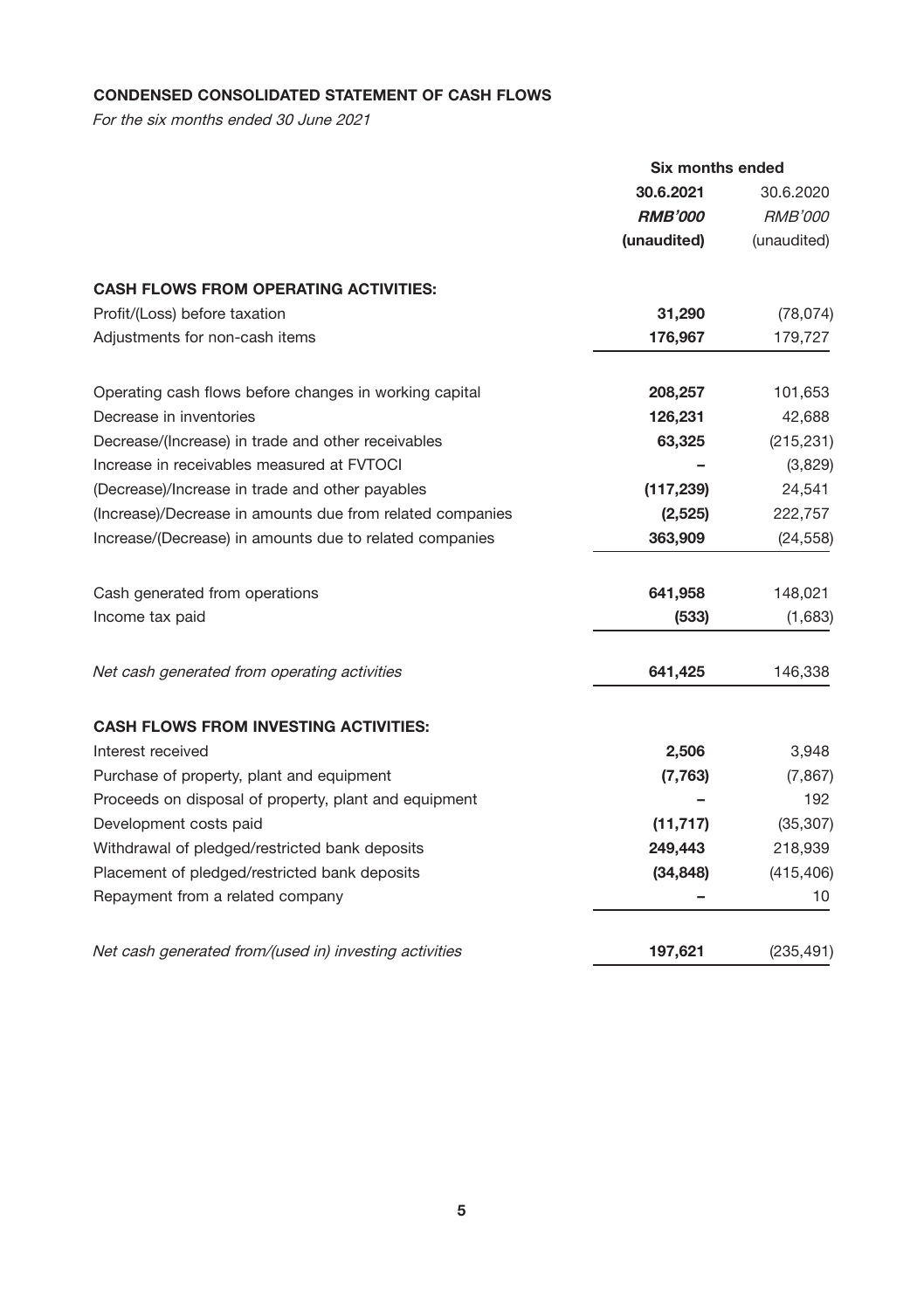# CONDENSED CONSOLIDATED STATEMENT OF CASH FLOWS

For the six months ended 30 June 2021

|                                                           | Six months ended |                |
|-----------------------------------------------------------|------------------|----------------|
|                                                           | 30.6.2021        | 30.6.2020      |
|                                                           | <b>RMB'000</b>   | <i>RMB'000</i> |
|                                                           | (unaudited)      | (unaudited)    |
| <b>CASH FLOWS FROM OPERATING ACTIVITIES:</b>              |                  |                |
| Profit/(Loss) before taxation                             | 31,290           | (78, 074)      |
| Adjustments for non-cash items                            | 176,967          | 179,727        |
| Operating cash flows before changes in working capital    | 208,257          | 101,653        |
| Decrease in inventories                                   | 126,231          | 42,688         |
| Decrease/(Increase) in trade and other receivables        | 63,325           | (215, 231)     |
| Increase in receivables measured at FVTOCI                |                  | (3,829)        |
| (Decrease)/Increase in trade and other payables           | (117, 239)       | 24,541         |
| (Increase)/Decrease in amounts due from related companies | (2,525)          | 222,757        |
| Increase/(Decrease) in amounts due to related companies   | 363,909          | (24, 558)      |
| Cash generated from operations                            | 641,958          | 148,021        |
| Income tax paid                                           | (533)            | (1,683)        |
| Net cash generated from operating activities              | 641,425          | 146,338        |
| <b>CASH FLOWS FROM INVESTING ACTIVITIES:</b>              |                  |                |
| Interest received                                         | 2,506            | 3,948          |
| Purchase of property, plant and equipment                 | (7, 763)         | (7, 867)       |
| Proceeds on disposal of property, plant and equipment     |                  | 192            |
| Development costs paid                                    | (11, 717)        | (35, 307)      |
| Withdrawal of pledged/restricted bank deposits            | 249,443          | 218,939        |
| Placement of pledged/restricted bank deposits             | (34, 848)        | (415, 406)     |
| Repayment from a related company                          |                  | 10             |
| Net cash generated from/(used in) investing activities    | 197,621          | (235, 491)     |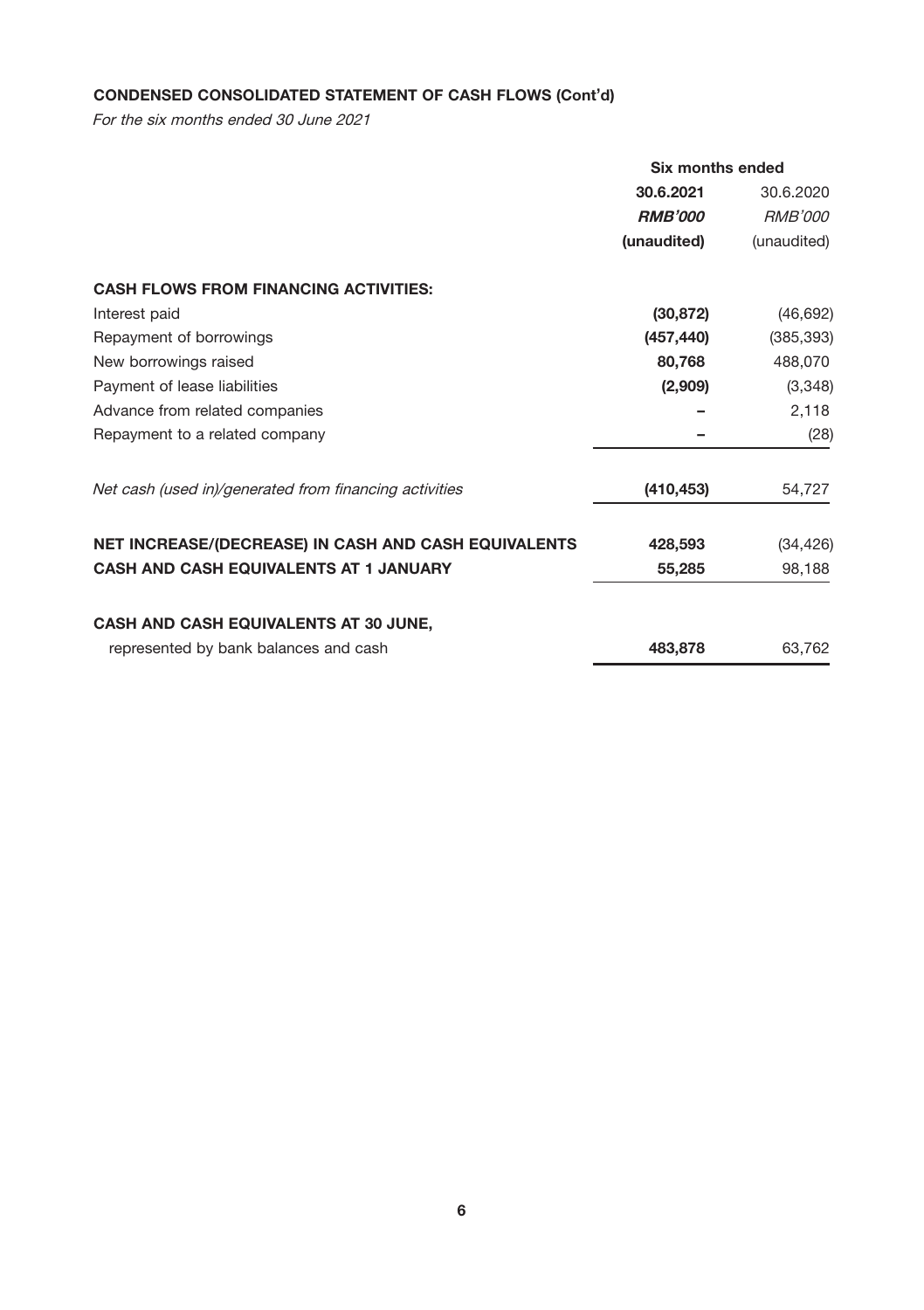# CONDENSED CONSOLIDATED STATEMENT OF CASH FLOWS (Cont'd)

For the six months ended 30 June 2021

|                                                        | Six months ended |                |  |
|--------------------------------------------------------|------------------|----------------|--|
|                                                        | 30.6.2021        | 30.6.2020      |  |
|                                                        | <b>RMB'000</b>   | <i>RMB'000</i> |  |
|                                                        | (unaudited)      | (unaudited)    |  |
| <b>CASH FLOWS FROM FINANCING ACTIVITIES:</b>           |                  |                |  |
| Interest paid                                          | (30, 872)        | (46, 692)      |  |
| Repayment of borrowings                                | (457, 440)       | (385, 393)     |  |
| New borrowings raised                                  | 80,768           | 488,070        |  |
| Payment of lease liabilities                           | (2,909)          | (3,348)        |  |
| Advance from related companies                         |                  | 2,118          |  |
| Repayment to a related company                         |                  | (28)           |  |
| Net cash (used in)/generated from financing activities | (410, 453)       | 54,727         |  |
| NET INCREASE/(DECREASE) IN CASH AND CASH EQUIVALENTS   | 428,593          | (34, 426)      |  |
| <b>CASH AND CASH EQUIVALENTS AT 1 JANUARY</b>          | 55,285           | 98,188         |  |
| <b>CASH AND CASH EQUIVALENTS AT 30 JUNE,</b>           |                  |                |  |
| represented by bank balances and cash                  | 483,878          | 63,762         |  |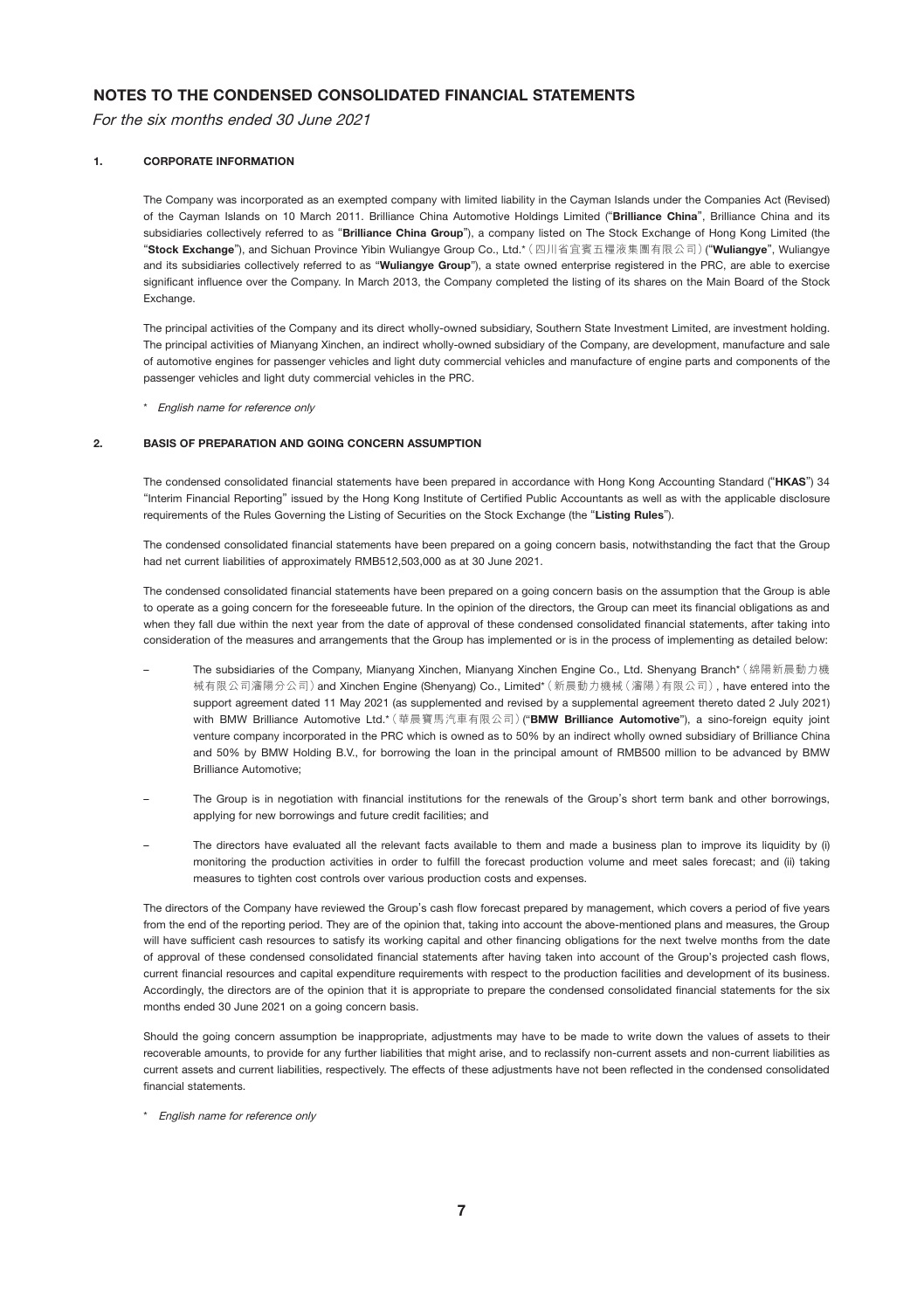# NOTES TO THE CONDENSED CONSOLIDATED FINANCIAL STATEMENTS

For the six months ended 30 June 2021

#### 1. CORPORATE INFORMATION

The Company was incorporated as an exempted company with limited liability in the Cayman Islands under the Companies Act (Revised) of the Cayman Islands on 10 March 2011. Brilliance China Automotive Holdings Limited ("Brilliance China", Brilliance China and its subsidiaries collectively referred to as "Brilliance China Group"), a company listed on The Stock Exchange of Hong Kong Limited (the "Stock Exchange"), and Sichuan Province Yibin Wuliangye Group Co., Ltd.\* (四川省宜賓五糧液集團有限公司) ("Wuliangye", Wuliangye and its subsidiaries collectively referred to as "Wuliangye Group"), a state owned enterprise registered in the PRC, are able to exercise significant influence over the Company. In March 2013, the Company completed the listing of its shares on the Main Board of the Stock Exchange.

The principal activities of the Company and its direct wholly-owned subsidiary, Southern State Investment Limited, are investment holding. The principal activities of Mianyang Xinchen, an indirect wholly-owned subsidiary of the Company, are development, manufacture and sale of automotive engines for passenger vehicles and light duty commercial vehicles and manufacture of engine parts and components of the passenger vehicles and light duty commercial vehicles in the PRC.

\* English name for reference only

#### 2. BASIS OF PREPARATION AND GOING CONCERN ASSUMPTION

The condensed consolidated financial statements have been prepared in accordance with Hong Kong Accounting Standard ("HKAS") 34 "Interim Financial Reporting" issued by the Hong Kong Institute of Certified Public Accountants as well as with the applicable disclosure requirements of the Rules Governing the Listing of Securities on the Stock Exchange (the "Listing Rules").

The condensed consolidated financial statements have been prepared on a going concern basis, notwithstanding the fact that the Group had net current liabilities of approximately RMB512,503,000 as at 30 June 2021.

The condensed consolidated financial statements have been prepared on a going concern basis on the assumption that the Group is able to operate as a going concern for the foreseeable future. In the opinion of the directors, the Group can meet its financial obligations as and when they fall due within the next year from the date of approval of these condensed consolidated financial statements, after taking into consideration of the measures and arrangements that the Group has implemented or is in the process of implementing as detailed below:

- The subsidiaries of the Company, Mianyang Xinchen, Mianyang Xinchen Engine Co., Ltd. Shenyang Branch\*(綿陽新晨動力機 械有限公司瀋陽分公司)and Xinchen Engine (Shenyang) Co., Limited\*(新晨動力機械(瀋陽)有限公司), have entered into the support agreement dated 11 May 2021 (as supplemented and revised by a supplemental agreement thereto dated 2 July 2021) with BMW Brilliance Automotive Ltd.\*(華晨寶馬汽車有限公司)("BMW Brilliance Automotive"), a sino-foreign equity joint venture company incorporated in the PRC which is owned as to 50% by an indirect wholly owned subsidiary of Brilliance China and 50% by BMW Holding B.V., for borrowing the loan in the principal amount of RMB500 million to be advanced by BMW Brilliance Automotive;
- The Group is in negotiation with financial institutions for the renewals of the Group's short term bank and other borrowings, applying for new borrowings and future credit facilities; and
- The directors have evaluated all the relevant facts available to them and made a business plan to improve its liquidity by (i) monitoring the production activities in order to fulfill the forecast production volume and meet sales forecast; and (ii) taking measures to tighten cost controls over various production costs and expenses.

The directors of the Company have reviewed the Group's cash flow forecast prepared by management, which covers a period of five years from the end of the reporting period. They are of the opinion that, taking into account the above-mentioned plans and measures, the Group will have sufficient cash resources to satisfy its working capital and other financing obligations for the next twelve months from the date of approval of these condensed consolidated financial statements after having taken into account of the Group's projected cash flows, current financial resources and capital expenditure requirements with respect to the production facilities and development of its business. Accordingly, the directors are of the opinion that it is appropriate to prepare the condensed consolidated financial statements for the six months ended 30 June 2021 on a going concern basis.

Should the going concern assumption be inappropriate, adjustments may have to be made to write down the values of assets to their recoverable amounts, to provide for any further liabilities that might arise, and to reclassify non-current assets and non-current liabilities as current assets and current liabilities, respectively. The effects of these adjustments have not been reflected in the condensed consolidated financial statements.

\* English name for reference only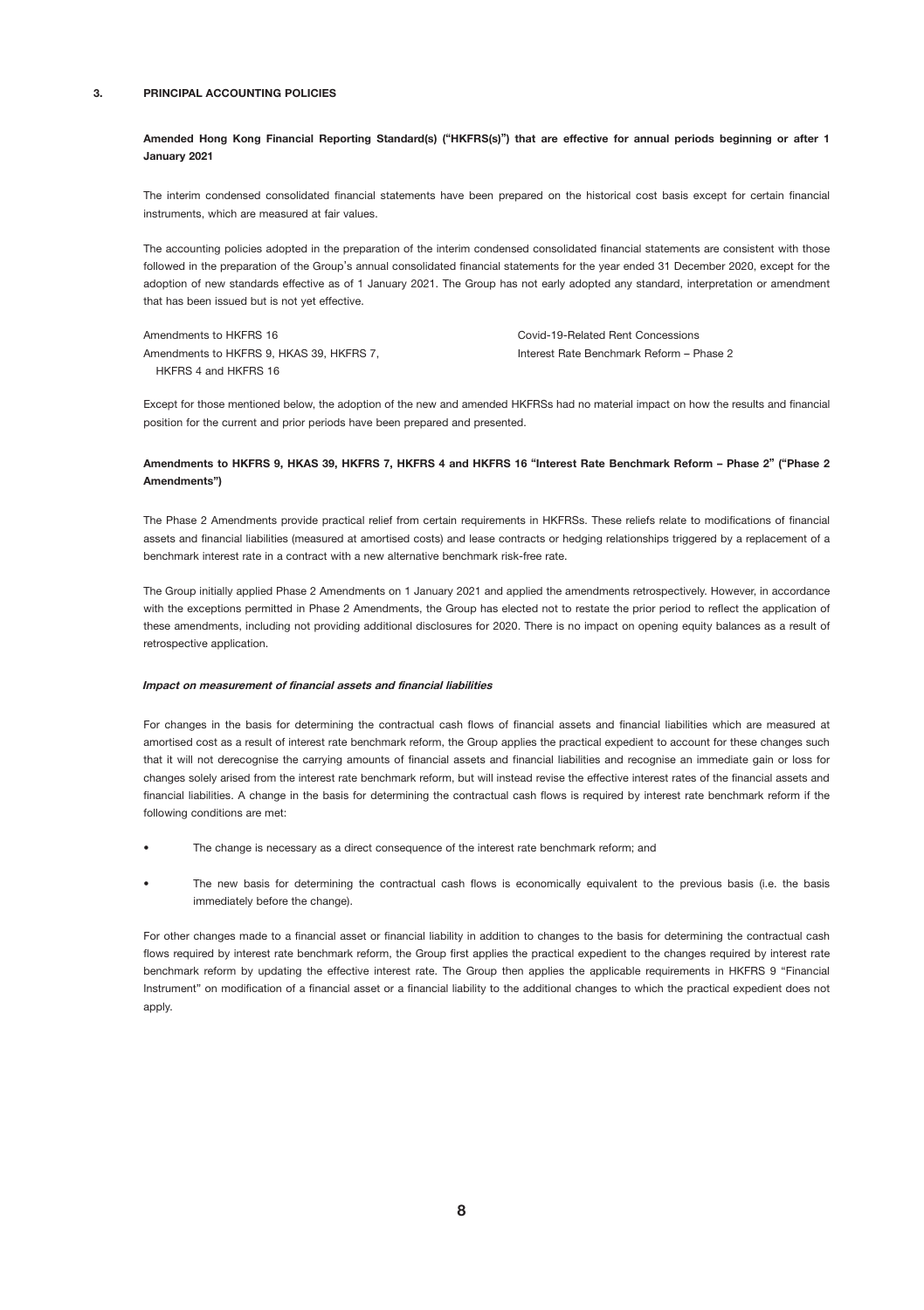#### 3. PRINCIPAL ACCOUNTING POLICIES

#### Amended Hong Kong Financial Reporting Standard(s) ("HKFRS(s)") that are effective for annual periods beginning or after 1 January 2021

The interim condensed consolidated financial statements have been prepared on the historical cost basis except for certain financial instruments, which are measured at fair values.

The accounting policies adopted in the preparation of the interim condensed consolidated financial statements are consistent with those followed in the preparation of the Group's annual consolidated financial statements for the year ended 31 December 2020, except for the adoption of new standards effective as of 1 January 2021. The Group has not early adopted any standard, interpretation or amendment that has been issued but is not yet effective.

| Amendments to HKFRS 16                   | Covid-19-Related Rent Concessions        |
|------------------------------------------|------------------------------------------|
| Amendments to HKFRS 9. HKAS 39. HKFRS 7. | Interest Rate Benchmark Reform - Phase 2 |
| HKFRS 4 and HKFRS 16                     |                                          |

Except for those mentioned below, the adoption of the new and amended HKFRSs had no material impact on how the results and financial position for the current and prior periods have been prepared and presented.

### Amendments to HKFRS 9, HKAS 39, HKFRS 7, HKFRS 4 and HKFRS 16 "Interest Rate Benchmark Reform – Phase 2" ("Phase 2 Amendments")

The Phase 2 Amendments provide practical relief from certain requirements in HKFRSs. These reliefs relate to modifications of financial assets and financial liabilities (measured at amortised costs) and lease contracts or hedging relationships triggered by a replacement of a benchmark interest rate in a contract with a new alternative benchmark risk-free rate.

The Group initially applied Phase 2 Amendments on 1 January 2021 and applied the amendments retrospectively. However, in accordance with the exceptions permitted in Phase 2 Amendments, the Group has elected not to restate the prior period to reflect the application of these amendments, including not providing additional disclosures for 2020. There is no impact on opening equity balances as a result of retrospective application.

#### Impact on measurement of financial assets and financial liabilities

For changes in the basis for determining the contractual cash flows of financial assets and financial liabilities which are measured at amortised cost as a result of interest rate benchmark reform, the Group applies the practical expedient to account for these changes such that it will not derecognise the carrying amounts of financial assets and financial liabilities and recognise an immediate gain or loss for changes solely arised from the interest rate benchmark reform, but will instead revise the effective interest rates of the financial assets and financial liabilities. A change in the basis for determining the contractual cash flows is required by interest rate benchmark reform if the following conditions are met:

- The change is necessary as a direct consequence of the interest rate benchmark reform; and
- The new basis for determining the contractual cash flows is economically equivalent to the previous basis (i.e. the basis immediately before the change).

For other changes made to a financial asset or financial liability in addition to changes to the basis for determining the contractual cash flows required by interest rate benchmark reform, the Group first applies the practical expedient to the changes required by interest rate benchmark reform by updating the effective interest rate. The Group then applies the applicable requirements in HKFRS 9 "Financial Instrument" on modification of a financial asset or a financial liability to the additional changes to which the practical expedient does not apply.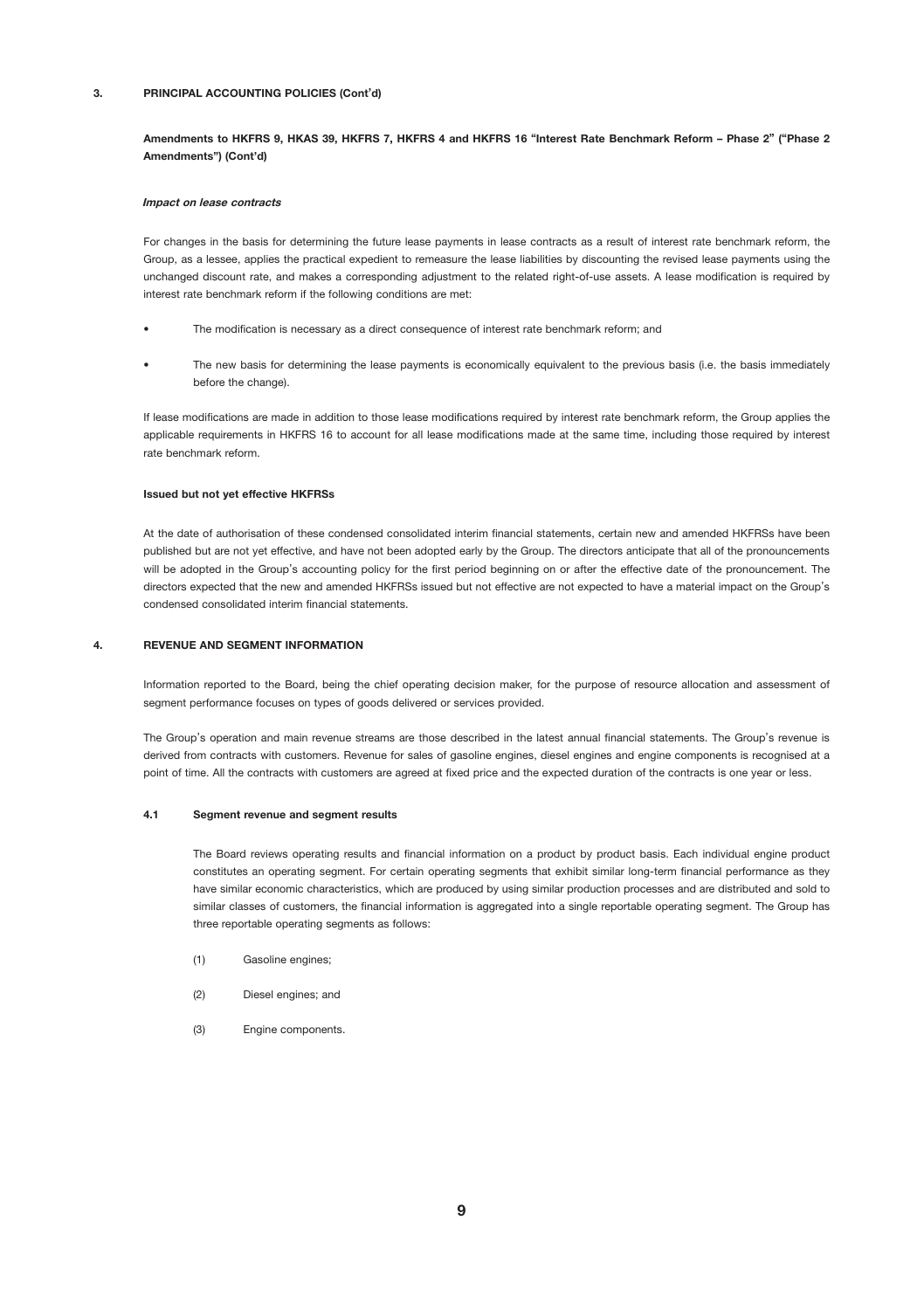#### 3. PRINCIPAL ACCOUNTING POLICIES (Cont'd)

Amendments to HKFRS 9, HKAS 39, HKFRS 7, HKFRS 4 and HKFRS 16 "Interest Rate Benchmark Reform – Phase 2" ("Phase 2 Amendments") (Cont'd)

#### Impact on lease contracts

For changes in the basis for determining the future lease payments in lease contracts as a result of interest rate benchmark reform, the Group, as a lessee, applies the practical expedient to remeasure the lease liabilities by discounting the revised lease payments using the unchanged discount rate, and makes a corresponding adjustment to the related right-of-use assets. A lease modification is required by interest rate benchmark reform if the following conditions are met:

- The modification is necessary as a direct consequence of interest rate benchmark reform; and
- The new basis for determining the lease payments is economically equivalent to the previous basis (i.e. the basis immediately before the change).

If lease modifications are made in addition to those lease modifications required by interest rate benchmark reform, the Group applies the applicable requirements in HKFRS 16 to account for all lease modifications made at the same time, including those required by interest rate benchmark reform.

#### Issued but not yet effective HKFRSs

At the date of authorisation of these condensed consolidated interim financial statements, certain new and amended HKFRSs have been published but are not yet effective, and have not been adopted early by the Group. The directors anticipate that all of the pronouncements will be adopted in the Group's accounting policy for the first period beginning on or after the effective date of the pronouncement. The directors expected that the new and amended HKFRSs issued but not effective are not expected to have a material impact on the Group's condensed consolidated interim financial statements.

#### 4. REVENUE AND SEGMENT INFORMATION

Information reported to the Board, being the chief operating decision maker, for the purpose of resource allocation and assessment of segment performance focuses on types of goods delivered or services provided.

The Group's operation and main revenue streams are those described in the latest annual financial statements. The Group's revenue is derived from contracts with customers. Revenue for sales of gasoline engines, diesel engines and engine components is recognised at a point of time. All the contracts with customers are agreed at fixed price and the expected duration of the contracts is one year or less.

#### 4.1 Segment revenue and segment results

The Board reviews operating results and financial information on a product by product basis. Each individual engine product constitutes an operating segment. For certain operating segments that exhibit similar long-term financial performance as they have similar economic characteristics, which are produced by using similar production processes and are distributed and sold to similar classes of customers, the financial information is aggregated into a single reportable operating segment. The Group has three reportable operating segments as follows:

- (1) Gasoline engines;
- (2) Diesel engines; and
- (3) Engine components.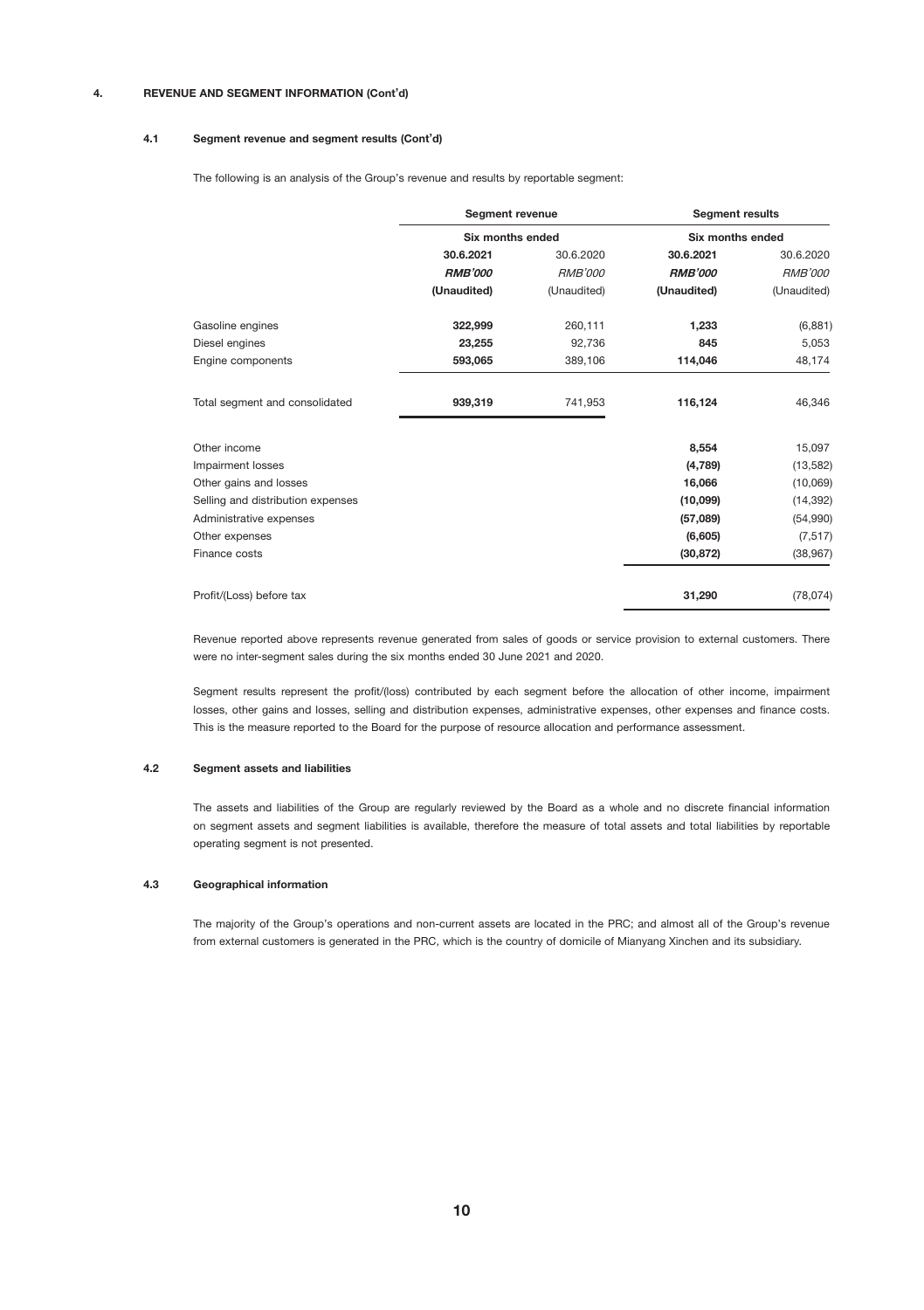### 4. REVENUE AND SEGMENT INFORMATION (Cont'd)

#### 4.1 Segment revenue and segment results (Cont'd)

The following is an analysis of the Group's revenue and results by reportable segment:

|                                   | Segment revenue<br>Six months ended |                | <b>Segment results</b><br>Six months ended |                |
|-----------------------------------|-------------------------------------|----------------|--------------------------------------------|----------------|
|                                   |                                     |                |                                            |                |
|                                   | 30.6.2021                           | 30.6.2020      | 30.6.2021                                  | 30.6.2020      |
|                                   | <b>RMB'000</b>                      | <b>RMB'000</b> | <b>RMB'000</b>                             | <b>RMB'000</b> |
|                                   | (Unaudited)                         | (Unaudited)    | (Unaudited)                                | (Unaudited)    |
| Gasoline engines                  | 322.999                             | 260.111        | 1.233                                      | (6, 881)       |
| Diesel engines                    | 23.255                              | 92,736         | 845                                        | 5,053          |
| Engine components                 | 593,065                             | 389,106        | 114,046                                    | 48,174         |
| Total segment and consolidated    | 939.319                             | 741.953        | 116.124                                    | 46,346         |
| Other income                      |                                     |                | 8.554                                      | 15,097         |
| Impairment losses                 |                                     |                | (4,789)                                    | (13, 582)      |
| Other gains and losses            |                                     |                | 16.066                                     | (10,069)       |
| Selling and distribution expenses |                                     |                | (10,099)                                   | (14, 392)      |
| Administrative expenses           |                                     |                | (57,089)                                   | (54,990)       |
| Other expenses                    |                                     |                | (6,605)                                    | (7, 517)       |
| Finance costs                     |                                     |                | (30, 872)                                  | (38, 967)      |
| Profit/(Loss) before tax          |                                     |                | 31,290                                     | (78, 074)      |

Revenue reported above represents revenue generated from sales of goods or service provision to external customers. There were no inter-segment sales during the six months ended 30 June 2021 and 2020.

Segment results represent the profit/(loss) contributed by each segment before the allocation of other income, impairment losses, other gains and losses, selling and distribution expenses, administrative expenses, other expenses and finance costs. This is the measure reported to the Board for the purpose of resource allocation and performance assessment.

#### 4.2 Segment assets and liabilities

The assets and liabilities of the Group are regularly reviewed by the Board as a whole and no discrete financial information on segment assets and segment liabilities is available, therefore the measure of total assets and total liabilities by reportable operating segment is not presented.

#### 4.3 Geographical information

The majority of the Group's operations and non-current assets are located in the PRC; and almost all of the Group's revenue from external customers is generated in the PRC, which is the country of domicile of Mianyang Xinchen and its subsidiary.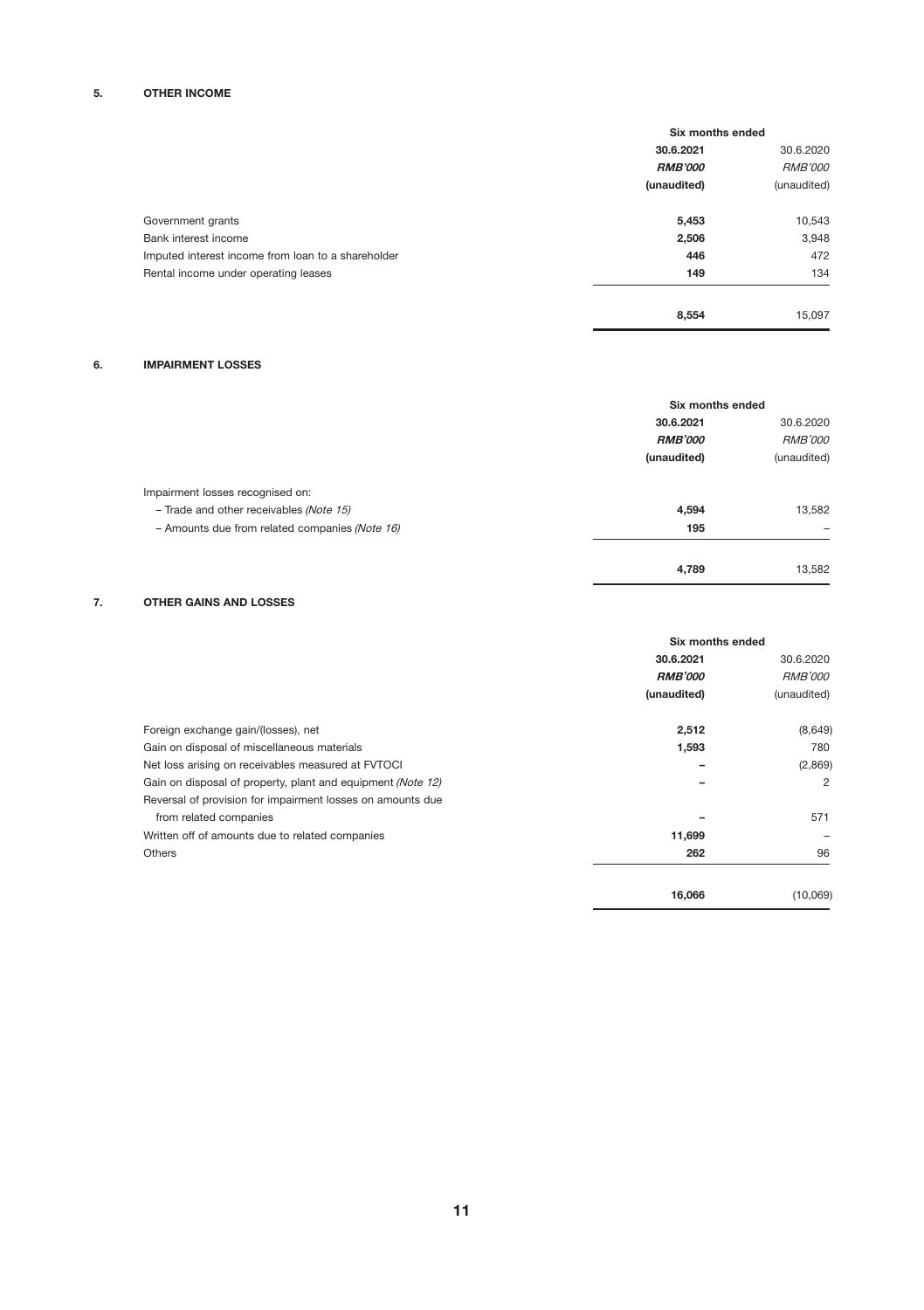# 5. OTHER INCOME

|                                                    | Six months ended |                |
|----------------------------------------------------|------------------|----------------|
|                                                    | 30.6.2021        | 30.6.2020      |
|                                                    | <b>RMB'000</b>   | <b>RMB'000</b> |
|                                                    | (unaudited)      | (unaudited)    |
| Government grants                                  | 5,453            | 10,543         |
| Bank interest income                               | 2,506            | 3,948          |
| Imputed interest income from loan to a shareholder | 446              | 472            |
| Rental income under operating leases               | 149              | 134            |
|                                                    | 8.554            | 15,097         |

J.

J.

# 6. IMPAIRMENT LOSSES

|                                                |                | Six months ended            |  |
|------------------------------------------------|----------------|-----------------------------|--|
|                                                | 30.6.2021      | 30.6.2020<br><b>RMB'000</b> |  |
|                                                | <b>RMB'000</b> |                             |  |
|                                                | (unaudited)    | (unaudited)                 |  |
| Impairment losses recognised on:               |                |                             |  |
| - Trade and other receivables (Note 15)        | 4,594          | 13,582                      |  |
| - Amounts due from related companies (Note 16) | 195            |                             |  |
|                                                | 4,789          | 13,582                      |  |

# 7. OTHER GAINS AND LOSSES

|                                                             | Six months ended |                             |
|-------------------------------------------------------------|------------------|-----------------------------|
|                                                             | 30.6.2021        | 30.6.2020<br><i>RMB'000</i> |
|                                                             | <b>RMB'000</b>   |                             |
|                                                             | (unaudited)      | (unaudited)                 |
| Foreign exchange gain/(losses), net                         | 2,512            | (8,649)                     |
| Gain on disposal of miscellaneous materials                 | 1,593            | 780                         |
| Net loss arising on receivables measured at FVTOCI          |                  | (2,869)                     |
| Gain on disposal of property, plant and equipment (Note 12) |                  | $\overline{c}$              |
| Reversal of provision for impairment losses on amounts due  |                  |                             |
| from related companies                                      |                  | 571                         |
| Written off of amounts due to related companies             | 11,699           |                             |
| <b>Others</b>                                               | 262              | 96                          |
|                                                             | 16,066           | (10,069)                    |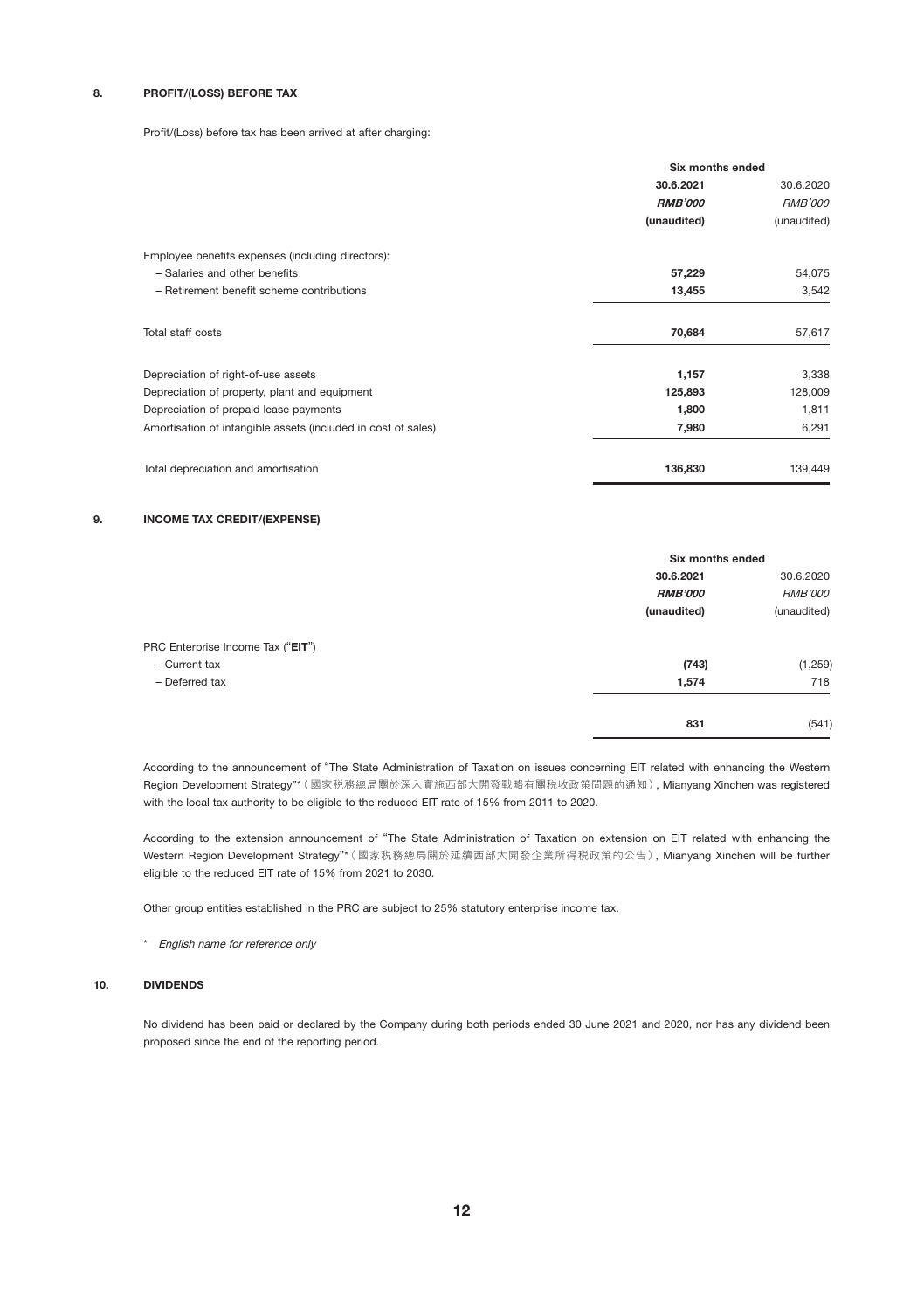# 8. PROFIT/(LOSS) BEFORE TAX

Profit/(Loss) before tax has been arrived at after charging:

|                                                               | Six months ended |                |  |
|---------------------------------------------------------------|------------------|----------------|--|
|                                                               | 30.6.2021        | 30.6.2020      |  |
|                                                               | <b>RMB'000</b>   | <b>RMB'000</b> |  |
|                                                               | (unaudited)      | (unaudited)    |  |
| Employee benefits expenses (including directors):             |                  |                |  |
| - Salaries and other benefits                                 | 57,229           | 54,075         |  |
| - Retirement benefit scheme contributions                     | 13,455           | 3.542          |  |
| Total staff costs                                             | 70.684           | 57.617         |  |
| Depreciation of right-of-use assets                           | 1,157            | 3,338          |  |
| Depreciation of property, plant and equipment                 | 125,893          | 128,009        |  |
| Depreciation of prepaid lease payments                        | 1,800            | 1,811          |  |
| Amortisation of intangible assets (included in cost of sales) | 7,980            | 6,291          |  |
| Total depreciation and amortisation                           | 136,830          | 139,449        |  |

#### 9. INCOME TAX CREDIT/(EXPENSE)

|                                   |                | Six months ended |  |
|-----------------------------------|----------------|------------------|--|
|                                   | 30.6.2021      | 30.6.2020        |  |
|                                   | <b>RMB'000</b> | <b>RMB'000</b>   |  |
|                                   | (unaudited)    | (unaudited)      |  |
| PRC Enterprise Income Tax ("EIT") |                |                  |  |
| - Current tax                     | (743)          | (1,259)          |  |
| - Deferred tax                    | 1,574          | 718              |  |
|                                   | 831            | (541)            |  |

According to the announcement of "The State Administration of Taxation on issues concerning EIT related with enhancing the Western Region Development Strategy"\*(國家稅務總局關於深入實施西部大開發戰略有關稅收政策問題的通知), Mianyang Xinchen was registered with the local tax authority to be eligible to the reduced EIT rate of 15% from 2011 to 2020.

According to the extension announcement of "The State Administration of Taxation on extension on EIT related with enhancing the Western Region Development Strategy"\*(國家稅務總局關於延續西部大開發企業所得稅政策的公告), Mianyang Xinchen will be further eligible to the reduced EIT rate of 15% from 2021 to 2030.

Other group entities established in the PRC are subject to 25% statutory enterprise income tax.

\* English name for reference only

### 10. DIVIDENDS

No dividend has been paid or declared by the Company during both periods ended 30 June 2021 and 2020, nor has any dividend been proposed since the end of the reporting period.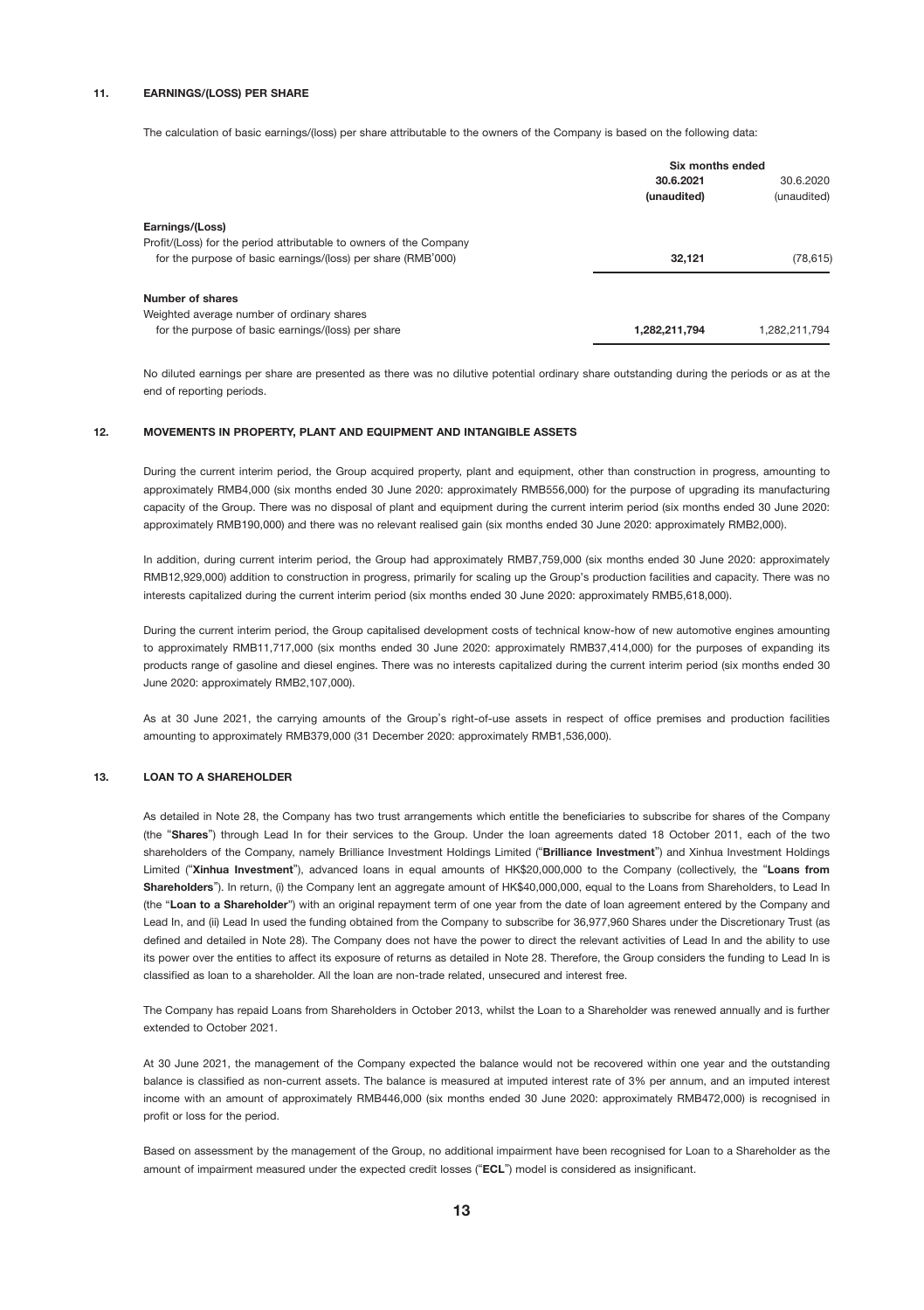#### 11. EARNINGS/(LOSS) PER SHARE

The calculation of basic earnings/(loss) per share attributable to the owners of the Company is based on the following data:

|                                                                    | Six months ended |               |
|--------------------------------------------------------------------|------------------|---------------|
|                                                                    | 30.6.2021        | 30.6.2020     |
|                                                                    | (unaudited)      | (unaudited)   |
| Earnings/(Loss)                                                    |                  |               |
| Profit/(Loss) for the period attributable to owners of the Company |                  |               |
| for the purpose of basic earnings/(loss) per share (RMB'000)       | 32.121           | (78, 615)     |
| Number of shares                                                   |                  |               |
| Weighted average number of ordinary shares                         |                  |               |
| for the purpose of basic earnings/(loss) per share                 | 1.282.211.794    | 1,282,211,794 |

No diluted earnings per share are presented as there was no dilutive potential ordinary share outstanding during the periods or as at the end of reporting periods.

#### 12. MOVEMENTS IN PROPERTY, PLANT AND EQUIPMENT AND INTANGIBLE ASSETS

During the current interim period, the Group acquired property, plant and equipment, other than construction in progress, amounting to approximately RMB4,000 (six months ended 30 June 2020: approximately RMB556,000) for the purpose of upgrading its manufacturing capacity of the Group. There was no disposal of plant and equipment during the current interim period (six months ended 30 June 2020: approximately RMB190,000) and there was no relevant realised gain (six months ended 30 June 2020: approximately RMB2,000).

In addition, during current interim period, the Group had approximately RMB7,759,000 (six months ended 30 June 2020: approximately RMB12,929,000) addition to construction in progress, primarily for scaling up the Group's production facilities and capacity. There was no interests capitalized during the current interim period (six months ended 30 June 2020: approximately RMB5,618,000).

During the current interim period, the Group capitalised development costs of technical know-how of new automotive engines amounting to approximately RMB11,717,000 (six months ended 30 June 2020: approximately RMB37,414,000) for the purposes of expanding its products range of gasoline and diesel engines. There was no interests capitalized during the current interim period (six months ended 30 June 2020: approximately RMB2,107,000).

As at 30 June 2021, the carrying amounts of the Group's right-of-use assets in respect of office premises and production facilities amounting to approximately RMB379,000 (31 December 2020: approximately RMB1,536,000).

#### 13. LOAN TO A SHAREHOLDER

As detailed in Note 28, the Company has two trust arrangements which entitle the beneficiaries to subscribe for shares of the Company (the "Shares") through Lead In for their services to the Group. Under the loan agreements dated 18 October 2011, each of the two shareholders of the Company, namely Brilliance Investment Holdings Limited ("Brilliance Investment") and Xinhua Investment Holdings Limited ("Xinhua Investment"), advanced loans in equal amounts of HK\$20,000,000 to the Company (collectively, the "Loans from Shareholders"). In return, (i) the Company lent an aggregate amount of HK\$40,000,000, equal to the Loans from Shareholders, to Lead In (the "Loan to a Shareholder") with an original repayment term of one year from the date of loan agreement entered by the Company and Lead In, and (ii) Lead In used the funding obtained from the Company to subscribe for 36,977,960 Shares under the Discretionary Trust (as defined and detailed in Note 28). The Company does not have the power to direct the relevant activities of Lead In and the ability to use its power over the entities to affect its exposure of returns as detailed in Note 28. Therefore, the Group considers the funding to Lead In is classified as loan to a shareholder. All the loan are non-trade related, unsecured and interest free.

The Company has repaid Loans from Shareholders in October 2013, whilst the Loan to a Shareholder was renewed annually and is further extended to October 2021.

At 30 June 2021, the management of the Company expected the balance would not be recovered within one year and the outstanding balance is classified as non-current assets. The balance is measured at imputed interest rate of 3% per annum, and an imputed interest income with an amount of approximately RMB446,000 (six months ended 30 June 2020: approximately RMB472,000) is recognised in profit or loss for the period.

Based on assessment by the management of the Group, no additional impairment have been recognised for Loan to a Shareholder as the amount of impairment measured under the expected credit losses ("ECL") model is considered as insignificant.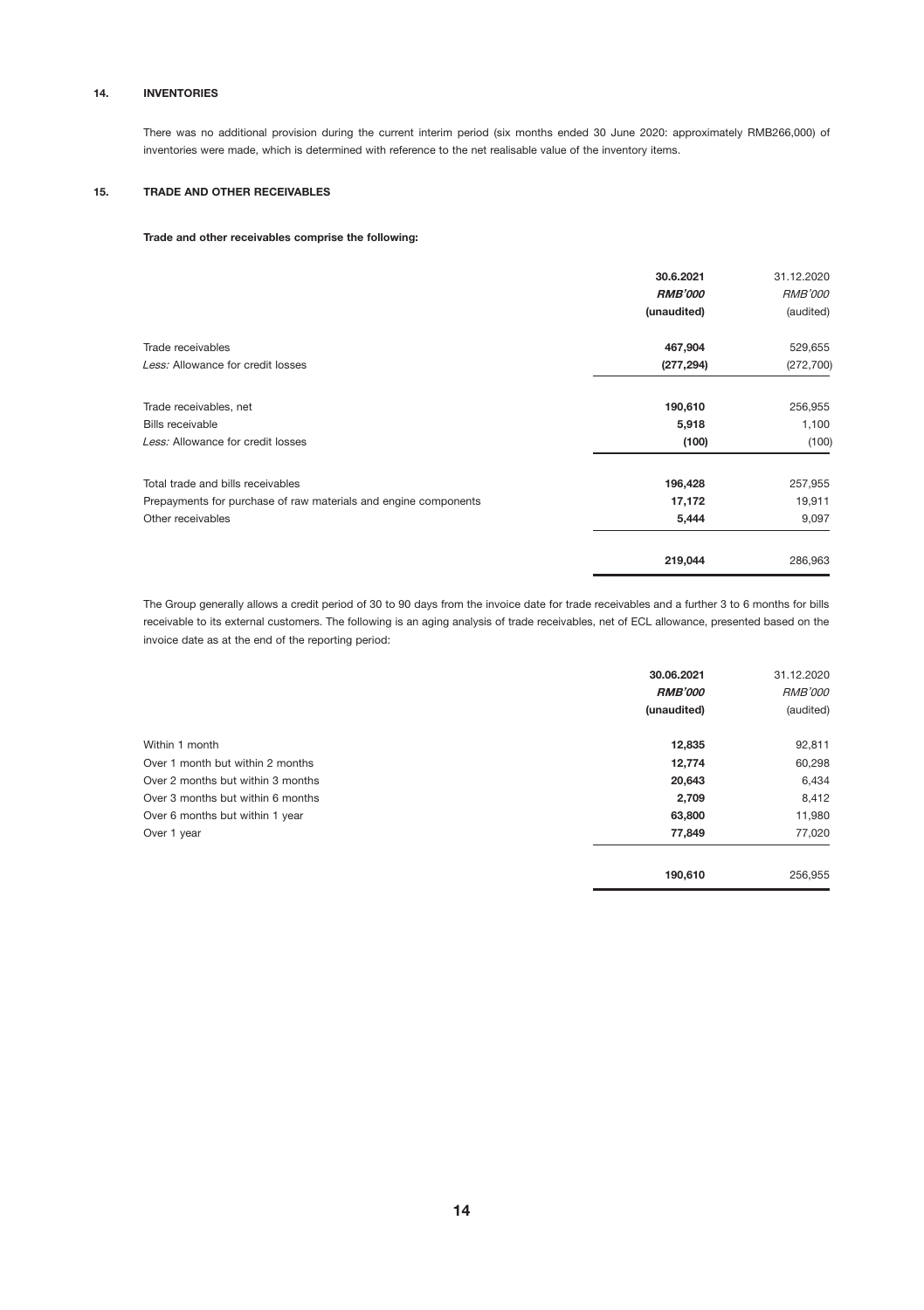### 14. INVENTORIES

There was no additional provision during the current interim period (six months ended 30 June 2020: approximately RMB266,000) of inventories were made, which is determined with reference to the net realisable value of the inventory items.

### 15. TRADE AND OTHER RECEIVABLES

### Trade and other receivables comprise the following:

|                                                                 | 30.6.2021<br><b>RMB'000</b><br>(unaudited) | 31.12.2020<br><b>RMB'000</b><br>(audited) |
|-----------------------------------------------------------------|--------------------------------------------|-------------------------------------------|
| Trade receivables                                               | 467,904                                    | 529,655                                   |
| Less: Allowance for credit losses                               | (277, 294)                                 | (272, 700)                                |
| Trade receivables, net                                          | 190,610                                    | 256,955                                   |
| Bills receivable                                                | 5,918                                      | 1,100                                     |
| Less: Allowance for credit losses                               | (100)                                      | (100)                                     |
| Total trade and bills receivables                               | 196,428                                    | 257,955                                   |
| Prepayments for purchase of raw materials and engine components | 17,172                                     | 19,911                                    |
| Other receivables                                               | 5,444                                      | 9,097                                     |
|                                                                 | 219.044                                    | 286.963                                   |

The Group generally allows a credit period of 30 to 90 days from the invoice date for trade receivables and a further 3 to 6 months for bills receivable to its external customers. The following is an aging analysis of trade receivables, net of ECL allowance, presented based on the invoice date as at the end of the reporting period:

|                                   | 30.06.2021     | 31.12.2020     |
|-----------------------------------|----------------|----------------|
|                                   | <b>RMB'000</b> | <b>RMB'000</b> |
|                                   | (unaudited)    | (audited)      |
| Within 1 month                    | 12,835         | 92,811         |
| Over 1 month but within 2 months  | 12,774         | 60,298         |
| Over 2 months but within 3 months | 20,643         | 6,434          |
| Over 3 months but within 6 months | 2,709          | 8,412          |
| Over 6 months but within 1 year   | 63,800         | 11,980         |
| Over 1 year                       | 77,849         | 77,020         |
|                                   | 190.610        | 256,955        |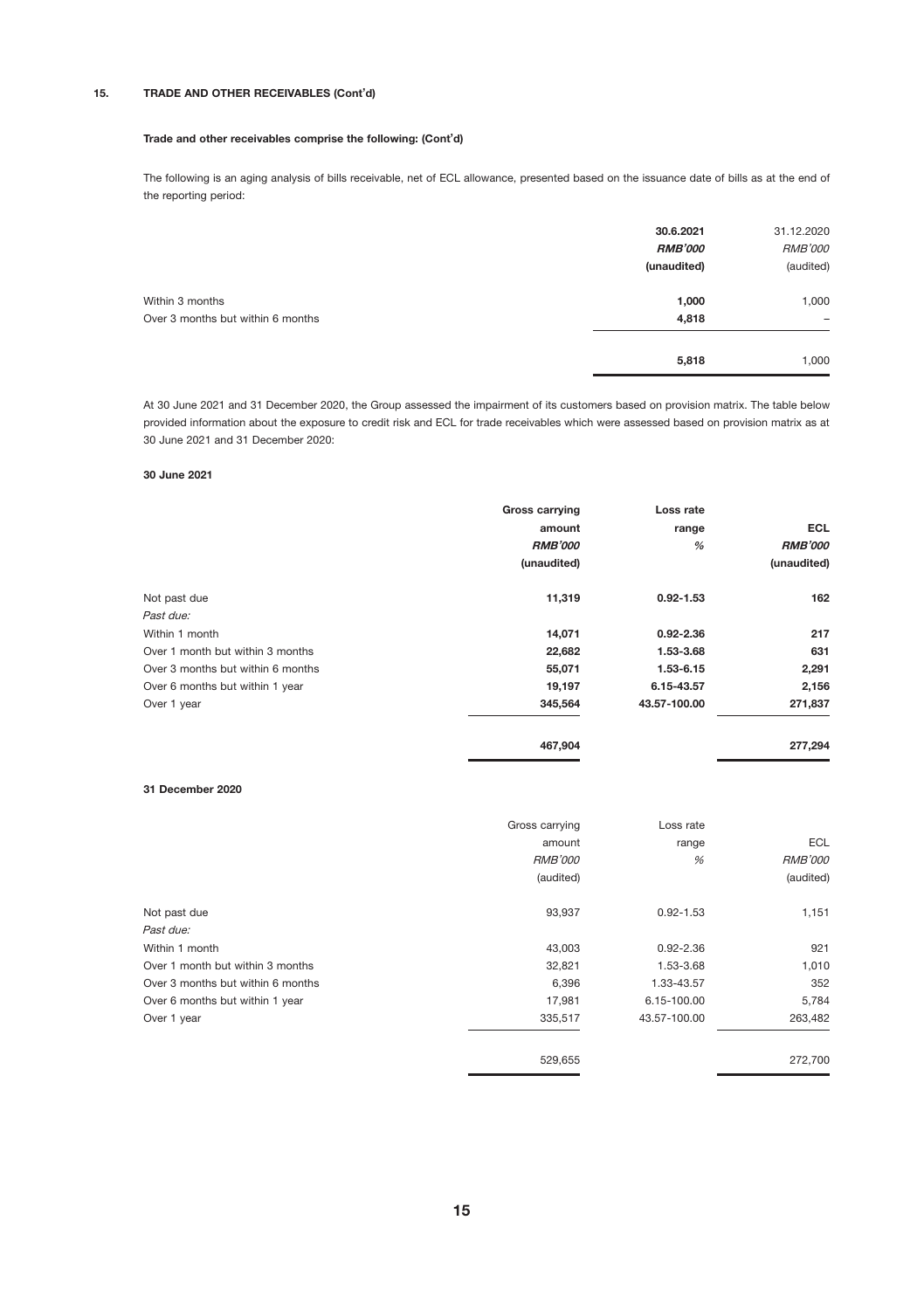### 15. TRADE AND OTHER RECEIVABLES (Cont'd)

#### Trade and other receivables comprise the following: (Cont'd)

The following is an aging analysis of bills receivable, net of ECL allowance, presented based on the issuance date of bills as at the end of the reporting period:

|                                                      | 30.6.2021<br><b>RMB'000</b><br>(unaudited) | 31.12.2020<br><b>RMB'000</b><br>(audited) |
|------------------------------------------------------|--------------------------------------------|-------------------------------------------|
| Within 3 months<br>Over 3 months but within 6 months | 1,000<br>4,818                             | 1,000<br>$\overline{\phantom{a}}$         |
|                                                      | 5,818                                      | 1,000                                     |

At 30 June 2021 and 31 December 2020, the Group assessed the impairment of its customers based on provision matrix. The table below provided information about the exposure to credit risk and ECL for trade receivables which were assessed based on provision matrix as at 30 June 2021 and 31 December 2020:

### 30 June 2021

|                                   | <b>Gross carrying</b> | Loss rate     |                |
|-----------------------------------|-----------------------|---------------|----------------|
|                                   | amount                | range         | <b>ECL</b>     |
|                                   | <b>RMB'000</b>        | %             | <b>RMB'000</b> |
|                                   | (unaudited)           |               | (unaudited)    |
| Not past due                      | 11,319                | $0.92 - 1.53$ | 162            |
| Past due:                         |                       |               |                |
| Within 1 month                    | 14,071                | $0.92 - 2.36$ | 217            |
| Over 1 month but within 3 months  | 22,682                | 1.53-3.68     | 631            |
| Over 3 months but within 6 months | 55,071                | 1.53-6.15     | 2,291          |
| Over 6 months but within 1 year   | 19,197                | 6.15-43.57    | 2,156          |
| Over 1 year                       | 345.564               | 43.57-100.00  | 271,837        |
|                                   | 467,904               |               | 277,294        |

#### 31 December 2020

|                                   | Gross carrying | Loss rate     |                |
|-----------------------------------|----------------|---------------|----------------|
|                                   | amount         | range         | <b>ECL</b>     |
|                                   | <b>RMB'000</b> | %             | <b>RMB'000</b> |
|                                   | (audited)      |               | (audited)      |
| Not past due                      | 93,937         | $0.92 - 1.53$ | 1,151          |
| Past due:                         |                |               |                |
| Within 1 month                    | 43,003         | $0.92 - 2.36$ | 921            |
| Over 1 month but within 3 months  | 32,821         | 1.53-3.68     | 1,010          |
| Over 3 months but within 6 months | 6,396          | 1.33-43.57    | 352            |
| Over 6 months but within 1 year   | 17.981         | 6.15-100.00   | 5,784          |
| Over 1 year                       | 335.517        | 43.57-100.00  | 263,482        |
|                                   | 529.655        |               | 272,700        |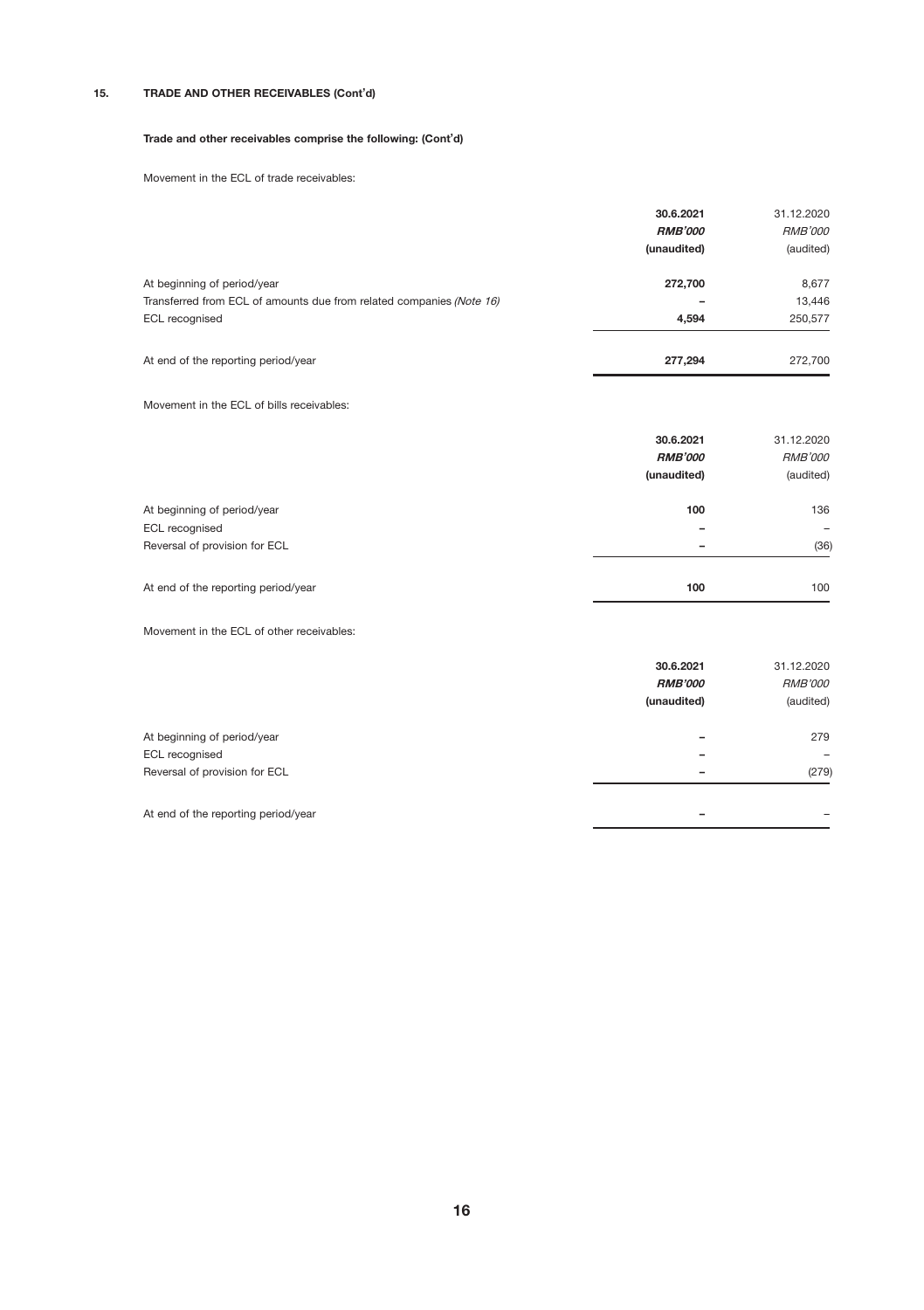# 15. TRADE AND OTHER RECEIVABLES (Cont'd)

#### Trade and other receivables comprise the following: (Cont'd)

Movement in the ECL of trade receivables:

|                                                                      | 30.6.2021<br><b>RMB'000</b><br>(unaudited) | 31.12.2020<br><b>RMB'000</b><br>(audited) |
|----------------------------------------------------------------------|--------------------------------------------|-------------------------------------------|
| At beginning of period/year                                          | 272,700                                    | 8,677                                     |
| Transferred from ECL of amounts due from related companies (Note 16) |                                            | 13,446                                    |
| ECL recognised                                                       | 4.594                                      | 250,577                                   |
| At end of the reporting period/year                                  | 277.294                                    | 272,700                                   |

# Movement in the ECL of bills receivables:

|                                     | 30.6.2021<br><b>RMB'000</b> | 31.12.2020<br><b>RMB'000</b> |
|-------------------------------------|-----------------------------|------------------------------|
|                                     | (unaudited)                 | (audited)                    |
| At beginning of period/year         | 100                         | 136                          |
| ECL recognised                      | -                           | $\overline{\phantom{0}}$     |
| Reversal of provision for ECL       | $\overline{\phantom{0}}$    | (36)                         |
| At end of the reporting period/year | 100                         | 100                          |

### Movement in the ECL of other receivables:

|                                     | 30.6.2021<br><b>RMB'000</b><br>(unaudited) | 31.12.2020<br><b>RMB'000</b><br>(audited) |
|-------------------------------------|--------------------------------------------|-------------------------------------------|
| At beginning of period/year         |                                            | 279                                       |
| ECL recognised                      | -                                          | $\overline{\phantom{0}}$                  |
| Reversal of provision for ECL       | $\overline{\phantom{a}}$                   | (279)                                     |
| At end of the reporting period/year | -                                          |                                           |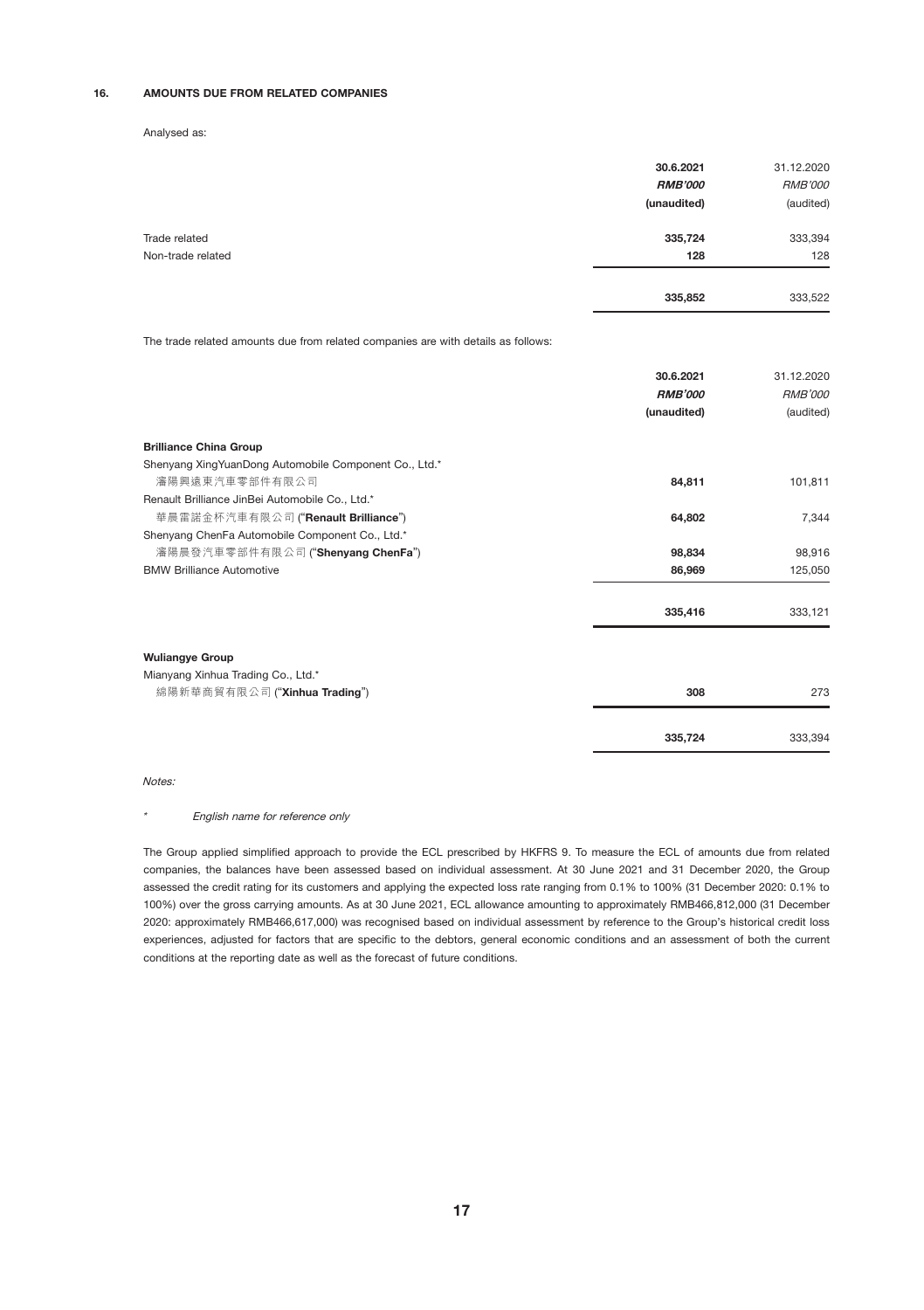### 16. AMOUNTS DUE FROM RELATED COMPANIES

Analysed as:

|                   | 30.6.2021<br><b>RMB'000</b><br>(unaudited) | 31.12.2020<br><b>RMB'000</b><br>(audited) |
|-------------------|--------------------------------------------|-------------------------------------------|
| Trade related     | 335,724                                    | 333,394                                   |
| Non-trade related | 128                                        | 128                                       |
|                   | 335,852                                    | 333,522                                   |

The trade related amounts due from related companies are with details as follows:

|                                                       | 30.6.2021      | 31.12.2020     |
|-------------------------------------------------------|----------------|----------------|
|                                                       | <b>RMB'000</b> | <b>RMB'000</b> |
|                                                       | (unaudited)    | (audited)      |
| <b>Brilliance China Group</b>                         |                |                |
| Shenyang XingYuanDong Automobile Component Co., Ltd.* |                |                |
| 瀋陽興遠東汽車零部件有限公司                                        | 84.811         | 101,811        |
| Renault Brilliance JinBei Automobile Co., Ltd.*       |                |                |
| 華晨雷諾金杯汽車有限公司 ("Renault Brilliance")                   | 64.802         | 7,344          |
| Shenyang ChenFa Automobile Component Co., Ltd.*       |                |                |
| 瀋陽晨發汽車零部件有限公司 ("Shenyang ChenFa")                     | 98,834         | 98,916         |
| <b>BMW Brilliance Automotive</b>                      | 86,969         | 125,050        |
|                                                       | 335,416        | 333,121        |
| <b>Wuliangye Group</b>                                |                |                |
| Mianyang Xinhua Trading Co., Ltd.*                    |                |                |
| 綿陽新華商貿有限公司 ("Xinhua Trading")                         | 308            | 273            |
|                                                       | 335,724        | 333,394        |

Notes:

#### \* English name for reference only

The Group applied simplified approach to provide the ECL prescribed by HKFRS 9. To measure the ECL of amounts due from related companies, the balances have been assessed based on individual assessment. At 30 June 2021 and 31 December 2020, the Group assessed the credit rating for its customers and applying the expected loss rate ranging from 0.1% to 100% (31 December 2020: 0.1% to 100%) over the gross carrying amounts. As at 30 June 2021, ECL allowance amounting to approximately RMB466,812,000 (31 December 2020: approximately RMB466,617,000) was recognised based on individual assessment by reference to the Group's historical credit loss experiences, adjusted for factors that are specific to the debtors, general economic conditions and an assessment of both the current conditions at the reporting date as well as the forecast of future conditions.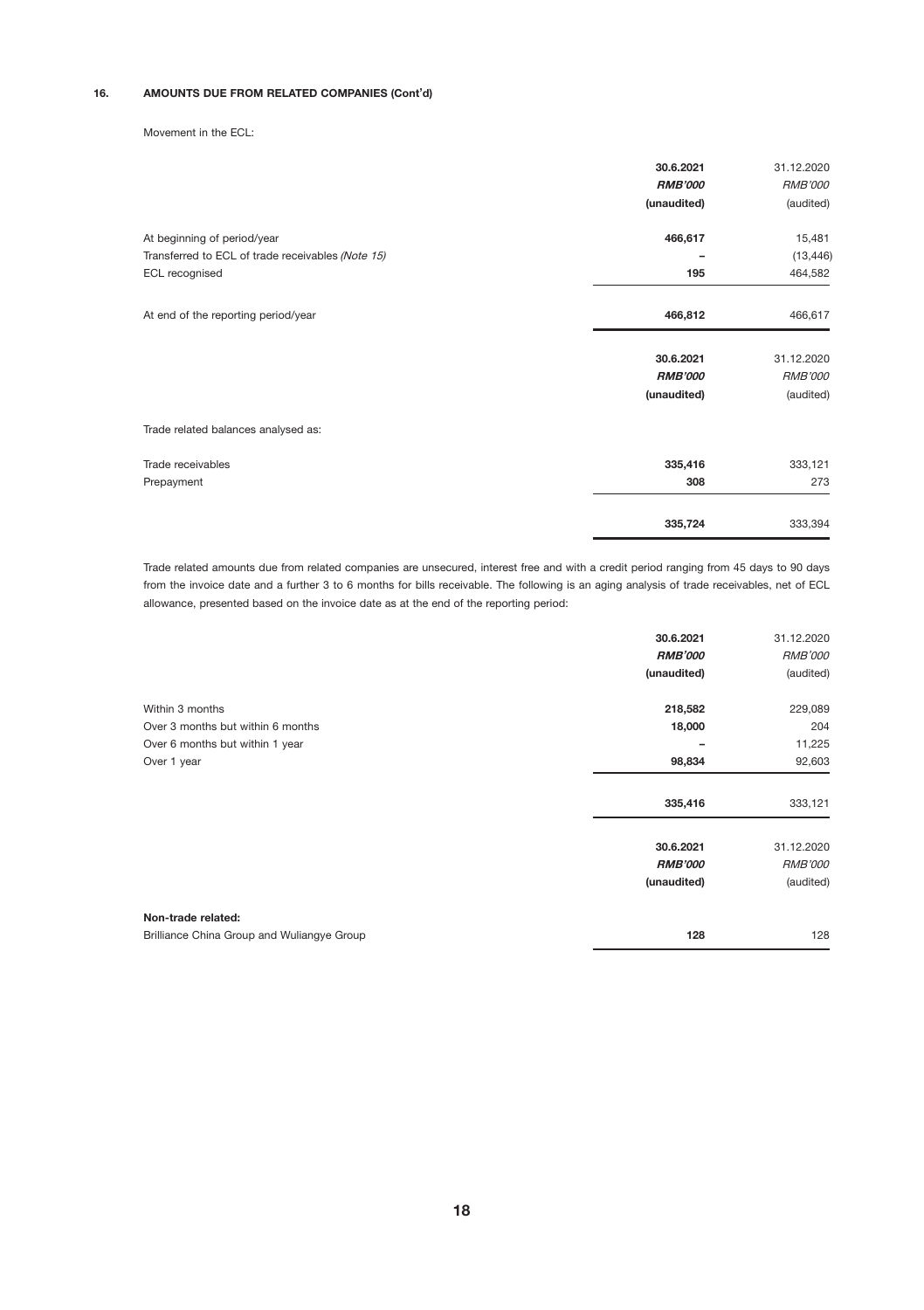### 16. AMOUNTS DUE FROM RELATED COMPANIES (Cont'd)

Movement in the ECL:

|                                                   | 30.6.2021      | 31.12.2020     |
|---------------------------------------------------|----------------|----------------|
|                                                   | <b>RMB'000</b> | <b>RMB'000</b> |
|                                                   | (unaudited)    | (audited)      |
| At beginning of period/year                       | 466,617        | 15,481         |
| Transferred to ECL of trade receivables (Note 15) |                | (13, 446)      |
| ECL recognised                                    | 195            | 464,582        |
| At end of the reporting period/year               | 466,812        | 466,617        |
|                                                   | 30.6.2021      | 31.12.2020     |
|                                                   | <b>RMB'000</b> | RMB'000        |
|                                                   | (unaudited)    | (audited)      |
| Trade related balances analysed as:               |                |                |
| Trade receivables                                 | 335,416        | 333,121        |
| Prepayment                                        | 308            | 273            |
|                                                   | 335,724        | 333,394        |

Trade related amounts due from related companies are unsecured, interest free and with a credit period ranging from 45 days to 90 days from the invoice date and a further 3 to 6 months for bills receivable. The following is an aging analysis of trade receivables, net of ECL allowance, presented based on the invoice date as at the end of the reporting period:

|                                            | 30.6.2021<br><b>RMB'000</b> | 31.12.2020<br><b>RMB'000</b> |
|--------------------------------------------|-----------------------------|------------------------------|
|                                            | (unaudited)                 | (audited)                    |
| Within 3 months                            | 218,582                     | 229,089                      |
| Over 3 months but within 6 months          | 18,000                      | 204                          |
| Over 6 months but within 1 year            |                             | 11,225                       |
| Over 1 year                                | 98,834                      | 92,603                       |
|                                            | 335,416                     | 333,121                      |
|                                            | 30.6.2021                   | 31.12.2020                   |
|                                            | <b>RMB'000</b>              | <b>RMB'000</b>               |
|                                            | (unaudited)                 | (audited)                    |
| Non-trade related:                         |                             |                              |
| Brilliance China Group and Wuliangye Group | 128                         | 128                          |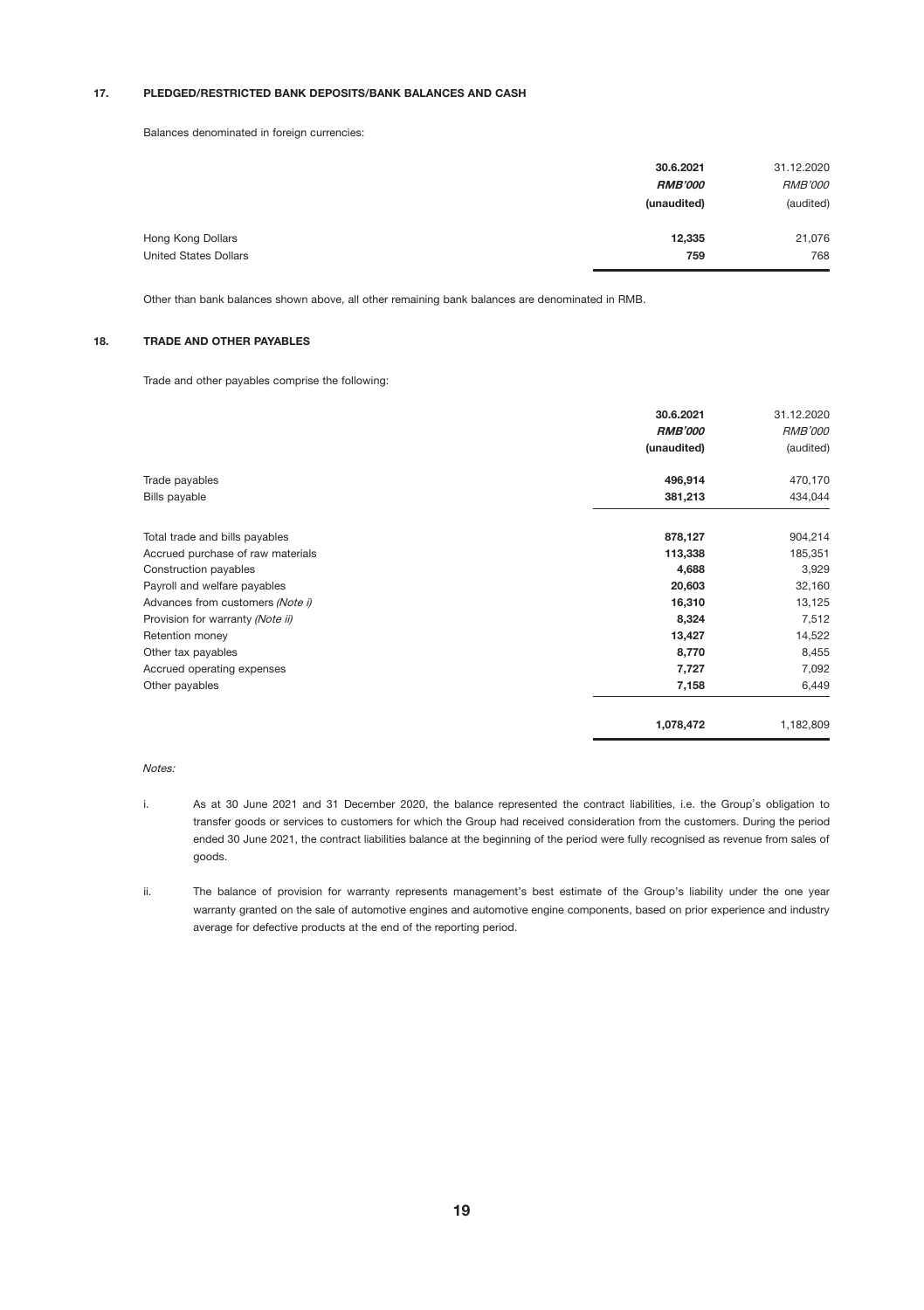### 17. PLEDGED/RESTRICTED BANK DEPOSITS/BANK BALANCES AND CASH

Balances denominated in foreign currencies:

|                              | 30.6.2021      | 31.12.2020     |
|------------------------------|----------------|----------------|
|                              | <b>RMB'000</b> | <b>RMB'000</b> |
|                              | (unaudited)    | (audited)      |
| Hong Kong Dollars            | 12,335         | 21,076         |
| <b>United States Dollars</b> | 759            | 768            |

Other than bank balances shown above, all other remaining bank balances are denominated in RMB.

#### 18. TRADE AND OTHER PAYABLES

Trade and other payables comprise the following:

|                                   | 30.6.2021      | 31.12.2020 |
|-----------------------------------|----------------|------------|
|                                   | <b>RMB'000</b> | RMB'000    |
|                                   | (unaudited)    | (audited)  |
| Trade payables                    | 496,914        | 470,170    |
| Bills payable                     | 381,213        | 434,044    |
| Total trade and bills payables    | 878,127        | 904,214    |
| Accrued purchase of raw materials | 113,338        | 185,351    |
| Construction payables             | 4,688          | 3,929      |
| Payroll and welfare payables      | 20,603         | 32,160     |
| Advances from customers (Note i)  | 16,310         | 13,125     |
| Provision for warranty (Note ii)  | 8,324          | 7,512      |
| Retention money                   | 13,427         | 14,522     |
| Other tax payables                | 8,770          | 8,455      |
| Accrued operating expenses        | 7,727          | 7,092      |
| Other payables                    | 7,158          | 6,449      |
|                                   | 1,078,472      | 1,182,809  |

#### Notes:

- i. As at 30 June 2021 and 31 December 2020, the balance represented the contract liabilities, i.e. the Group's obligation to transfer goods or services to customers for which the Group had received consideration from the customers. During the period ended 30 June 2021, the contract liabilities balance at the beginning of the period were fully recognised as revenue from sales of goods.
- ii. The balance of provision for warranty represents management's best estimate of the Group's liability under the one year warranty granted on the sale of automotive engines and automotive engine components, based on prior experience and industry average for defective products at the end of the reporting period.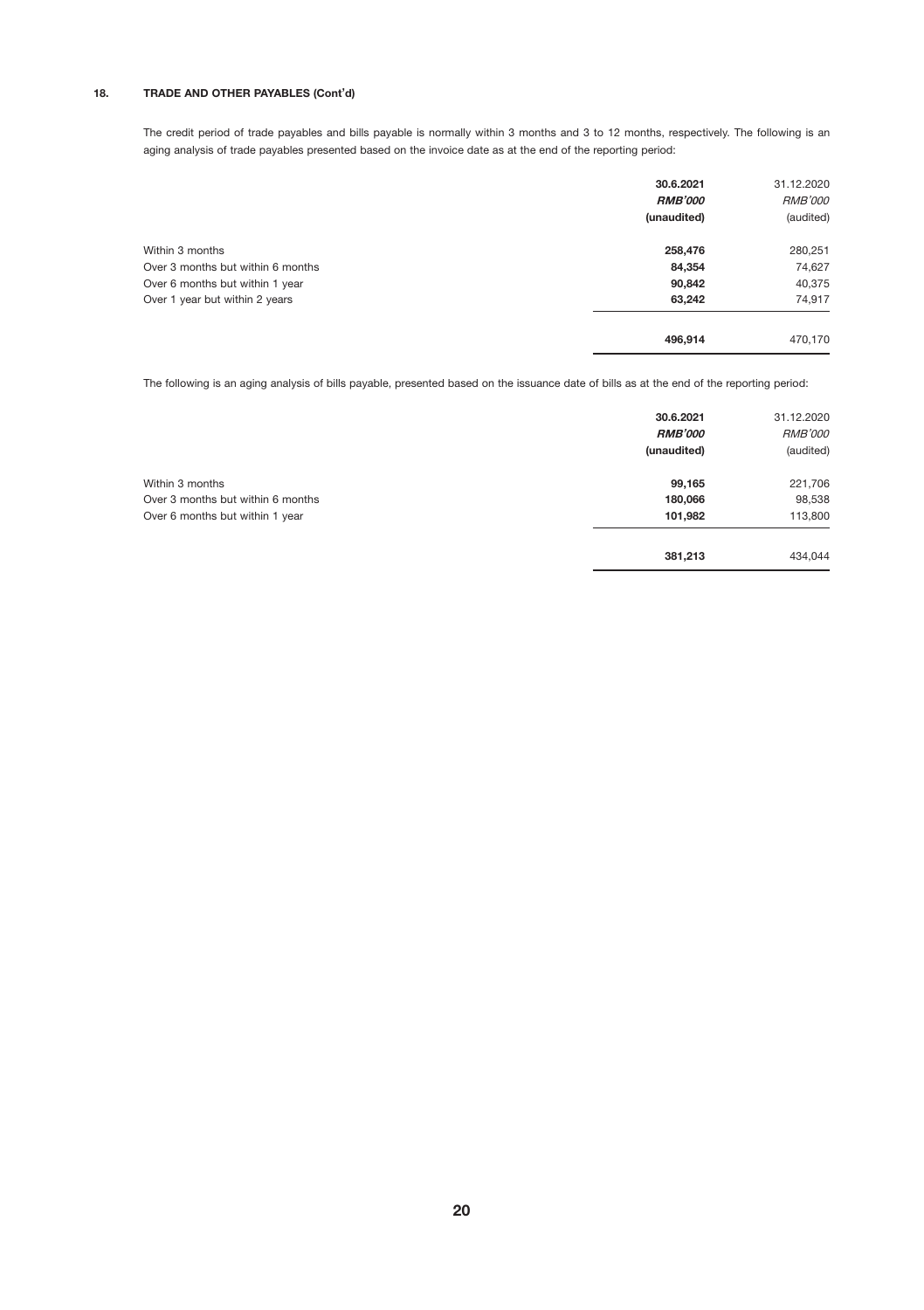# 18. TRADE AND OTHER PAYABLES (Cont'd)

The credit period of trade payables and bills payable is normally within 3 months and 3 to 12 months, respectively. The following is an aging analysis of trade payables presented based on the invoice date as at the end of the reporting period:

|                                   | 30.6.2021<br><b>RMB'000</b><br>(unaudited) | 31.12.2020<br><b>RMB'000</b><br>(audited) |
|-----------------------------------|--------------------------------------------|-------------------------------------------|
| Within 3 months                   | 258,476                                    | 280,251                                   |
| Over 3 months but within 6 months | 84,354                                     | 74,627                                    |
| Over 6 months but within 1 year   | 90,842                                     | 40,375                                    |
| Over 1 year but within 2 years    | 63,242                                     | 74,917                                    |
|                                   | 496.914                                    | 470.170                                   |

The following is an aging analysis of bills payable, presented based on the issuance date of bills as at the end of the reporting period:

|                                   | 30.6.2021<br><b>RMB'000</b><br>(unaudited) | 31.12.2020<br><b>RMB'000</b><br>(audited) |
|-----------------------------------|--------------------------------------------|-------------------------------------------|
| Within 3 months                   | 99,165                                     | 221,706                                   |
| Over 3 months but within 6 months | 180,066                                    | 98,538                                    |
| Over 6 months but within 1 year   | 101.982                                    | 113,800                                   |
|                                   | 381,213                                    | 434.044                                   |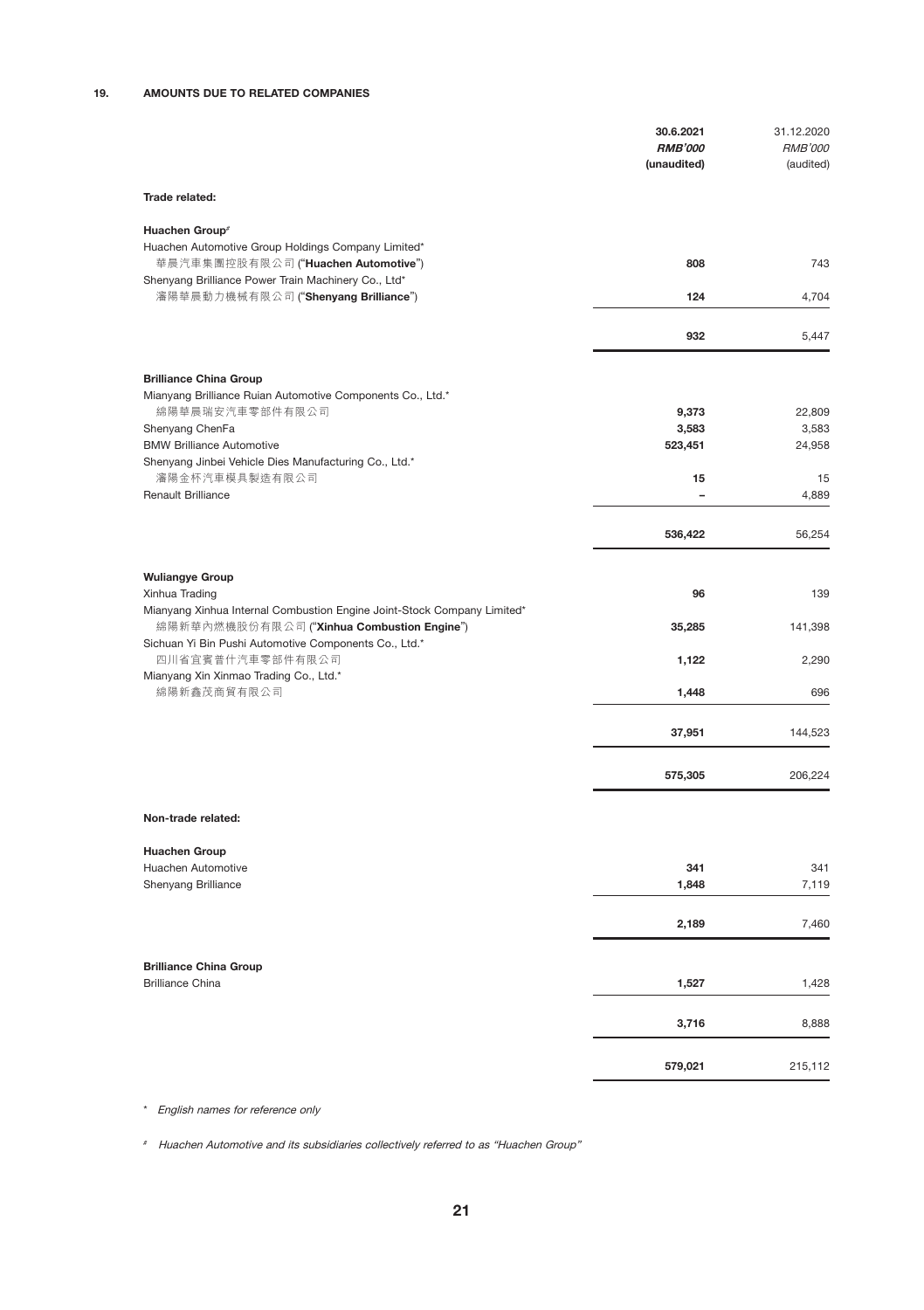# 19. AMOUNTS DUE TO RELATED COMPANIES

|                                                                                                                       | 30.6.2021<br><b>RMB'000</b><br>(unaudited) | 31.12.2020<br><b>RMB'000</b><br>(audited) |
|-----------------------------------------------------------------------------------------------------------------------|--------------------------------------------|-------------------------------------------|
| Trade related:                                                                                                        |                                            |                                           |
| Huachen Group <sup>®</sup>                                                                                            |                                            |                                           |
| Huachen Automotive Group Holdings Company Limited*<br>華晨汽車集團控股有限公司 ("Huachen Automotive")                             | 808                                        | 743                                       |
| Shenyang Brilliance Power Train Machinery Co., Ltd*                                                                   |                                            |                                           |
| 瀋陽華晨動力機械有限公司 ("Shenyang Brilliance")                                                                                  | 124                                        | 4.704                                     |
|                                                                                                                       | 932                                        | 5,447                                     |
| <b>Brilliance China Group</b>                                                                                         |                                            |                                           |
| Mianyang Brilliance Ruian Automotive Components Co., Ltd.*                                                            |                                            |                                           |
| 綿陽華晨瑞安汽車零部件有限公司<br>Shenyang ChenFa                                                                                    | 9,373<br>3,583                             | 22,809<br>3,583                           |
| <b>BMW Brilliance Automotive</b>                                                                                      | 523,451                                    | 24,958                                    |
| Shenyang Jinbei Vehicle Dies Manufacturing Co., Ltd.*                                                                 |                                            |                                           |
| 瀋陽金杯汽車模具製造有限公司<br>Renault Brilliance                                                                                  | 15<br>$\overline{\phantom{0}}$             | 15<br>4.889                               |
|                                                                                                                       |                                            |                                           |
|                                                                                                                       | 536,422                                    | 56.254                                    |
| <b>Wuliangye Group</b>                                                                                                |                                            |                                           |
| Xinhua Trading                                                                                                        | 96                                         | 139                                       |
| Mianyang Xinhua Internal Combustion Engine Joint-Stock Company Limited*<br>綿陽新華內燃機股份有限公司 ("Xinhua Combustion Engine") | 35,285                                     | 141,398                                   |
| Sichuan Yi Bin Pushi Automotive Components Co., Ltd.*<br>四川省宜賓普什汽車零部件有限公司                                             | 1,122                                      | 2,290                                     |
| Mianyang Xin Xinmao Trading Co., Ltd.*<br>綿陽新鑫茂商貿有限公司                                                                 | 1,448                                      | 696                                       |
|                                                                                                                       | 37,951                                     | 144,523                                   |
|                                                                                                                       |                                            |                                           |
|                                                                                                                       | 575,305                                    | 206,224                                   |
| Non-trade related:                                                                                                    |                                            |                                           |
| <b>Huachen Group</b>                                                                                                  |                                            |                                           |
| Huachen Automotive                                                                                                    | 341                                        | 341                                       |
| Shenyang Brilliance                                                                                                   | 1,848                                      | 7,119                                     |
|                                                                                                                       | 2,189                                      | 7,460                                     |
| <b>Brilliance China Group</b>                                                                                         |                                            |                                           |
| <b>Brilliance China</b>                                                                                               | 1,527                                      | 1,428                                     |
|                                                                                                                       | 3,716                                      | 8,888                                     |
|                                                                                                                       | 579,021                                    | 215,112                                   |
|                                                                                                                       |                                            |                                           |

\* English names for reference only

# Huachen Automotive and its subsidiaries collectively referred to as "Huachen Group"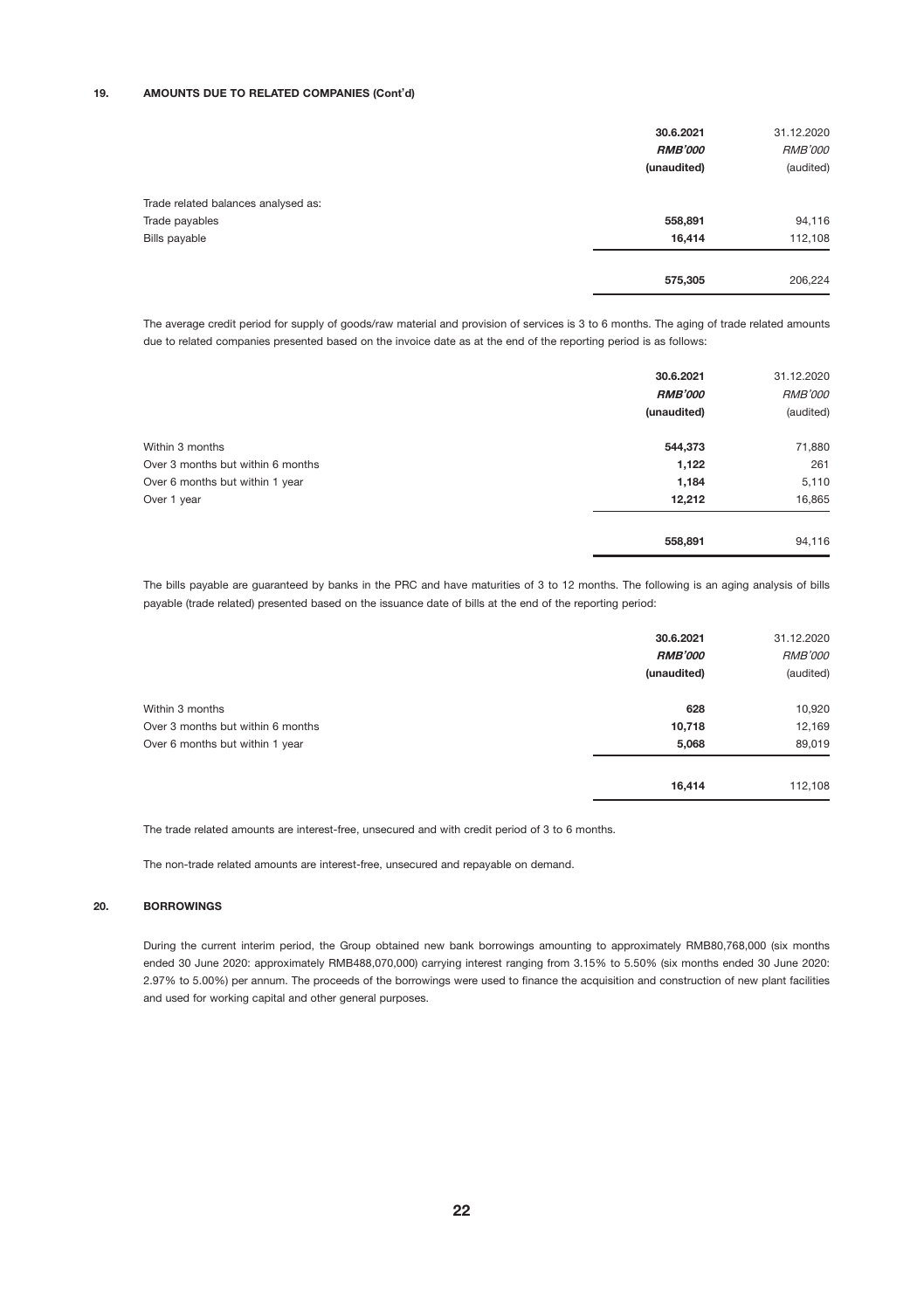### 19. AMOUNTS DUE TO RELATED COMPANIES (Cont'd)

|                                     | 30.6.2021<br><b>RMB'000</b><br>(unaudited) | 31.12.2020<br><b>RMB'000</b><br>(audited) |
|-------------------------------------|--------------------------------------------|-------------------------------------------|
| Trade related balances analysed as: |                                            |                                           |
| Trade payables                      | 558,891                                    | 94,116                                    |
| Bills payable                       | 16,414                                     | 112,108                                   |
|                                     | 575,305                                    | 206,224                                   |

The average credit period for supply of goods/raw material and provision of services is 3 to 6 months. The aging of trade related amounts due to related companies presented based on the invoice date as at the end of the reporting period is as follows:

|                                   | 30.6.2021<br><b>RMB'000</b> | 31.12.2020<br><b>RMB'000</b> |
|-----------------------------------|-----------------------------|------------------------------|
|                                   | (unaudited)                 | (audited)                    |
| Within 3 months                   | 544,373                     | 71,880                       |
| Over 3 months but within 6 months | 1,122                       | 261                          |
| Over 6 months but within 1 year   | 1,184                       | 5,110                        |
| Over 1 year                       | 12,212                      | 16,865                       |
|                                   | 558,891                     | 94,116                       |

The bills payable are guaranteed by banks in the PRC and have maturities of 3 to 12 months. The following is an aging analysis of bills payable (trade related) presented based on the issuance date of bills at the end of the reporting period:

|                                   | 30.6.2021<br><b>RMB'000</b><br>(unaudited) | 31.12.2020<br><b>RMB'000</b><br>(audited) |
|-----------------------------------|--------------------------------------------|-------------------------------------------|
| Within 3 months                   | 628                                        | 10,920                                    |
| Over 3 months but within 6 months | 10,718                                     | 12,169                                    |
| Over 6 months but within 1 year   | 5,068                                      | 89,019                                    |
|                                   | 16,414                                     | 112.108                                   |

The trade related amounts are interest-free, unsecured and with credit period of 3 to 6 months.

The non-trade related amounts are interest-free, unsecured and repayable on demand.

### 20. BORROWINGS

During the current interim period, the Group obtained new bank borrowings amounting to approximately RMB80,768,000 (six months ended 30 June 2020: approximately RMB488,070,000) carrying interest ranging from 3.15% to 5.50% (six months ended 30 June 2020: 2.97% to 5.00%) per annum. The proceeds of the borrowings were used to finance the acquisition and construction of new plant facilities and used for working capital and other general purposes.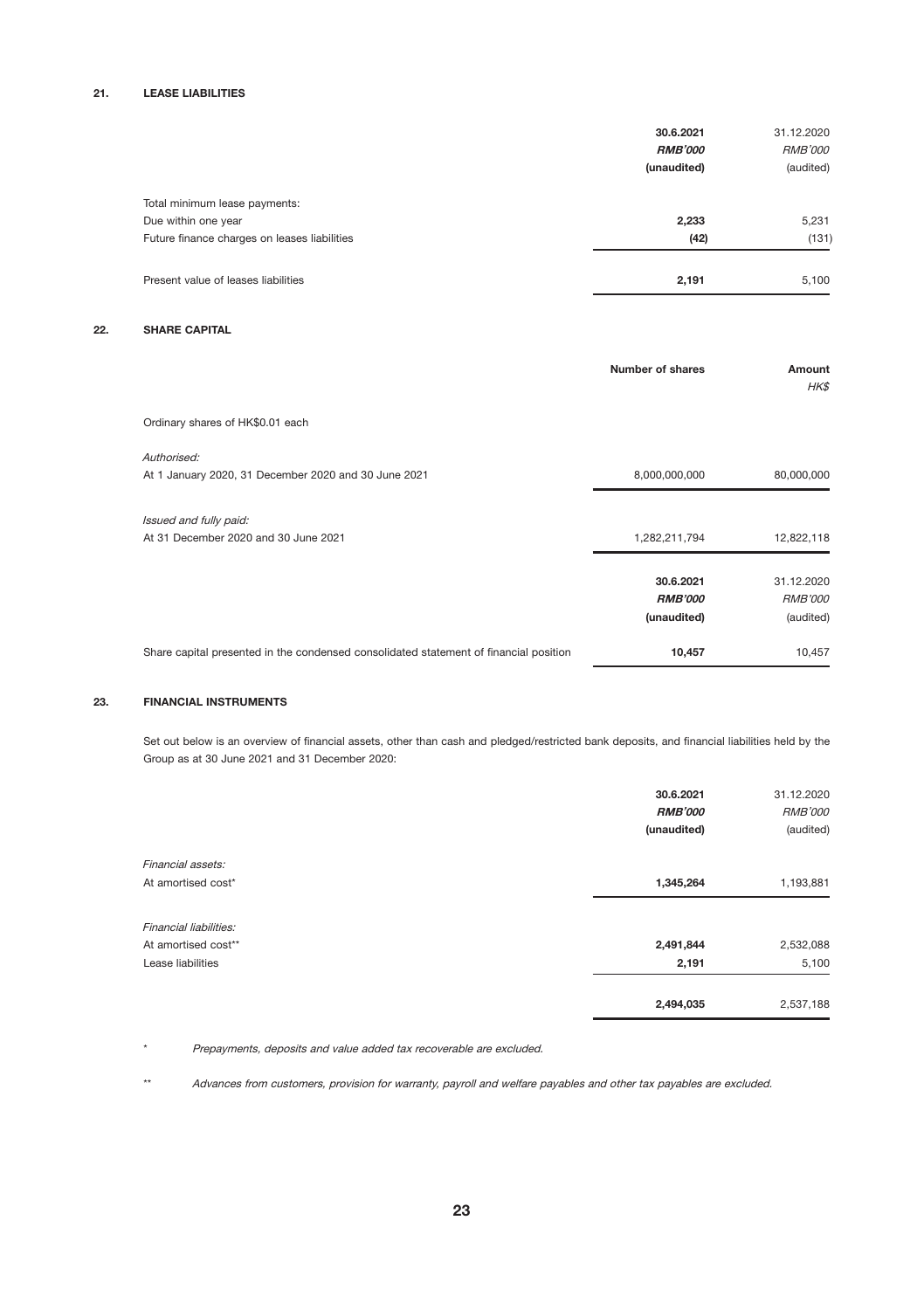### 21. LEASE LIABILITIES

| 30.6.2021<br><b>RMB'000</b><br>(unaudited) | 31.12.2020<br><b>RMB'000</b><br>(audited) |
|--------------------------------------------|-------------------------------------------|
|                                            |                                           |
| 2,233                                      | 5,231                                     |
| (42)                                       | (131)                                     |
| 2.191                                      | 5,100                                     |
|                                            |                                           |

### 22. SHARE CAPITAL

|                                                                                       | Number of shares              | Amount<br>HK\$              |
|---------------------------------------------------------------------------------------|-------------------------------|-----------------------------|
| Ordinary shares of HK\$0.01 each                                                      |                               |                             |
| Authorised:<br>At 1 January 2020, 31 December 2020 and 30 June 2021                   | 8,000,000,000                 | 80,000,000                  |
| Issued and fully paid:<br>At 31 December 2020 and 30 June 2021                        | 1,282,211,794                 | 12,822,118                  |
|                                                                                       | 30.6.2021                     | 31.12.2020                  |
|                                                                                       | <b>RMB'000</b><br>(unaudited) | <b>RMB'000</b><br>(audited) |
| Share capital presented in the condensed consolidated statement of financial position | 10,457                        | 10,457                      |

### 23. FINANCIAL INSTRUMENTS

Set out below is an overview of financial assets, other than cash and pledged/restricted bank deposits, and financial liabilities held by the Group as at 30 June 2021 and 31 December 2020:

|                        | 30.6.2021<br><b>RMB'000</b><br>(unaudited) | 31.12.2020<br><b>RMB'000</b><br>(audited) |
|------------------------|--------------------------------------------|-------------------------------------------|
| Financial assets:      |                                            |                                           |
| At amortised cost*     | 1,345,264                                  | 1,193,881                                 |
| Financial liabilities: |                                            |                                           |
| At amortised cost**    | 2,491,844                                  | 2,532,088                                 |
| Lease liabilities      | 2,191                                      | 5,100                                     |
|                        | 2,494,035                                  | 2,537,188                                 |

\* Prepayments, deposits and value added tax recoverable are excluded.

\*\* Advances from customers, provision for warranty, payroll and welfare payables and other tax payables are excluded.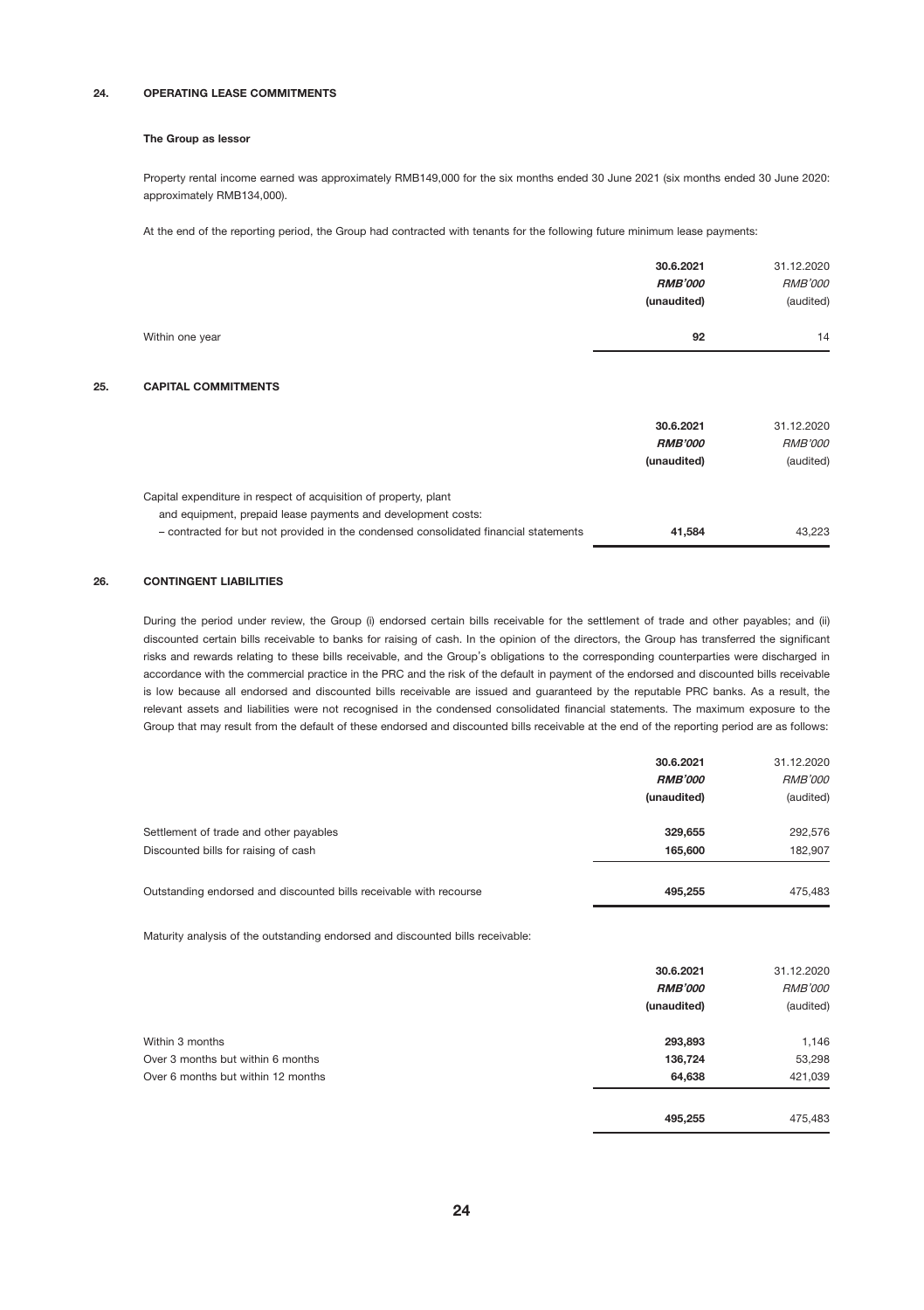### 24. OPERATING LEASE COMMITMENTS

#### The Group as lessor

Property rental income earned was approximately RMB149,000 for the six months ended 30 June 2021 (six months ended 30 June 2020: approximately RMB134,000).

At the end of the reporting period, the Group had contracted with tenants for the following future minimum lease payments:

|                       | 30.6.2021      | 31.12.2020     |
|-----------------------|----------------|----------------|
|                       | <b>RMB'000</b> | <b>RMB'000</b> |
|                       | (unaudited)    | (audited)      |
| Within one year<br>92 | 14             |                |
|                       |                |                |

# 25. CAPITAL COMMITMENTS

|                                                                                                                                                                                                                          | 30.6.2021<br><b>RMB'000</b><br>(unaudited) | 31.12.2020<br><b>RMB'000</b><br>(audited) |
|--------------------------------------------------------------------------------------------------------------------------------------------------------------------------------------------------------------------------|--------------------------------------------|-------------------------------------------|
| Capital expenditure in respect of acquisition of property, plant<br>and equipment, prepaid lease payments and development costs:<br>- contracted for but not provided in the condensed consolidated financial statements | 41.584                                     | 43.223                                    |

#### 26. CONTINGENT LIABILITIES

During the period under review, the Group (i) endorsed certain bills receivable for the settlement of trade and other payables; and (ii) discounted certain bills receivable to banks for raising of cash. In the opinion of the directors, the Group has transferred the significant risks and rewards relating to these bills receivable, and the Group's obligations to the corresponding counterparties were discharged in accordance with the commercial practice in the PRC and the risk of the default in payment of the endorsed and discounted bills receivable is low because all endorsed and discounted bills receivable are issued and guaranteed by the reputable PRC banks. As a result, the relevant assets and liabilities were not recognised in the condensed consolidated financial statements. The maximum exposure to the Group that may result from the default of these endorsed and discounted bills receivable at the end of the reporting period are as follows:

|                                                                                | 30.6.2021<br><b>RMB'000</b><br>(unaudited) | 31.12.2020<br><b>RMB'000</b><br>(audited) |
|--------------------------------------------------------------------------------|--------------------------------------------|-------------------------------------------|
| Settlement of trade and other payables<br>Discounted bills for raising of cash | 329.655<br>165,600                         | 292,576<br>182.907                        |
| Outstanding endorsed and discounted bills receivable with recourse             | 495.255                                    | 475,483                                   |

Maturity analysis of the outstanding endorsed and discounted bills receivable:

|                                    | 30.6.2021      | 31.12.2020     |
|------------------------------------|----------------|----------------|
|                                    | <b>RMB'000</b> | <b>RMB'000</b> |
|                                    | (unaudited)    | (audited)      |
| Within 3 months                    | 293,893        | 1,146          |
| Over 3 months but within 6 months  | 136,724        | 53,298         |
| Over 6 months but within 12 months | 64,638         | 421,039        |
|                                    | 495,255        | 475,483        |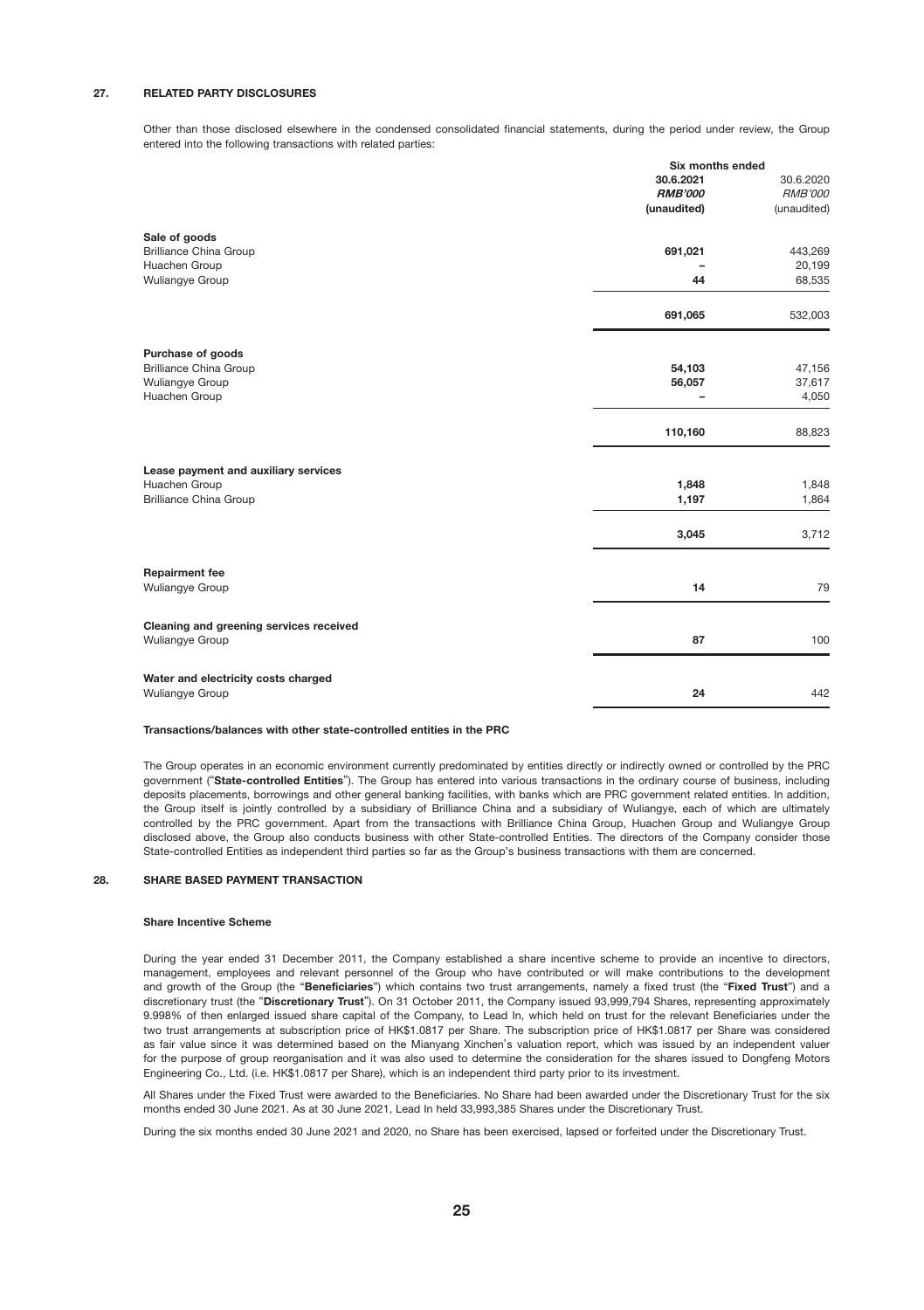#### 27. RELATED PARTY DISCLOSURES

Other than those disclosed elsewhere in the condensed consolidated financial statements, during the period under review, the Group entered into the following transactions with related parties:

|                                         | Six months ended |                |
|-----------------------------------------|------------------|----------------|
|                                         | 30.6.2021        | 30.6.2020      |
|                                         | <b>RMB'000</b>   | <b>RMB'000</b> |
|                                         | (unaudited)      | (unaudited)    |
| Sale of goods                           |                  |                |
| <b>Brilliance China Group</b>           | 691,021          | 443,269        |
| Huachen Group                           |                  | 20,199         |
| Wuliangye Group                         | 44               | 68,535         |
|                                         | 691,065          | 532,003        |
| Purchase of goods                       |                  |                |
| <b>Brilliance China Group</b>           | 54,103           | 47,156         |
| Wuliangye Group                         | 56,057           | 37,617         |
| Huachen Group                           | $\overline{a}$   | 4,050          |
|                                         | 110,160          | 88,823         |
| Lease payment and auxiliary services    |                  |                |
| Huachen Group                           | 1,848            | 1,848          |
| <b>Brilliance China Group</b>           | 1,197            | 1,864          |
|                                         | 3,045            | 3,712          |
| <b>Repairment fee</b>                   |                  |                |
| Wuliangye Group                         | 14               | 79             |
| Cleaning and greening services received |                  |                |
| Wuliangye Group                         | 87               | 100            |
| Water and electricity costs charged     |                  |                |
| Wuliangye Group                         | 24               | 442            |

#### Transactions/balances with other state-controlled entities in the PRC

The Group operates in an economic environment currently predominated by entities directly or indirectly owned or controlled by the PRC government ("State-controlled Entities"). The Group has entered into various transactions in the ordinary course of business, including deposits placements, borrowings and other general banking facilities, with banks which are PRC government related entities. In addition, the Group itself is jointly controlled by a subsidiary of Brilliance China and a subsidiary of Wuliangye, each of which are ultimately controlled by the PRC government. Apart from the transactions with Brilliance China Group, Huachen Group and Wuliangye Group disclosed above, the Group also conducts business with other State-controlled Entities. The directors of the Company consider those State-controlled Entities as independent third parties so far as the Group's business transactions with them are concerned.

#### 28. SHARE BASED PAYMENT TRANSACTION

#### Share Incentive Scheme

During the year ended 31 December 2011, the Company established a share incentive scheme to provide an incentive to directors, management, employees and relevant personnel of the Group who have contributed or will make contributions to the development and growth of the Group (the "Beneficiaries") which contains two trust arrangements, namely a fixed trust (the "Fixed Trust") and a discretionary trust (the "Discretionary Trust"). On 31 October 2011, the Company issued 93,999,794 Shares, representing approximately 9.998% of then enlarged issued share capital of the Company, to Lead In, which held on trust for the relevant Beneficiaries under the two trust arrangements at subscription price of HK\$1.0817 per Share. The subscription price of HK\$1.0817 per Share was considered as fair value since it was determined based on the Mianyang Xinchen's valuation report, which was issued by an independent valuer for the purpose of group reorganisation and it was also used to determine the consideration for the shares issued to Dongfeng Motors Engineering Co., Ltd. (i.e. HK\$1.0817 per Share), which is an independent third party prior to its investment.

All Shares under the Fixed Trust were awarded to the Beneficiaries. No Share had been awarded under the Discretionary Trust for the six months ended 30 June 2021. As at 30 June 2021, Lead In held 33,993,385 Shares under the Discretionary Trust.

During the six months ended 30 June 2021 and 2020, no Share has been exercised, lapsed or forfeited under the Discretionary Trust.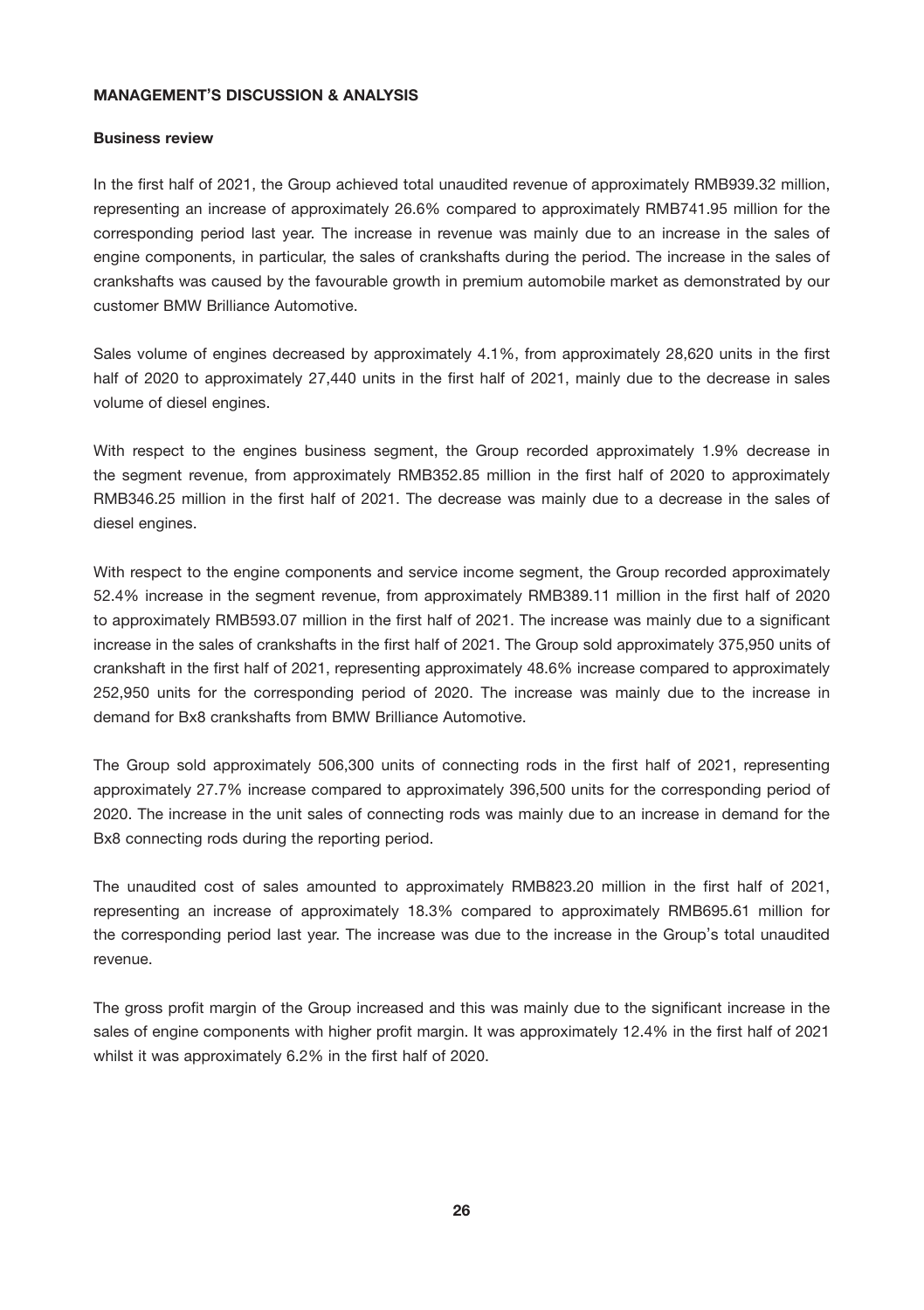# MANAGEMENT'S DISCUSSION & ANALYSIS

# Business review

In the first half of 2021, the Group achieved total unaudited revenue of approximately RMB939.32 million, representing an increase of approximately 26.6% compared to approximately RMB741.95 million for the corresponding period last year. The increase in revenue was mainly due to an increase in the sales of engine components, in particular, the sales of crankshafts during the period. The increase in the sales of crankshafts was caused by the favourable growth in premium automobile market as demonstrated by our customer BMW Brilliance Automotive.

Sales volume of engines decreased by approximately 4.1%, from approximately 28,620 units in the first half of 2020 to approximately 27,440 units in the first half of 2021, mainly due to the decrease in sales volume of diesel engines.

With respect to the engines business segment, the Group recorded approximately 1.9% decrease in the segment revenue, from approximately RMB352.85 million in the first half of 2020 to approximately RMB346.25 million in the first half of 2021. The decrease was mainly due to a decrease in the sales of diesel engines.

With respect to the engine components and service income segment, the Group recorded approximately 52.4% increase in the segment revenue, from approximately RMB389.11 million in the first half of 2020 to approximately RMB593.07 million in the first half of 2021. The increase was mainly due to a significant increase in the sales of crankshafts in the first half of 2021. The Group sold approximately 375,950 units of crankshaft in the first half of 2021, representing approximately 48.6% increase compared to approximately 252,950 units for the corresponding period of 2020. The increase was mainly due to the increase in demand for Bx8 crankshafts from BMW Brilliance Automotive.

The Group sold approximately 506,300 units of connecting rods in the first half of 2021, representing approximately 27.7% increase compared to approximately 396,500 units for the corresponding period of 2020. The increase in the unit sales of connecting rods was mainly due to an increase in demand for the Bx8 connecting rods during the reporting period.

The unaudited cost of sales amounted to approximately RMB823.20 million in the first half of 2021, representing an increase of approximately 18.3% compared to approximately RMB695.61 million for the corresponding period last year. The increase was due to the increase in the Group's total unaudited revenue.

The gross profit margin of the Group increased and this was mainly due to the significant increase in the sales of engine components with higher profit margin. It was approximately 12.4% in the first half of 2021 whilst it was approximately 6.2% in the first half of 2020.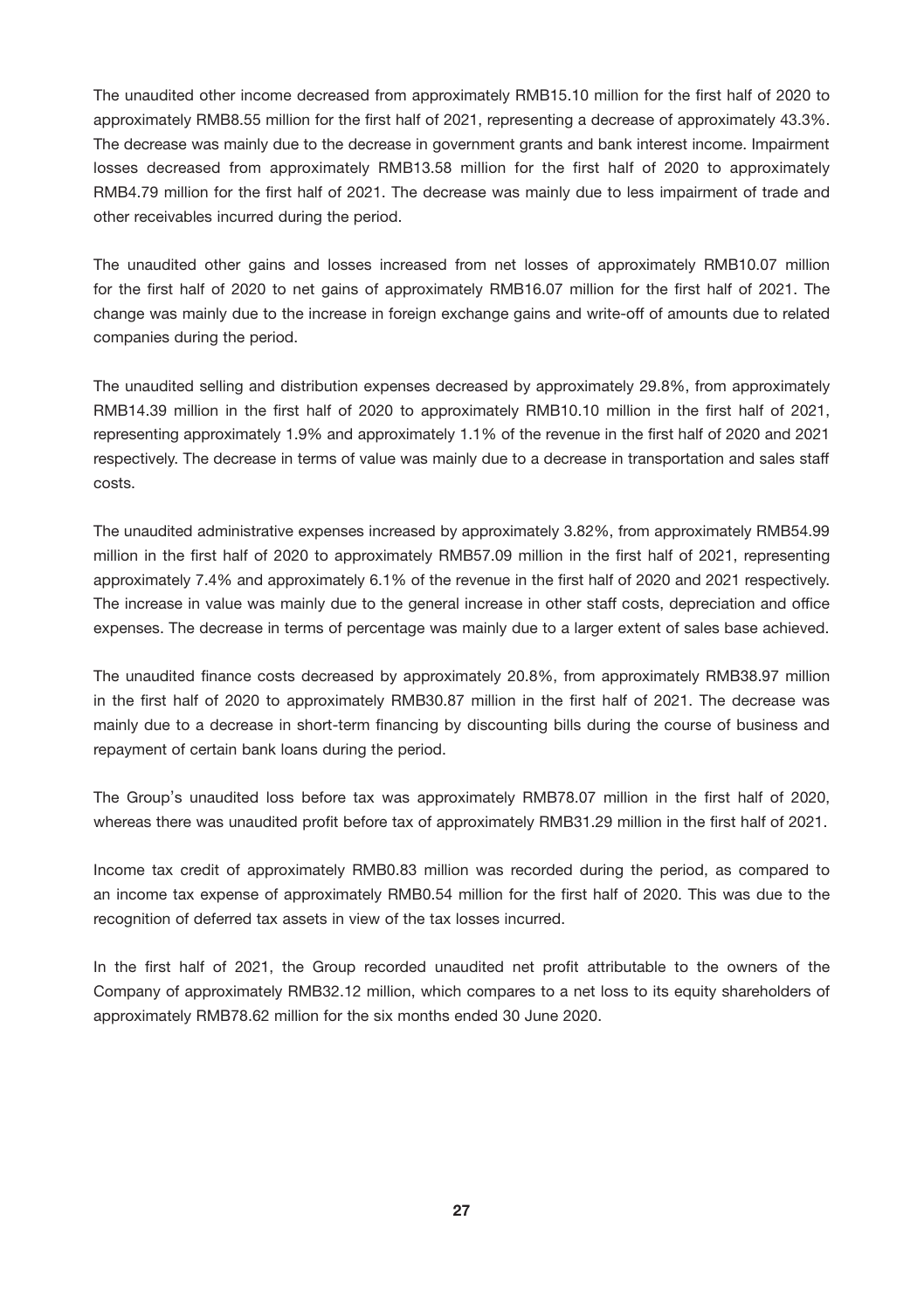The unaudited other income decreased from approximately RMB15.10 million for the first half of 2020 to approximately RMB8.55 million for the first half of 2021, representing a decrease of approximately 43.3%. The decrease was mainly due to the decrease in government grants and bank interest income. Impairment losses decreased from approximately RMB13.58 million for the first half of 2020 to approximately RMB4.79 million for the first half of 2021. The decrease was mainly due to less impairment of trade and other receivables incurred during the period.

The unaudited other gains and losses increased from net losses of approximately RMB10.07 million for the first half of 2020 to net gains of approximately RMB16.07 million for the first half of 2021. The change was mainly due to the increase in foreign exchange gains and write-off of amounts due to related companies during the period.

The unaudited selling and distribution expenses decreased by approximately 29.8%, from approximately RMB14.39 million in the first half of 2020 to approximately RMB10.10 million in the first half of 2021, representing approximately 1.9% and approximately 1.1% of the revenue in the first half of 2020 and 2021 respectively. The decrease in terms of value was mainly due to a decrease in transportation and sales staff costs.

The unaudited administrative expenses increased by approximately 3.82%, from approximately RMB54.99 million in the first half of 2020 to approximately RMB57.09 million in the first half of 2021, representing approximately 7.4% and approximately 6.1% of the revenue in the first half of 2020 and 2021 respectively. The increase in value was mainly due to the general increase in other staff costs, depreciation and office expenses. The decrease in terms of percentage was mainly due to a larger extent of sales base achieved.

The unaudited finance costs decreased by approximately 20.8%, from approximately RMB38.97 million in the first half of 2020 to approximately RMB30.87 million in the first half of 2021. The decrease was mainly due to a decrease in short-term financing by discounting bills during the course of business and repayment of certain bank loans during the period.

The Group's unaudited loss before tax was approximately RMB78.07 million in the first half of 2020, whereas there was unaudited profit before tax of approximately RMB31.29 million in the first half of 2021.

Income tax credit of approximately RMB0.83 million was recorded during the period, as compared to an income tax expense of approximately RMB0.54 million for the first half of 2020. This was due to the recognition of deferred tax assets in view of the tax losses incurred.

In the first half of 2021, the Group recorded unaudited net profit attributable to the owners of the Company of approximately RMB32.12 million, which compares to a net loss to its equity shareholders of approximately RMB78.62 million for the six months ended 30 June 2020.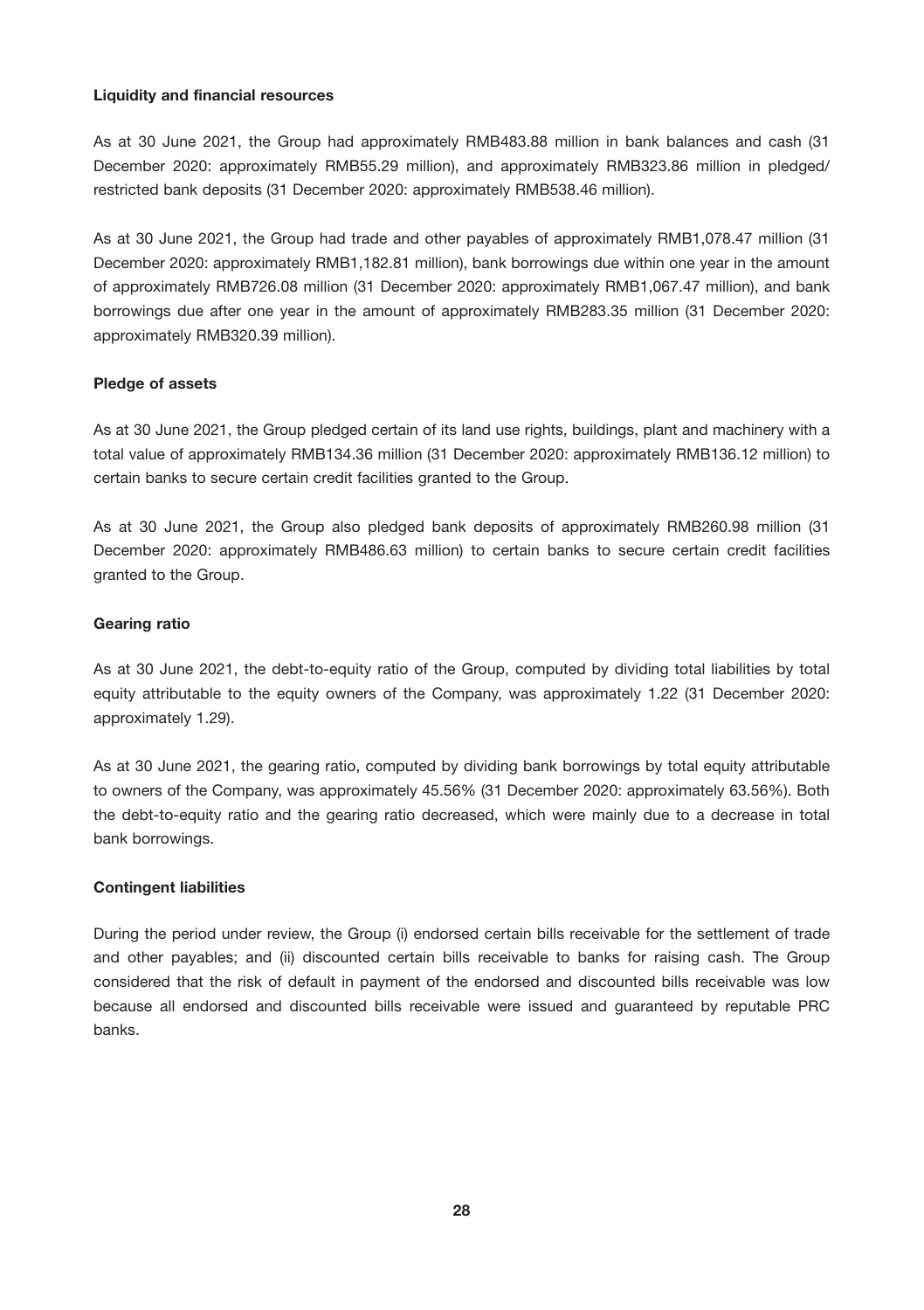# Liquidity and financial resources

As at 30 June 2021, the Group had approximately RMB483.88 million in bank balances and cash (31 December 2020: approximately RMB55.29 million), and approximately RMB323.86 million in pledged/ restricted bank deposits (31 December 2020: approximately RMB538.46 million).

As at 30 June 2021, the Group had trade and other payables of approximately RMB1,078.47 million (31 December 2020: approximately RMB1,182.81 million), bank borrowings due within one year in the amount of approximately RMB726.08 million (31 December 2020: approximately RMB1,067.47 million), and bank borrowings due after one year in the amount of approximately RMB283.35 million (31 December 2020: approximately RMB320.39 million).

# Pledge of assets

As at 30 June 2021, the Group pledged certain of its land use rights, buildings, plant and machinery with a total value of approximately RMB134.36 million (31 December 2020: approximately RMB136.12 million) to certain banks to secure certain credit facilities granted to the Group.

As at 30 June 2021, the Group also pledged bank deposits of approximately RMB260.98 million (31 December 2020: approximately RMB486.63 million) to certain banks to secure certain credit facilities granted to the Group.

# Gearing ratio

As at 30 June 2021, the debt-to-equity ratio of the Group, computed by dividing total liabilities by total equity attributable to the equity owners of the Company, was approximately 1.22 (31 December 2020: approximately 1.29).

As at 30 June 2021, the gearing ratio, computed by dividing bank borrowings by total equity attributable to owners of the Company, was approximately 45.56% (31 December 2020: approximately 63.56%). Both the debt-to-equity ratio and the gearing ratio decreased, which were mainly due to a decrease in total bank borrowings.

# Contingent liabilities

During the period under review, the Group (i) endorsed certain bills receivable for the settlement of trade and other payables; and (ii) discounted certain bills receivable to banks for raising cash. The Group considered that the risk of default in payment of the endorsed and discounted bills receivable was low because all endorsed and discounted bills receivable were issued and guaranteed by reputable PRC banks.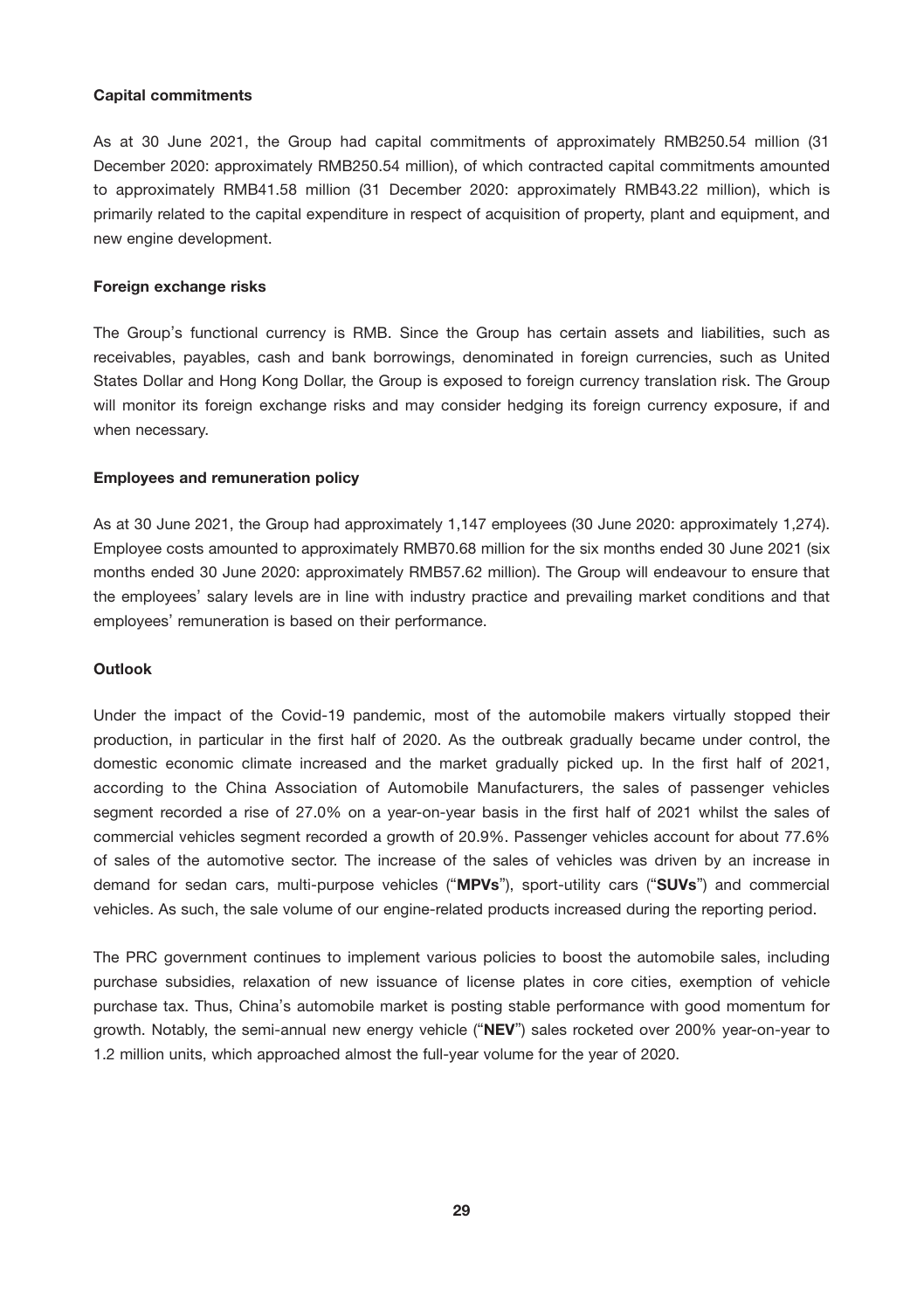# Capital commitments

As at 30 June 2021, the Group had capital commitments of approximately RMB250.54 million (31 December 2020: approximately RMB250.54 million), of which contracted capital commitments amounted to approximately RMB41.58 million (31 December 2020: approximately RMB43.22 million), which is primarily related to the capital expenditure in respect of acquisition of property, plant and equipment, and new engine development.

### Foreign exchange risks

The Group's functional currency is RMB. Since the Group has certain assets and liabilities, such as receivables, payables, cash and bank borrowings, denominated in foreign currencies, such as United States Dollar and Hong Kong Dollar, the Group is exposed to foreign currency translation risk. The Group will monitor its foreign exchange risks and may consider hedging its foreign currency exposure, if and when necessary.

# Employees and remuneration policy

As at 30 June 2021, the Group had approximately 1,147 employees (30 June 2020: approximately 1,274). Employee costs amounted to approximately RMB70.68 million for the six months ended 30 June 2021 (six months ended 30 June 2020: approximately RMB57.62 million). The Group will endeavour to ensure that the employees' salary levels are in line with industry practice and prevailing market conditions and that employees' remuneration is based on their performance.

# Outlook

Under the impact of the Covid-19 pandemic, most of the automobile makers virtually stopped their production, in particular in the first half of 2020. As the outbreak gradually became under control, the domestic economic climate increased and the market gradually picked up. In the first half of 2021, according to the China Association of Automobile Manufacturers, the sales of passenger vehicles segment recorded a rise of 27.0% on a year-on-year basis in the first half of 2021 whilst the sales of commercial vehicles segment recorded a growth of 20.9%. Passenger vehicles account for about 77.6% of sales of the automotive sector. The increase of the sales of vehicles was driven by an increase in demand for sedan cars, multi-purpose vehicles ("MPVs"), sport-utility cars ("SUVs") and commercial vehicles. As such, the sale volume of our engine-related products increased during the reporting period.

The PRC government continues to implement various policies to boost the automobile sales, including purchase subsidies, relaxation of new issuance of license plates in core cities, exemption of vehicle purchase tax. Thus, China's automobile market is posting stable performance with good momentum for growth. Notably, the semi-annual new energy vehicle ("NEV") sales rocketed over 200% year-on-year to 1.2 million units, which approached almost the full-year volume for the year of 2020.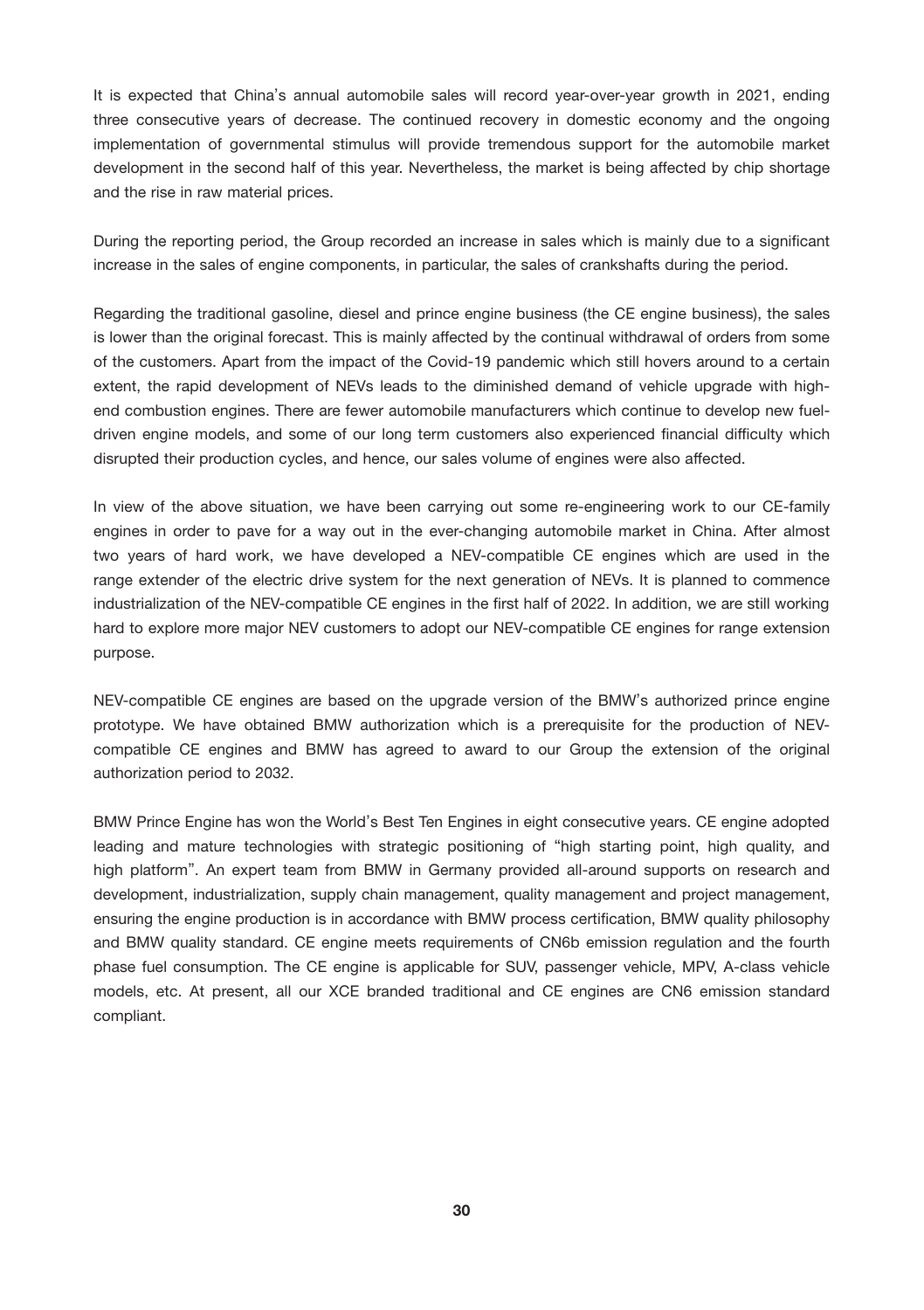It is expected that China's annual automobile sales will record year-over-year growth in 2021, ending three consecutive years of decrease. The continued recovery in domestic economy and the ongoing implementation of governmental stimulus will provide tremendous support for the automobile market development in the second half of this year. Nevertheless, the market is being affected by chip shortage and the rise in raw material prices.

During the reporting period, the Group recorded an increase in sales which is mainly due to a significant increase in the sales of engine components, in particular, the sales of crankshafts during the period.

Regarding the traditional gasoline, diesel and prince engine business (the CE engine business), the sales is lower than the original forecast. This is mainly affected by the continual withdrawal of orders from some of the customers. Apart from the impact of the Covid-19 pandemic which still hovers around to a certain extent, the rapid development of NEVs leads to the diminished demand of vehicle upgrade with highend combustion engines. There are fewer automobile manufacturers which continue to develop new fueldriven engine models, and some of our long term customers also experienced financial difficulty which disrupted their production cycles, and hence, our sales volume of engines were also affected.

In view of the above situation, we have been carrying out some re-engineering work to our CE-family engines in order to pave for a way out in the ever-changing automobile market in China. After almost two years of hard work, we have developed a NEV-compatible CE engines which are used in the range extender of the electric drive system for the next generation of NEVs. It is planned to commence industrialization of the NEV-compatible CE engines in the first half of 2022. In addition, we are still working hard to explore more major NEV customers to adopt our NEV-compatible CE engines for range extension purpose.

NEV-compatible CE engines are based on the upgrade version of the BMW's authorized prince engine prototype. We have obtained BMW authorization which is a prerequisite for the production of NEVcompatible CE engines and BMW has agreed to award to our Group the extension of the original authorization period to 2032.

BMW Prince Engine has won the World's Best Ten Engines in eight consecutive years. CE engine adopted leading and mature technologies with strategic positioning of "high starting point, high quality, and high platform". An expert team from BMW in Germany provided all-around supports on research and development, industrialization, supply chain management, quality management and project management, ensuring the engine production is in accordance with BMW process certification, BMW quality philosophy and BMW quality standard. CE engine meets requirements of CN6b emission regulation and the fourth phase fuel consumption. The CE engine is applicable for SUV, passenger vehicle, MPV, A-class vehicle models, etc. At present, all our XCE branded traditional and CE engines are CN6 emission standard compliant.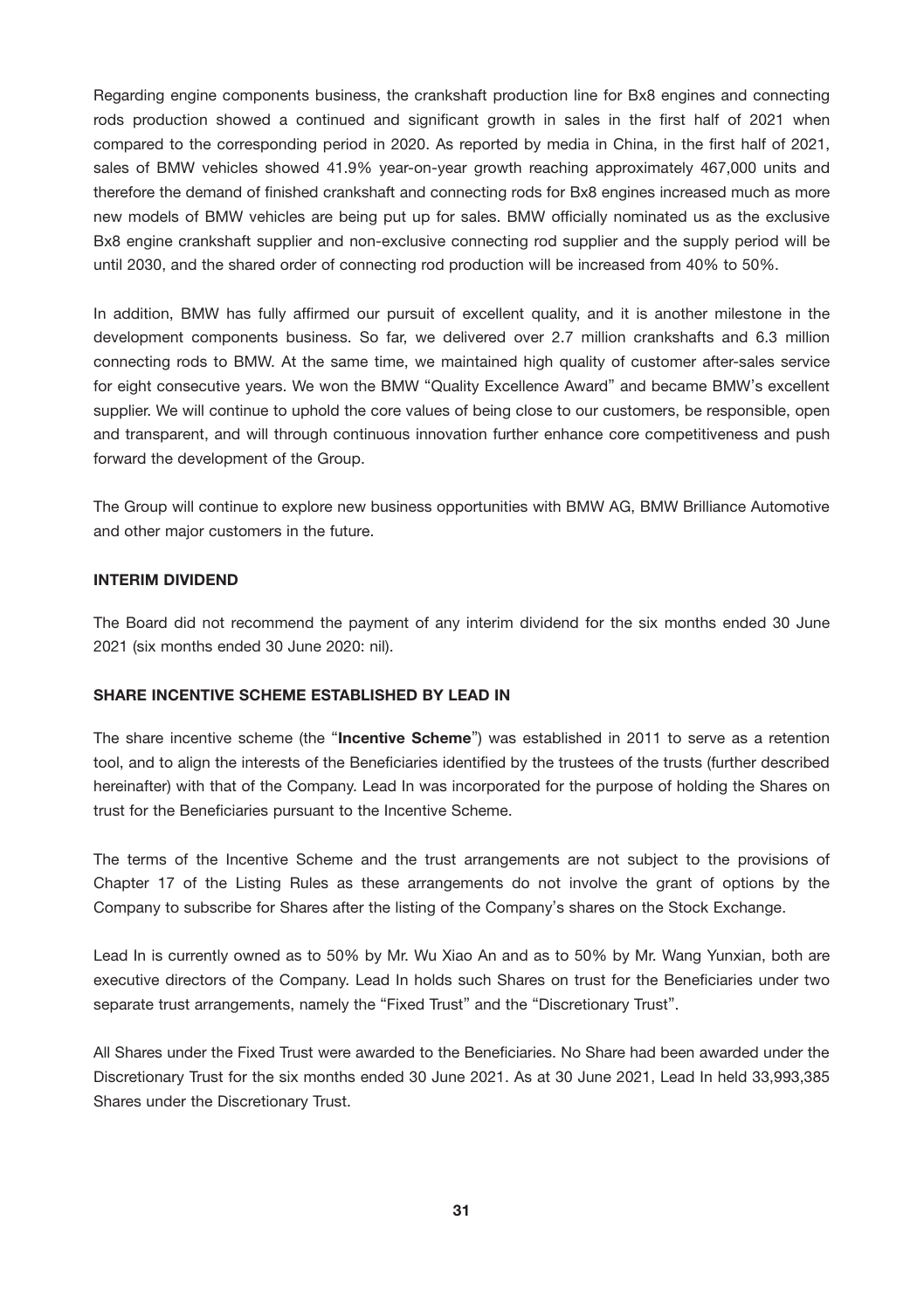Regarding engine components business, the crankshaft production line for Bx8 engines and connecting rods production showed a continued and significant growth in sales in the first half of 2021 when compared to the corresponding period in 2020. As reported by media in China, in the first half of 2021, sales of BMW vehicles showed 41.9% year-on-year growth reaching approximately 467,000 units and therefore the demand of finished crankshaft and connecting rods for Bx8 engines increased much as more new models of BMW vehicles are being put up for sales. BMW officially nominated us as the exclusive Bx8 engine crankshaft supplier and non-exclusive connecting rod supplier and the supply period will be until 2030, and the shared order of connecting rod production will be increased from 40% to 50%.

In addition, BMW has fully affirmed our pursuit of excellent quality, and it is another milestone in the development components business. So far, we delivered over 2.7 million crankshafts and 6.3 million connecting rods to BMW. At the same time, we maintained high quality of customer after-sales service for eight consecutive years. We won the BMW "Quality Excellence Award" and became BMW's excellent supplier. We will continue to uphold the core values of being close to our customers, be responsible, open and transparent, and will through continuous innovation further enhance core competitiveness and push forward the development of the Group.

The Group will continue to explore new business opportunities with BMW AG, BMW Brilliance Automotive and other major customers in the future.

# INTERIM DIVIDEND

The Board did not recommend the payment of any interim dividend for the six months ended 30 June 2021 (six months ended 30 June 2020: nil).

# SHARE INCENTIVE SCHEME ESTABLISHED BY LEAD IN

The share incentive scheme (the "Incentive Scheme") was established in 2011 to serve as a retention tool, and to align the interests of the Beneficiaries identified by the trustees of the trusts (further described hereinafter) with that of the Company. Lead In was incorporated for the purpose of holding the Shares on trust for the Beneficiaries pursuant to the Incentive Scheme.

The terms of the Incentive Scheme and the trust arrangements are not subject to the provisions of Chapter 17 of the Listing Rules as these arrangements do not involve the grant of options by the Company to subscribe for Shares after the listing of the Company's shares on the Stock Exchange.

Lead In is currently owned as to 50% by Mr. Wu Xiao An and as to 50% by Mr. Wang Yunxian, both are executive directors of the Company. Lead In holds such Shares on trust for the Beneficiaries under two separate trust arrangements, namely the "Fixed Trust" and the "Discretionary Trust".

All Shares under the Fixed Trust were awarded to the Beneficiaries. No Share had been awarded under the Discretionary Trust for the six months ended 30 June 2021. As at 30 June 2021, Lead In held 33,993,385 Shares under the Discretionary Trust.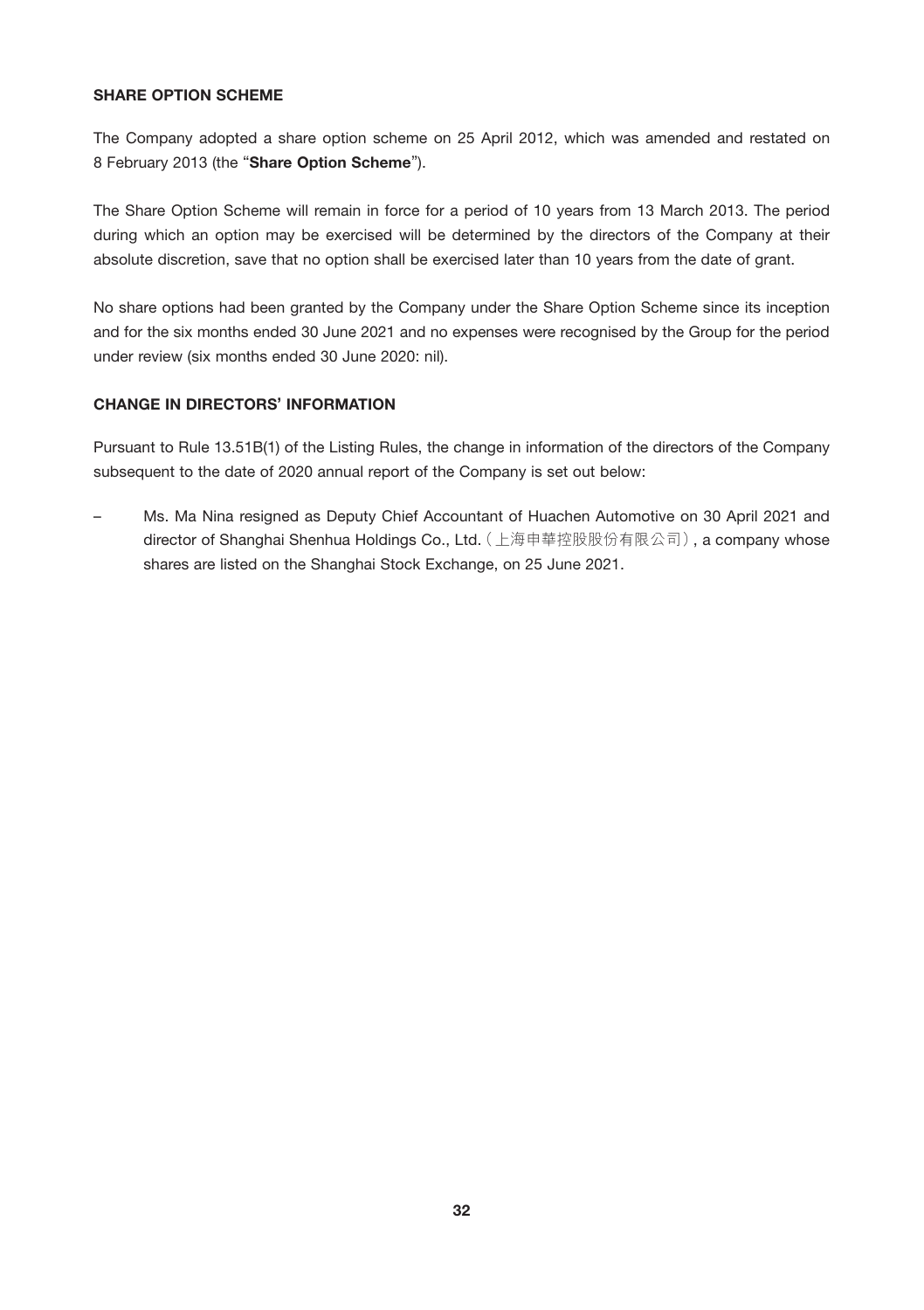# SHARE OPTION SCHEME

The Company adopted a share option scheme on 25 April 2012, which was amended and restated on 8 February 2013 (the "Share Option Scheme").

The Share Option Scheme will remain in force for a period of 10 years from 13 March 2013. The period during which an option may be exercised will be determined by the directors of the Company at their absolute discretion, save that no option shall be exercised later than 10 years from the date of grant.

No share options had been granted by the Company under the Share Option Scheme since its inception and for the six months ended 30 June 2021 and no expenses were recognised by the Group for the period under review (six months ended 30 June 2020: nil).

# CHANGE IN DIRECTORS' INFORMATION

Pursuant to Rule 13.51B(1) of the Listing Rules, the change in information of the directors of the Company subsequent to the date of 2020 annual report of the Company is set out below:

– Ms. Ma Nina resigned as Deputy Chief Accountant of Huachen Automotive on 30 April 2021 and director of Shanghai Shenhua Holdings Co., Ltd.(上海申華控股股份有限公司), a company whose shares are listed on the Shanghai Stock Exchange, on 25 June 2021.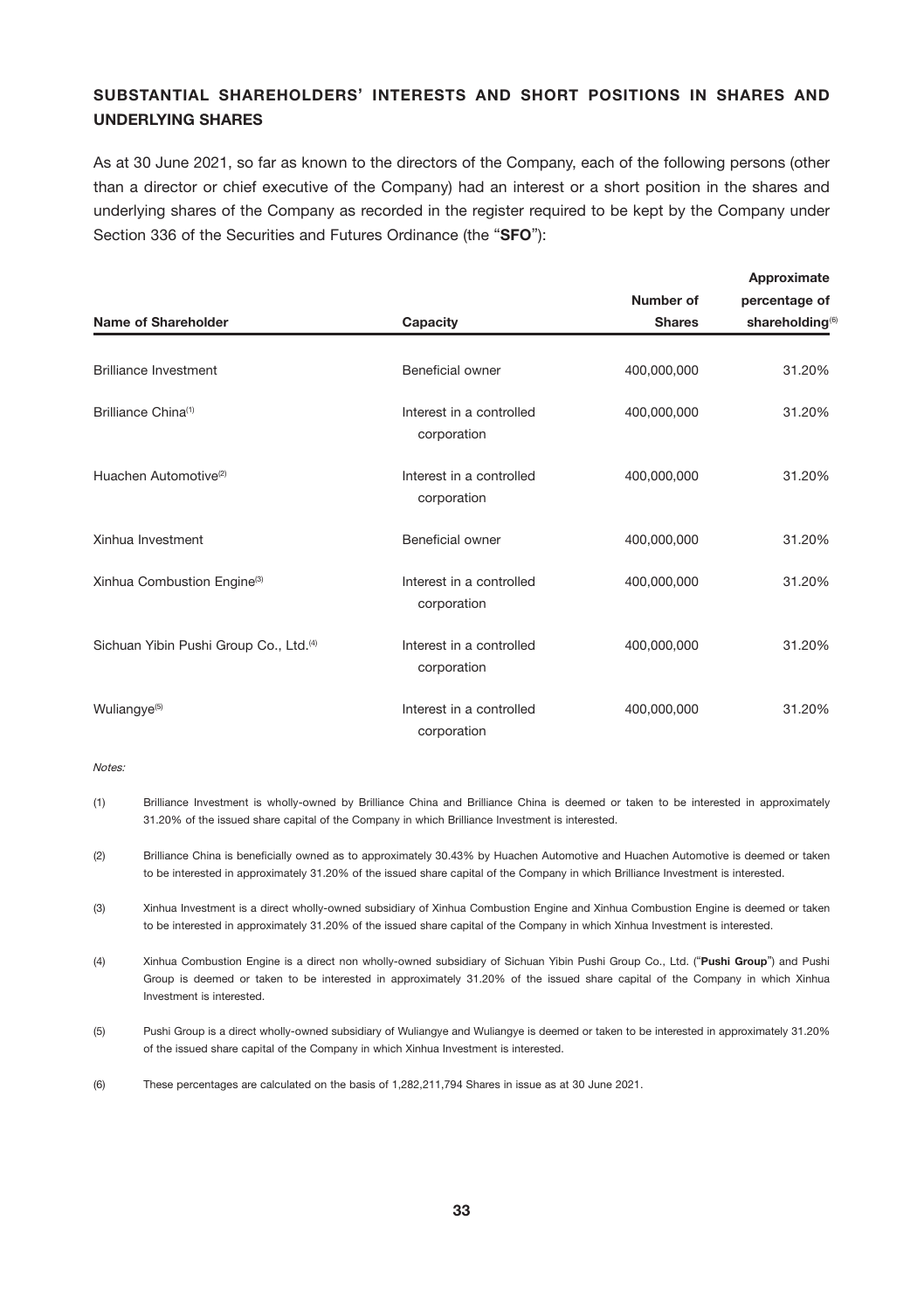# SUBSTANTIAL SHAREHOLDERS' INTERESTS AND SHORT POSITIONS IN SHARES AND UNDERLYING SHARES

As at 30 June 2021, so far as known to the directors of the Company, each of the following persons (other than a director or chief executive of the Company) had an interest or a short position in the shares and underlying shares of the Company as recorded in the register required to be kept by the Company under Section 336 of the Securities and Futures Ordinance (the "SFO"):

|                                        |                                         | Number of     | percentage of               |  |
|----------------------------------------|-----------------------------------------|---------------|-----------------------------|--|
| <b>Name of Shareholder</b>             | Capacity                                | <b>Shares</b> | shareholding <sup>(6)</sup> |  |
| Brilliance Investment                  | Beneficial owner                        | 400.000.000   | 31.20%                      |  |
| Brilliance China <sup>(1)</sup>        | Interest in a controlled<br>corporation | 400,000,000   | 31.20%                      |  |
| Huachen Automotive <sup>(2)</sup>      | Interest in a controlled<br>corporation | 400.000.000   | 31.20%                      |  |
| Xinhua Investment                      | Beneficial owner                        | 400.000.000   | 31.20%                      |  |
| Xinhua Combustion Engine(3)            | Interest in a controlled<br>corporation | 400.000.000   | 31.20%                      |  |
| Sichuan Yibin Pushi Group Co., Ltd.(4) | Interest in a controlled<br>corporation | 400,000,000   | 31.20%                      |  |
| Wuliangye <sup>(5)</sup>               | Interest in a controlled<br>corporation | 400,000,000   | 31.20%                      |  |

Notes:

- (1) Brilliance Investment is wholly-owned by Brilliance China and Brilliance China is deemed or taken to be interested in approximately 31.20% of the issued share capital of the Company in which Brilliance Investment is interested.
- (2) Brilliance China is beneficially owned as to approximately 30.43% by Huachen Automotive and Huachen Automotive is deemed or taken to be interested in approximately 31.20% of the issued share capital of the Company in which Brilliance Investment is interested.
- (3) Xinhua Investment is a direct wholly-owned subsidiary of Xinhua Combustion Engine and Xinhua Combustion Engine is deemed or taken to be interested in approximately 31.20% of the issued share capital of the Company in which Xinhua Investment is interested.
- (4) Xinhua Combustion Engine is a direct non wholly-owned subsidiary of Sichuan Yibin Pushi Group Co., Ltd. ("Pushi Group") and Pushi Group is deemed or taken to be interested in approximately 31.20% of the issued share capital of the Company in which Xinhua Investment is interested.
- (5) Pushi Group is a direct wholly-owned subsidiary of Wuliangye and Wuliangye is deemed or taken to be interested in approximately 31.20% of the issued share capital of the Company in which Xinhua Investment is interested.
- (6) These percentages are calculated on the basis of 1,282,211,794 Shares in issue as at 30 June 2021.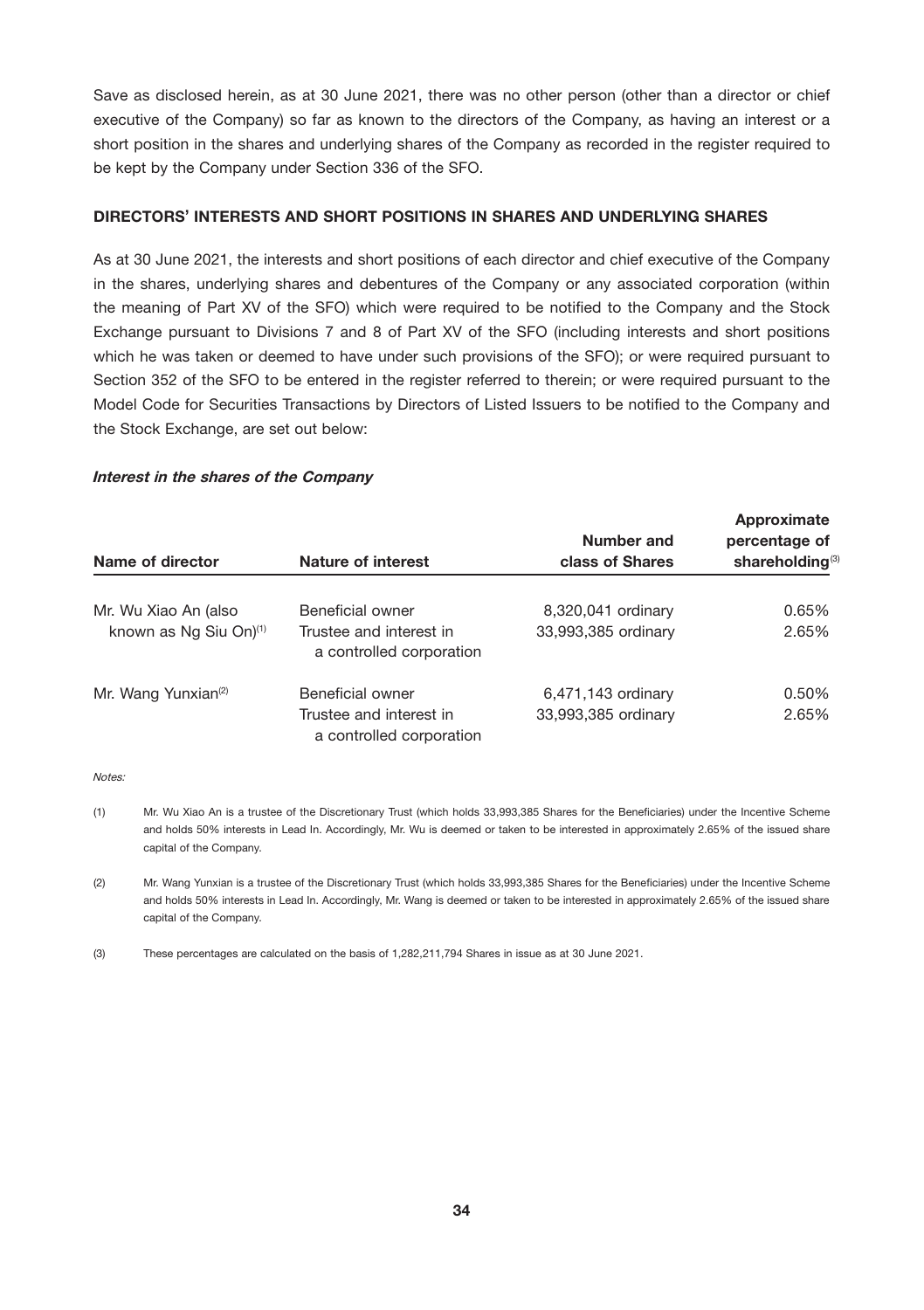Save as disclosed herein, as at 30 June 2021, there was no other person (other than a director or chief executive of the Company) so far as known to the directors of the Company, as having an interest or a short position in the shares and underlying shares of the Company as recorded in the register required to be kept by the Company under Section 336 of the SFO.

# DIRECTORS' INTERESTS AND SHORT POSITIONS IN SHARES AND UNDERLYING SHARES

As at 30 June 2021, the interests and short positions of each director and chief executive of the Company in the shares, underlying shares and debentures of the Company or any associated corporation (within the meaning of Part XV of the SFO) which were required to be notified to the Company and the Stock Exchange pursuant to Divisions 7 and 8 of Part XV of the SFO (including interests and short positions which he was taken or deemed to have under such provisions of the SFO); or were required pursuant to Section 352 of the SFO to be entered in the register referred to therein; or were required pursuant to the Model Code for Securities Transactions by Directors of Listed Issuers to be notified to the Company and the Stock Exchange, are set out below:

# Interest in the shares of the Company

| Name of director                   | <b>Nature of interest</b>                           | Number and<br>class of Shares | Approximate<br>percentage of<br>shareholding <sup>(3)</sup> |
|------------------------------------|-----------------------------------------------------|-------------------------------|-------------------------------------------------------------|
| Mr. Wu Xiao An (also               | Beneficial owner                                    | 8,320,041 ordinary            | 0.65%                                                       |
| known as Ng Siu On) <sup>(1)</sup> | Trustee and interest in<br>a controlled corporation | 33.993.385 ordinary           | 2.65%                                                       |
| Mr. Wang Yunxian <sup>(2)</sup>    | Beneficial owner                                    | 6,471,143 ordinary            | 0.50%                                                       |
|                                    | Trustee and interest in<br>a controlled corporation | 33,993,385 ordinary           | 2.65%                                                       |

Notes:

- (1) Mr. Wu Xiao An is a trustee of the Discretionary Trust (which holds 33,993,385 Shares for the Beneficiaries) under the Incentive Scheme and holds 50% interests in Lead In. Accordingly, Mr. Wu is deemed or taken to be interested in approximately 2.65% of the issued share capital of the Company.
- (2) Mr. Wang Yunxian is a trustee of the Discretionary Trust (which holds 33,993,385 Shares for the Beneficiaries) under the Incentive Scheme and holds 50% interests in Lead In. Accordingly, Mr. Wang is deemed or taken to be interested in approximately 2.65% of the issued share capital of the Company.

(3) These percentages are calculated on the basis of 1,282,211,794 Shares in issue as at 30 June 2021.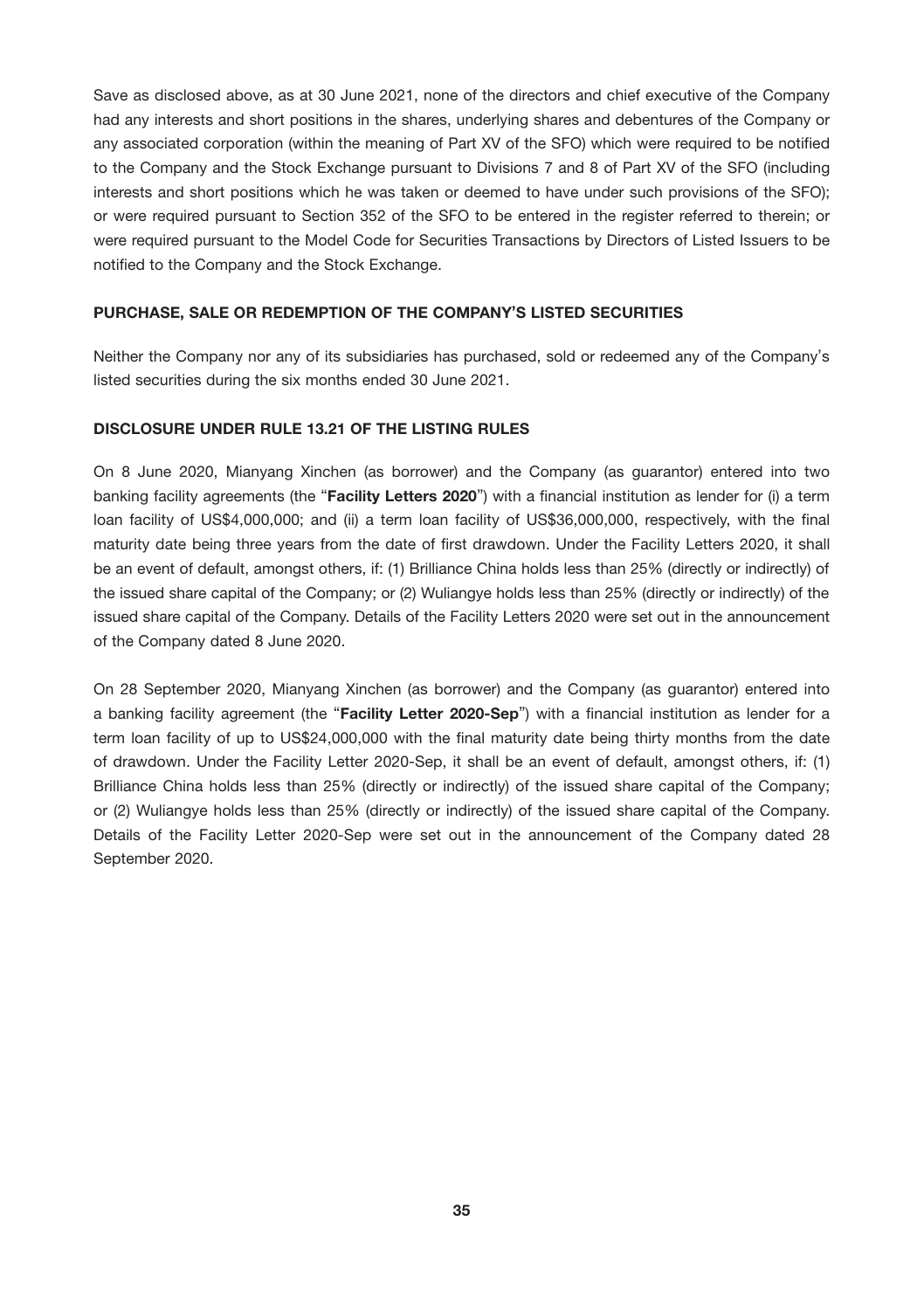Save as disclosed above, as at 30 June 2021, none of the directors and chief executive of the Company had any interests and short positions in the shares, underlying shares and debentures of the Company or any associated corporation (within the meaning of Part XV of the SFO) which were required to be notified to the Company and the Stock Exchange pursuant to Divisions 7 and 8 of Part XV of the SFO (including interests and short positions which he was taken or deemed to have under such provisions of the SFO); or were required pursuant to Section 352 of the SFO to be entered in the register referred to therein; or were required pursuant to the Model Code for Securities Transactions by Directors of Listed Issuers to be notified to the Company and the Stock Exchange.

# PURCHASE, SALE OR REDEMPTION OF THE COMPANY'S LISTED SECURITIES

Neither the Company nor any of its subsidiaries has purchased, sold or redeemed any of the Company's listed securities during the six months ended 30 June 2021.

# DISCLOSURE UNDER RULE 13.21 OF THE LISTING RULES

On 8 June 2020, Mianyang Xinchen (as borrower) and the Company (as guarantor) entered into two banking facility agreements (the "Facility Letters 2020") with a financial institution as lender for (i) a term loan facility of US\$4,000,000; and (ii) a term loan facility of US\$36,000,000, respectively, with the final maturity date being three years from the date of first drawdown. Under the Facility Letters 2020, it shall be an event of default, amongst others, if: (1) Brilliance China holds less than 25% (directly or indirectly) of the issued share capital of the Company; or (2) Wuliangye holds less than 25% (directly or indirectly) of the issued share capital of the Company. Details of the Facility Letters 2020 were set out in the announcement of the Company dated 8 June 2020.

On 28 September 2020, Mianyang Xinchen (as borrower) and the Company (as guarantor) entered into a banking facility agreement (the "Facility Letter 2020-Sep") with a financial institution as lender for a term loan facility of up to US\$24,000,000 with the final maturity date being thirty months from the date of drawdown. Under the Facility Letter 2020-Sep, it shall be an event of default, amongst others, if: (1) Brilliance China holds less than 25% (directly or indirectly) of the issued share capital of the Company; or (2) Wuliangye holds less than 25% (directly or indirectly) of the issued share capital of the Company. Details of the Facility Letter 2020-Sep were set out in the announcement of the Company dated 28 September 2020.